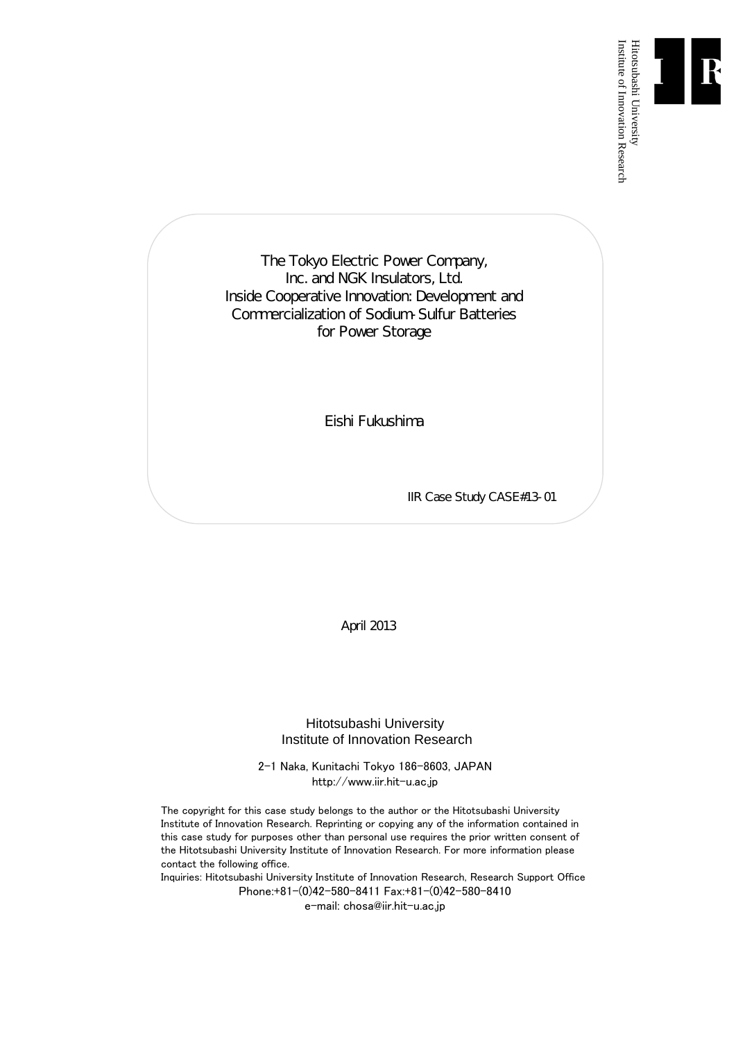

Institute of Innovation Research

The Tokyo Electric Power Company, Inc. and NGK Insulators, Ltd. Inside Cooperative Innovation: Development and Commercialization of Sodium-Sulfur Batteries for Power Storage

Eishi Fukushima

IIR Case Study CASE#13-01

April 2013

Hitotsubashi University Institute of Innovation Research

2-1 Naka, Kunitachi Tokyo 186-8603, JAPAN http://www.iir.hit-u.ac.jp

The copyright for this case study belongs to the author or the Hitotsubashi University Institute of Innovation Research. Reprinting or copying any of the information contained in this case study for purposes other than personal use requires the prior written consent of the Hitotsubashi University Institute of Innovation Research. For more information please contact the following office.

Inquiries: Hitotsubashi University Institute of Innovation Research, Research Support Office Phone:+81-(0)42-580-8411 Fax:+81-(0)42-580-8410

e-mail: chosa@iir.hit-u.ac.jp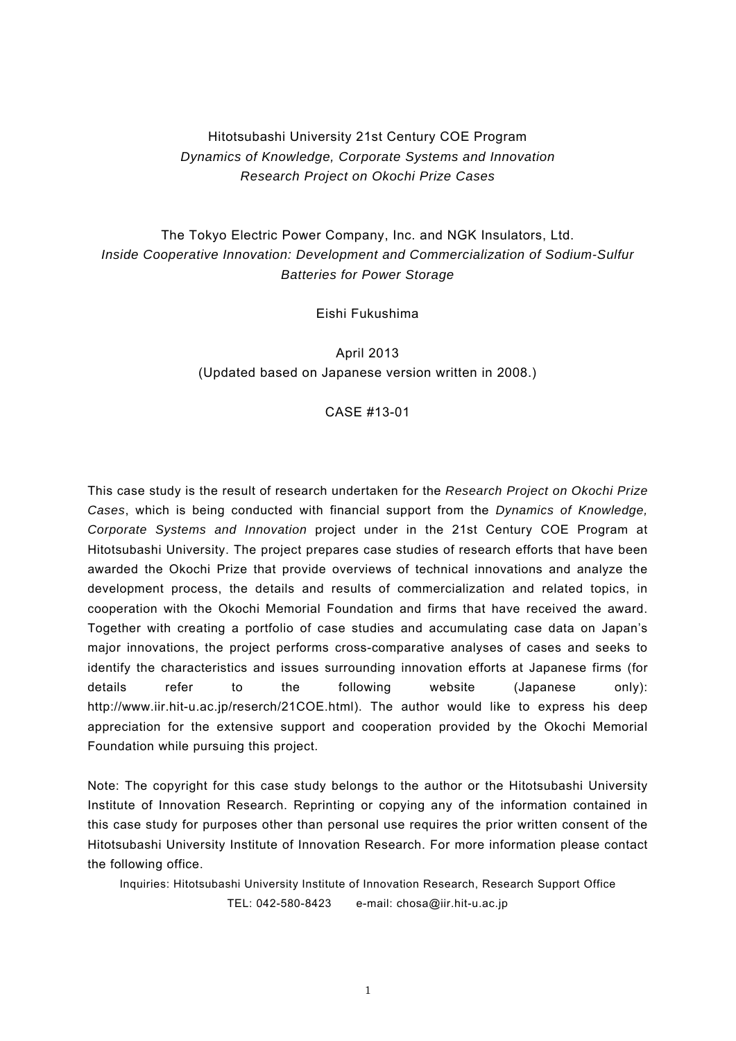# Hitotsubashi University 21st Century COE Program *Dynamics of Knowledge, Corporate Systems and Innovation Research Project on Okochi Prize Cases*

# The Tokyo Electric Power Company, Inc. and NGK Insulators, Ltd. *Inside Cooperative Innovation: Development and Commercialization of Sodium-Sulfur Batteries for Power Storage*

Eishi Fukushima

April 2013 (Updated based on Japanese version written in 2008.)

# CASE #13-01

This case study is the result of research undertaken for the *Research Project on Okochi Prize Cases*, which is being conducted with financial support from the *Dynamics of Knowledge, Corporate Systems and Innovation* project under in the 21st Century COE Program at Hitotsubashi University. The project prepares case studies of research efforts that have been awarded the Okochi Prize that provide overviews of technical innovations and analyze the development process, the details and results of commercialization and related topics, in cooperation with the Okochi Memorial Foundation and firms that have received the award. Together with creating a portfolio of case studies and accumulating case data on Japan's major innovations, the project performs cross-comparative analyses of cases and seeks to identify the characteristics and issues surrounding innovation efforts at Japanese firms (for details refer to the following website (Japanese only): http://www.iir.hit-u.ac.jp/reserch/21COE.html). The author would like to express his deep appreciation for the extensive support and cooperation provided by the Okochi Memorial Foundation while pursuing this project.

Note: The copyright for this case study belongs to the author or the Hitotsubashi University Institute of Innovation Research. Reprinting or copying any of the information contained in this case study for purposes other than personal use requires the prior written consent of the Hitotsubashi University Institute of Innovation Research. For more information please contact the following office.

Inquiries: Hitotsubashi University Institute of Innovation Research, Research Support Office TEL: 042-580-8423 e-mail: chosa@iir.hit-u.ac.jp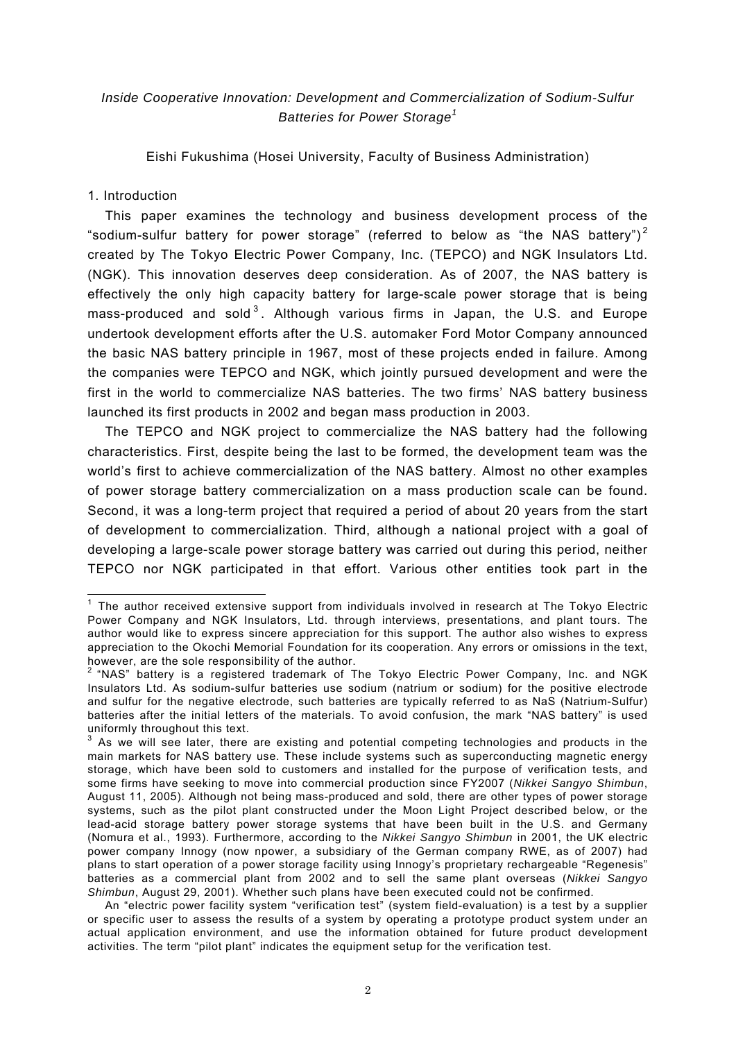# *Inside Cooperative Innovation: Development and Commercialization of Sodium-Sulfur Batteries for Power Storage<sup>1</sup>*

Eishi Fukushima (Hosei University, Faculty of Business Administration)

# 1. Introduction

This paper examines the technology and business development process of the "sodium-sulfur battery for power storage" (referred to below as "the NAS battery")<sup>2</sup> created by The Tokyo Electric Power Company, Inc. (TEPCO) and NGK Insulators Ltd. (NGK). This innovation deserves deep consideration. As of 2007, the NAS battery is effectively the only high capacity battery for large-scale power storage that is being mass-produced and sold<sup>3</sup>. Although various firms in Japan, the U.S. and Europe undertook development efforts after the U.S. automaker Ford Motor Company announced the basic NAS battery principle in 1967, most of these projects ended in failure. Among the companies were TEPCO and NGK, which jointly pursued development and were the first in the world to commercialize NAS batteries. The two firms' NAS battery business launched its first products in 2002 and began mass production in 2003.

The TEPCO and NGK project to commercialize the NAS battery had the following characteristics. First, despite being the last to be formed, the development team was the world's first to achieve commercialization of the NAS battery. Almost no other examples of power storage battery commercialization on a mass production scale can be found. Second, it was a long-term project that required a period of about 20 years from the start of development to commercialization. Third, although a national project with a goal of developing a large-scale power storage battery was carried out during this period, neither TEPCO nor NGK participated in that effort. Various other entities took part in the

The author received extensive support from individuals involved in research at The Tokyo Electric Power Company and NGK Insulators, Ltd. through interviews, presentations, and plant tours. The author would like to express sincere appreciation for this support. The author also wishes to express appreciation to the Okochi Memorial Foundation for its cooperation. Any errors or omissions in the text,

however, are the sole responsibility of the author.<br><sup>2</sup> "NAS" battery is a registered trademark of The Tokyo Electric Power Company, Inc. and NGK Insulators Ltd. As sodium-sulfur batteries use sodium (natrium or sodium) for the positive electrode and sulfur for the negative electrode, such batteries are typically referred to as NaS (Natrium-Sulfur) batteries after the initial letters of the materials. To avoid confusion, the mark "NAS battery" is used uniformly throughout this text.

<sup>3</sup> As we will see later, there are existing and potential competing technologies and products in the main markets for NAS battery use. These include systems such as superconducting magnetic energy storage, which have been sold to customers and installed for the purpose of verification tests, and some firms have seeking to move into commercial production since FY2007 (*Nikkei Sangyo Shimbun*, August 11, 2005). Although not being mass-produced and sold, there are other types of power storage systems, such as the pilot plant constructed under the Moon Light Project described below, or the lead-acid storage battery power storage systems that have been built in the U.S. and Germany (Nomura et al., 1993). Furthermore, according to the *Nikkei Sangyo Shimbun* in 2001, the UK electric power company Innogy (now npower, a subsidiary of the German company RWE, as of 2007) had plans to start operation of a power storage facility using Innogy's proprietary rechargeable "Regenesis" batteries as a commercial plant from 2002 and to sell the same plant overseas (*Nikkei Sangyo Shimbun*, August 29, 2001). Whether such plans have been executed could not be confirmed.

An "electric power facility system "verification test" (system field-evaluation) is a test by a supplier or specific user to assess the results of a system by operating a prototype product system under an actual application environment, and use the information obtained for future product development activities. The term "pilot plant" indicates the equipment setup for the verification test.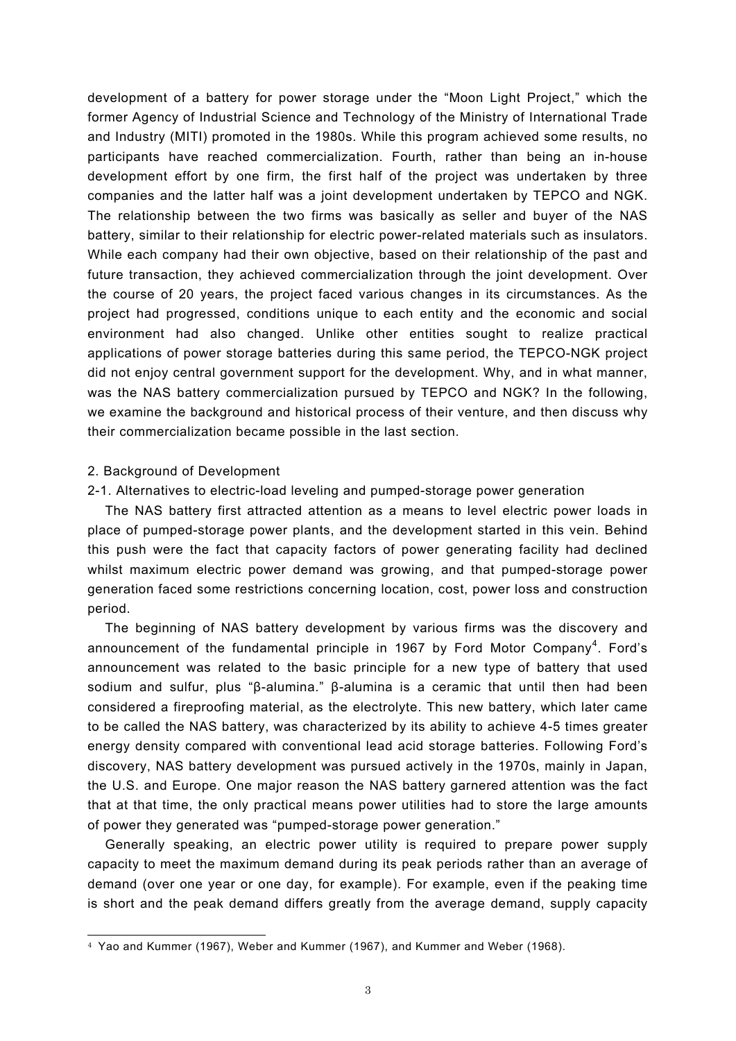development of a battery for power storage under the "Moon Light Project," which the former Agency of Industrial Science and Technology of the Ministry of International Trade and Industry (MITI) promoted in the 1980s. While this program achieved some results, no participants have reached commercialization. Fourth, rather than being an in-house development effort by one firm, the first half of the project was undertaken by three companies and the latter half was a joint development undertaken by TEPCO and NGK. The relationship between the two firms was basically as seller and buyer of the NAS battery, similar to their relationship for electric power-related materials such as insulators. While each company had their own objective, based on their relationship of the past and future transaction, they achieved commercialization through the joint development. Over the course of 20 years, the project faced various changes in its circumstances. As the project had progressed, conditions unique to each entity and the economic and social environment had also changed. Unlike other entities sought to realize practical applications of power storage batteries during this same period, the TEPCO-NGK project did not enjoy central government support for the development. Why, and in what manner, was the NAS battery commercialization pursued by TEPCO and NGK? In the following, we examine the background and historical process of their venture, and then discuss why their commercialization became possible in the last section.

#### 2. Background of Development

 $\overline{a}$ 

# 2-1. Alternatives to electric-load leveling and pumped-storage power generation

The NAS battery first attracted attention as a means to level electric power loads in place of pumped-storage power plants, and the development started in this vein. Behind this push were the fact that capacity factors of power generating facility had declined whilst maximum electric power demand was growing, and that pumped-storage power generation faced some restrictions concerning location, cost, power loss and construction period.

The beginning of NAS battery development by various firms was the discovery and announcement of the fundamental principle in 1967 by Ford Motor Company<sup>4</sup>. Ford's announcement was related to the basic principle for a new type of battery that used sodium and sulfur, plus "β-alumina." β-alumina is a ceramic that until then had been considered a fireproofing material, as the electrolyte. This new battery, which later came to be called the NAS battery, was characterized by its ability to achieve 4-5 times greater energy density compared with conventional lead acid storage batteries. Following Ford's discovery, NAS battery development was pursued actively in the 1970s, mainly in Japan, the U.S. and Europe. One major reason the NAS battery garnered attention was the fact that at that time, the only practical means power utilities had to store the large amounts of power they generated was "pumped-storage power generation."

Generally speaking, an electric power utility is required to prepare power supply capacity to meet the maximum demand during its peak periods rather than an average of demand (over one year or one day, for example). For example, even if the peaking time is short and the peak demand differs greatly from the average demand, supply capacity

<sup>4</sup> Yao and Kummer (1967), Weber and Kummer (1967), and Kummer and Weber (1968).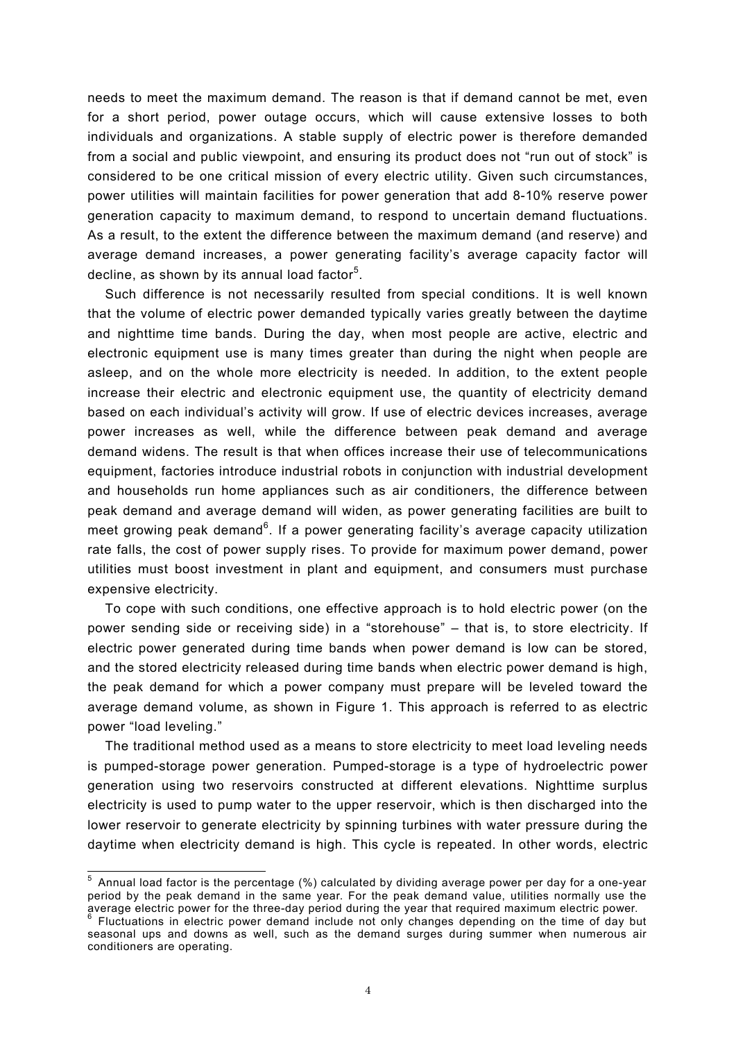needs to meet the maximum demand. The reason is that if demand cannot be met, even for a short period, power outage occurs, which will cause extensive losses to both individuals and organizations. A stable supply of electric power is therefore demanded from a social and public viewpoint, and ensuring its product does not "run out of stock" is considered to be one critical mission of every electric utility. Given such circumstances, power utilities will maintain facilities for power generation that add 8-10% reserve power generation capacity to maximum demand, to respond to uncertain demand fluctuations. As a result, to the extent the difference between the maximum demand (and reserve) and average demand increases, a power generating facility's average capacity factor will decline, as shown by its annual load factor $5$ .

Such difference is not necessarily resulted from special conditions. It is well known that the volume of electric power demanded typically varies greatly between the daytime and nighttime time bands. During the day, when most people are active, electric and electronic equipment use is many times greater than during the night when people are asleep, and on the whole more electricity is needed. In addition, to the extent people increase their electric and electronic equipment use, the quantity of electricity demand based on each individual's activity will grow. If use of electric devices increases, average power increases as well, while the difference between peak demand and average demand widens. The result is that when offices increase their use of telecommunications equipment, factories introduce industrial robots in conjunction with industrial development and households run home appliances such as air conditioners, the difference between peak demand and average demand will widen, as power generating facilities are built to meet growing peak demand<sup>6</sup>. If a power generating facility's average capacity utilization rate falls, the cost of power supply rises. To provide for maximum power demand, power utilities must boost investment in plant and equipment, and consumers must purchase expensive electricity.

To cope with such conditions, one effective approach is to hold electric power (on the power sending side or receiving side) in a "storehouse" – that is, to store electricity. If electric power generated during time bands when power demand is low can be stored, and the stored electricity released during time bands when electric power demand is high, the peak demand for which a power company must prepare will be leveled toward the average demand volume, as shown in Figure 1. This approach is referred to as electric power "load leveling."

The traditional method used as a means to store electricity to meet load leveling needs is pumped-storage power generation. Pumped-storage is a type of hydroelectric power generation using two reservoirs constructed at different elevations. Nighttime surplus electricity is used to pump water to the upper reservoir, which is then discharged into the lower reservoir to generate electricity by spinning turbines with water pressure during the daytime when electricity demand is high. This cycle is repeated. In other words, electric

 5 Annual load factor is the percentage (%) calculated by dividing average power per day for a one-year period by the peak demand in the same year. For the peak demand value, utilities normally use the

average electric power for the three-day period during the year that required maximum electric power.<br><sup>6</sup> Fluctuations in electric power demand include not only changes depending on the time of day but seasonal ups and downs as well, such as the demand surges during summer when numerous air conditioners are operating.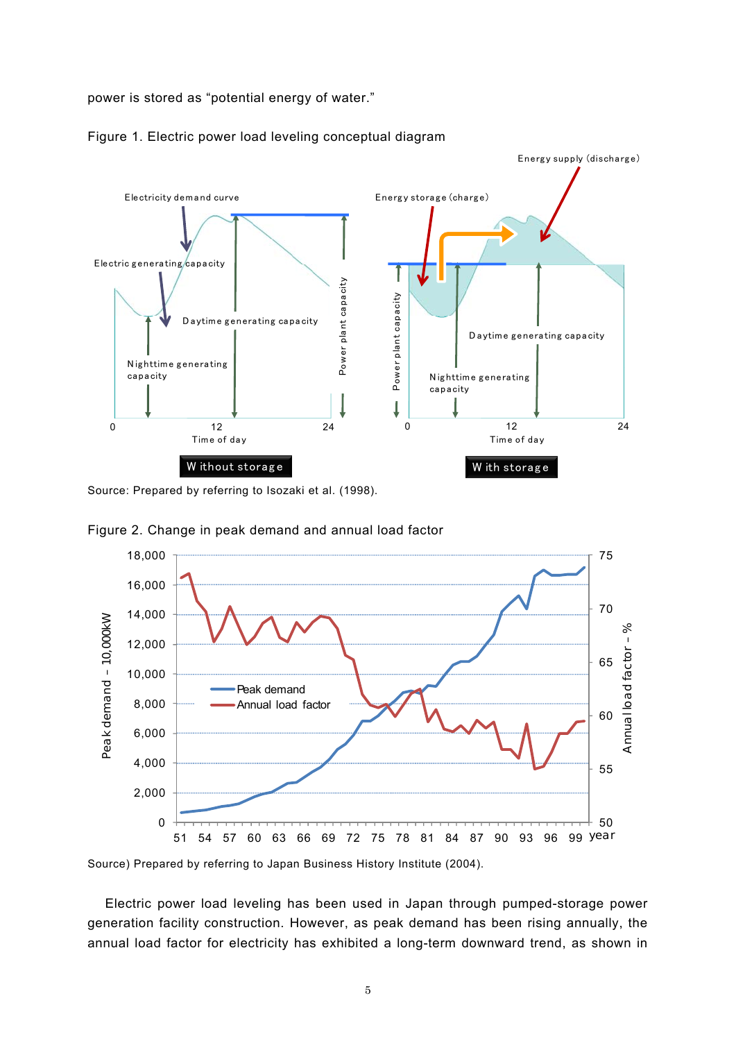power is stored as "potential energy of water."



Figure 1. Electric power load leveling conceptual diagram

Source: Prepared by referring to Isozaki et al. (1998).



Figure 2. Change in peak demand and annual load factor

Source) Prepared by referring to Japan Business History Institute (2004).

Electric power load leveling has been used in Japan through pumped-storage power generation facility construction. However, as peak demand has been rising annually, the annual load factor for electricity has exhibited a long-term downward trend, as shown in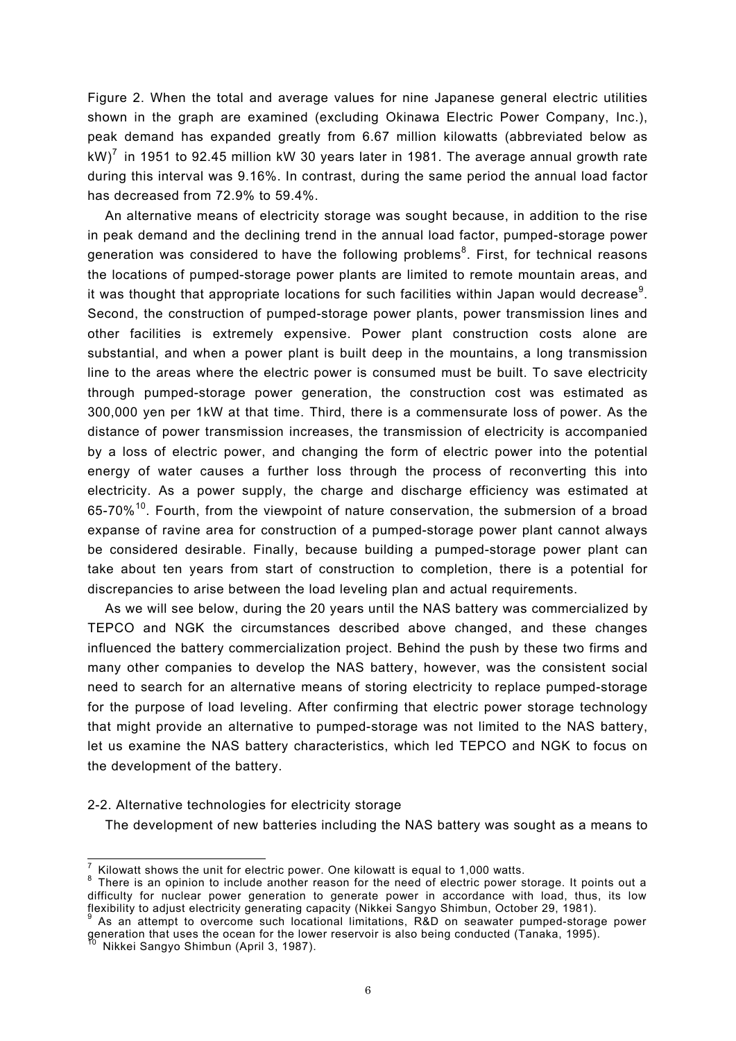Figure 2. When the total and average values for nine Japanese general electric utilities shown in the graph are examined (excluding Okinawa Electric Power Company, Inc.), peak demand has expanded greatly from 6.67 million kilowatts (abbreviated below as kW)<sup>7</sup> in 1951 to 92.45 million kW 30 years later in 1981. The average annual growth rate during this interval was 9.16%. In contrast, during the same period the annual load factor has decreased from 72.9% to 59.4%.

An alternative means of electricity storage was sought because, in addition to the rise in peak demand and the declining trend in the annual load factor, pumped-storage power generation was considered to have the following problems<sup>8</sup>. First, for technical reasons the locations of pumped-storage power plants are limited to remote mountain areas, and it was thought that appropriate locations for such facilities within Japan would decrease $^9$ . Second, the construction of pumped-storage power plants, power transmission lines and other facilities is extremely expensive. Power plant construction costs alone are substantial, and when a power plant is built deep in the mountains, a long transmission line to the areas where the electric power is consumed must be built. To save electricity through pumped-storage power generation, the construction cost was estimated as 300,000 yen per 1kW at that time. Third, there is a commensurate loss of power. As the distance of power transmission increases, the transmission of electricity is accompanied by a loss of electric power, and changing the form of electric power into the potential energy of water causes a further loss through the process of reconverting this into electricity. As a power supply, the charge and discharge efficiency was estimated at  $65-70\%$ <sup>10</sup>. Fourth, from the viewpoint of nature conservation, the submersion of a broad expanse of ravine area for construction of a pumped-storage power plant cannot always be considered desirable. Finally, because building a pumped-storage power plant can take about ten years from start of construction to completion, there is a potential for discrepancies to arise between the load leveling plan and actual requirements.

As we will see below, during the 20 years until the NAS battery was commercialized by TEPCO and NGK the circumstances described above changed, and these changes influenced the battery commercialization project. Behind the push by these two firms and many other companies to develop the NAS battery, however, was the consistent social need to search for an alternative means of storing electricity to replace pumped-storage for the purpose of load leveling. After confirming that electric power storage technology that might provide an alternative to pumped-storage was not limited to the NAS battery, let us examine the NAS battery characteristics, which led TEPCO and NGK to focus on the development of the battery.

# 2-2. Alternative technologies for electricity storage

The development of new batteries including the NAS battery was sought as a means to

-

 $\frac{7}{1}$  Kilowatt shows the unit for electric power. One kilowatt is equal to 1,000 watts.

 $8$  There is an opinion to include another reason for the need of electric power storage. It points out a difficulty for nuclear power generation to generate power in accordance with load, thus, its low flexibility to adjust electricity generating capacity (Nikkei Sangyo Shimbun, October 29, 1981).

As an attempt to overcome such locational limitations, R&D on seawater pumped-storage power generation that uses the ocean for the lower reservoir is also being conducted (Tanaka, 1995).<br><sup>10</sup> Nikkei Sangyo Shimbun (April 3, 1987).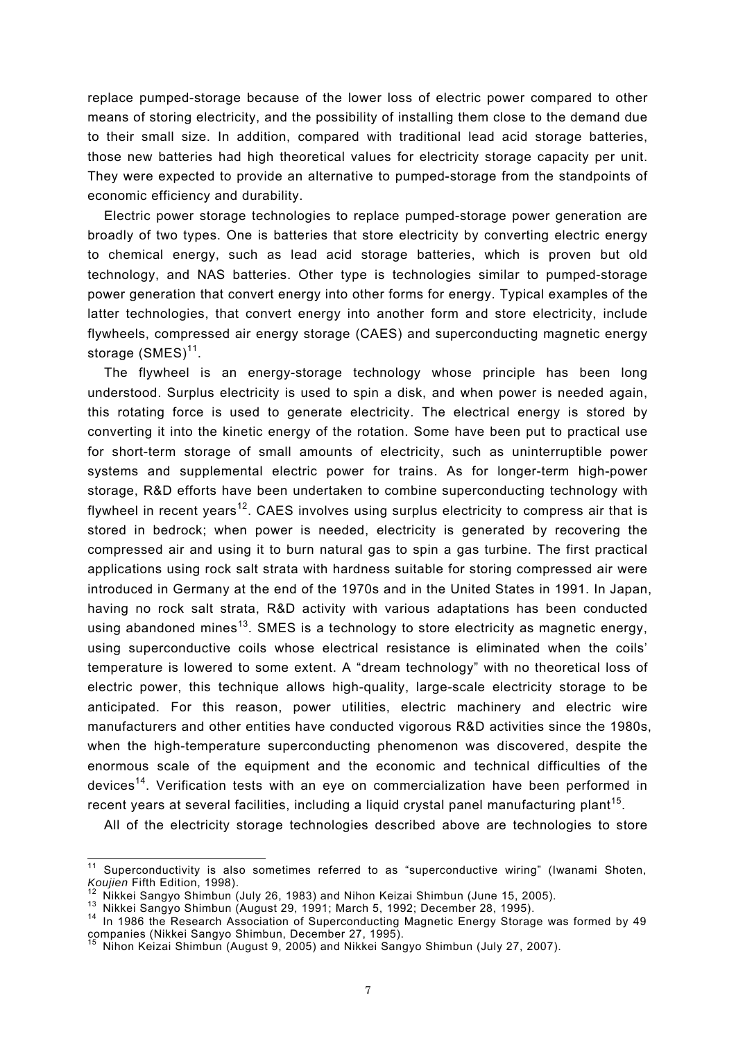replace pumped-storage because of the lower loss of electric power compared to other means of storing electricity, and the possibility of installing them close to the demand due to their small size. In addition, compared with traditional lead acid storage batteries, those new batteries had high theoretical values for electricity storage capacity per unit. They were expected to provide an alternative to pumped-storage from the standpoints of economic efficiency and durability.

Electric power storage technologies to replace pumped-storage power generation are broadly of two types. One is batteries that store electricity by converting electric energy to chemical energy, such as lead acid storage batteries, which is proven but old technology, and NAS batteries. Other type is technologies similar to pumped-storage power generation that convert energy into other forms for energy. Typical examples of the latter technologies, that convert energy into another form and store electricity, include flywheels, compressed air energy storage (CAES) and superconducting magnetic energy storage  $(SMES)^{11}$ .

The flywheel is an energy-storage technology whose principle has been long understood. Surplus electricity is used to spin a disk, and when power is needed again, this rotating force is used to generate electricity. The electrical energy is stored by converting it into the kinetic energy of the rotation. Some have been put to practical use for short-term storage of small amounts of electricity, such as uninterruptible power systems and supplemental electric power for trains. As for longer-term high-power storage, R&D efforts have been undertaken to combine superconducting technology with flywheel in recent years<sup>12</sup>. CAES involves using surplus electricity to compress air that is stored in bedrock; when power is needed, electricity is generated by recovering the compressed air and using it to burn natural gas to spin a gas turbine. The first practical applications using rock salt strata with hardness suitable for storing compressed air were introduced in Germany at the end of the 1970s and in the United States in 1991. In Japan, having no rock salt strata, R&D activity with various adaptations has been conducted using abandoned mines<sup>13</sup>. SMES is a technology to store electricity as magnetic energy, using superconductive coils whose electrical resistance is eliminated when the coils' temperature is lowered to some extent. A "dream technology" with no theoretical loss of electric power, this technique allows high-quality, large-scale electricity storage to be anticipated. For this reason, power utilities, electric machinery and electric wire manufacturers and other entities have conducted vigorous R&D activities since the 1980s, when the high-temperature superconducting phenomenon was discovered, despite the enormous scale of the equipment and the economic and technical difficulties of the devices<sup>14</sup>. Verification tests with an eye on commercialization have been performed in recent years at several facilities, including a liquid crystal panel manufacturing plant<sup>15</sup>.

All of the electricity storage technologies described above are technologies to store

-

 $11$  Superconductivity is also sometimes referred to as "superconductive wiring" (Iwanami Shoten, Koujien Fifth Edition, 1998).<br>
<sup>12</sup> Nikkei Sangyo Shimbun (July 26, 1983) and Nihon Keizai Shimbun (June 15, 2005).<br>
<sup>13</sup> Nikkei Sangyo Shimbun (August 29, 1991; March 5, 1992; December 28, 1995).<br>
<sup>14</sup> In 1986 the Researc

companies (Nikkei Sangyo Shimbun, December 27, 1995).<br><sup>15</sup> Nihon Koizei Shimbun, December 27, 1995).

<sup>15</sup> Nihon Keizai Shimbun (August 9, 2005) and Nikkei Sangyo Shimbun (July 27, 2007).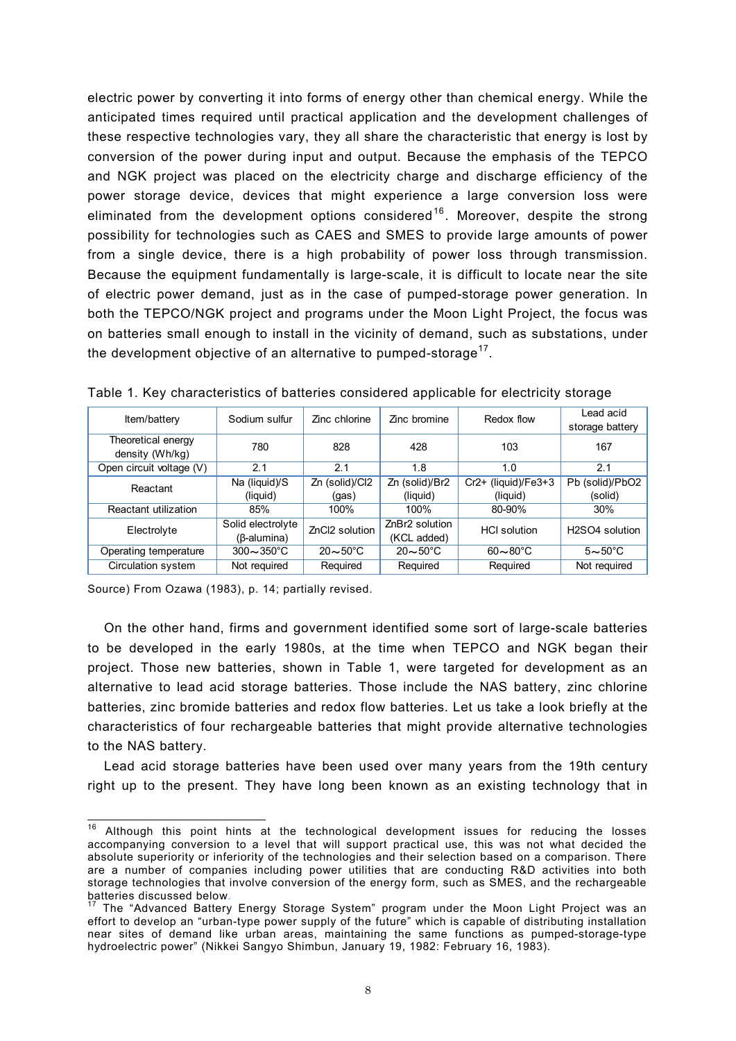electric power by converting it into forms of energy other than chemical energy. While the anticipated times required until practical application and the development challenges of these respective technologies vary, they all share the characteristic that energy is lost by conversion of the power during input and output. Because the emphasis of the TEPCO and NGK project was placed on the electricity charge and discharge efficiency of the power storage device, devices that might experience a large conversion loss were eliminated from the development options considered<sup>16</sup>. Moreover, despite the strong possibility for technologies such as CAES and SMES to provide large amounts of power from a single device, there is a high probability of power loss through transmission. Because the equipment fundamentally is large-scale, it is difficult to locate near the site of electric power demand, just as in the case of pumped-storage power generation. In both the TEPCO/NGK project and programs under the Moon Light Project, the focus was on batteries small enough to install in the vicinity of demand, such as substations, under the development objective of an alternative to pumped-storage $17$ .

| Item/battery                          | Sodium sulfur                           | Zinc chlorine         | Zinc bromine                  | Redox flow               | Lead acid<br>storage battery            |
|---------------------------------------|-----------------------------------------|-----------------------|-------------------------------|--------------------------|-----------------------------------------|
| Theoretical energy<br>density (Wh/kg) | 780                                     | 828                   | 428                           | 103                      | 167                                     |
| Open circuit voltage (V)              | 2.1                                     | 2.1                   | 1.8                           | 1.0                      | 2.1                                     |
| Reactant                              | Na (liquid)/S                           | Zn (solid)/Cl2        | Zn (solid)/Br2                | $Cr2+$ (liquid)/ $Fe3+3$ | Pb (solid)/PbO2                         |
|                                       | (liquid)                                | (gas)                 | (liquid)                      | (liquid)                 | (solid)                                 |
| Reactant utilization                  | 85%                                     | 100%                  | 100%                          | 80-90%                   | 30%                                     |
| Electrolyte                           | Solid electrolyte<br>$(\beta$ -alumina) | ZnCl2 solution        | ZnBr2 solution<br>(KCL added) | <b>HCI</b> solution      | H <sub>2</sub> SO <sub>4</sub> solution |
| Operating temperature                 | $300 - 350^{\circ}$ C                   | $20\sim 50^{\circ}$ C | $20 \sim 50^{\circ}$ C        | $60\sim80^{\circ}$ C     | $5 \sim 50^{\circ}$ C                   |
| Circulation system                    | Not required                            | Required              | Required                      | Required                 | Not required                            |

Table 1. Key characteristics of batteries considered applicable for electricity storage

Source) From Ozawa (1983), p. 14; partially revised.

 $\overline{a}$ 

On the other hand, firms and government identified some sort of large-scale batteries to be developed in the early 1980s, at the time when TEPCO and NGK began their project. Those new batteries, shown in Table 1, were targeted for development as an alternative to lead acid storage batteries. Those include the NAS battery, zinc chlorine batteries, zinc bromide batteries and redox flow batteries. Let us take a look briefly at the characteristics of four rechargeable batteries that might provide alternative technologies to the NAS battery.

Lead acid storage batteries have been used over many years from the 19th century right up to the present. They have long been known as an existing technology that in

 $16$  Although this point hints at the technological development issues for reducing the losses accompanying conversion to a level that will support practical use, this was not what decided the absolute superiority or inferiority of the technologies and their selection based on a comparison. There are a number of companies including power utilities that are conducting R&D activities into both storage technologies that involve conversion of the energy form, such as SMES, and the rechargeable

batteries discussed below.<br><sup>17</sup> The "Advanced Battery Energy Storage System" program under the Moon Light Project was an effort to develop an "urban-type power supply of the future" which is capable of distributing installation near sites of demand like urban areas, maintaining the same functions as pumped-storage-type hydroelectric power" (Nikkei Sangyo Shimbun, January 19, 1982: February 16, 1983).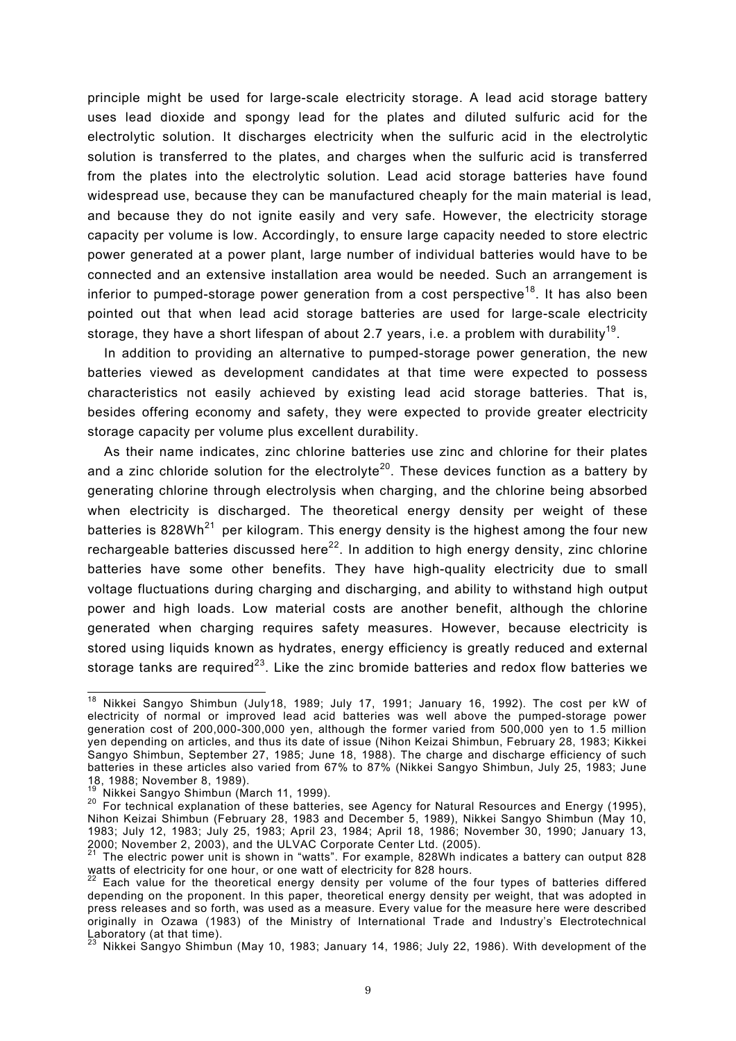principle might be used for large-scale electricity storage. A lead acid storage battery uses lead dioxide and spongy lead for the plates and diluted sulfuric acid for the electrolytic solution. It discharges electricity when the sulfuric acid in the electrolytic solution is transferred to the plates, and charges when the sulfuric acid is transferred from the plates into the electrolytic solution. Lead acid storage batteries have found widespread use, because they can be manufactured cheaply for the main material is lead, and because they do not ignite easily and very safe. However, the electricity storage capacity per volume is low. Accordingly, to ensure large capacity needed to store electric power generated at a power plant, large number of individual batteries would have to be connected and an extensive installation area would be needed. Such an arrangement is inferior to pumped-storage power generation from a cost perspective<sup>18</sup>. It has also been pointed out that when lead acid storage batteries are used for large-scale electricity storage, they have a short lifespan of about 2.7 years, i.e. a problem with durability<sup>19</sup>.

In addition to providing an alternative to pumped-storage power generation, the new batteries viewed as development candidates at that time were expected to possess characteristics not easily achieved by existing lead acid storage batteries. That is, besides offering economy and safety, they were expected to provide greater electricity storage capacity per volume plus excellent durability.

As their name indicates, zinc chlorine batteries use zinc and chlorine for their plates and a zinc chloride solution for the electrolyte<sup>20</sup>. These devices function as a battery by generating chlorine through electrolysis when charging, and the chlorine being absorbed when electricity is discharged. The theoretical energy density per weight of these batteries is 828Wh<sup>21</sup> per kilogram. This energy density is the highest among the four new rechargeable batteries discussed here<sup>22</sup>. In addition to high energy density, zinc chlorine batteries have some other benefits. They have high-quality electricity due to small voltage fluctuations during charging and discharging, and ability to withstand high output power and high loads. Low material costs are another benefit, although the chlorine generated when charging requires safety measures. However, because electricity is stored using liquids known as hydrates, energy efficiency is greatly reduced and external storage tanks are required<sup>23</sup>. Like the zinc bromide batteries and redox flow batteries we

<sup>-</sup><sup>18</sup> Nikkei Sangyo Shimbun (July18, 1989; July 17, 1991; January 16, 1992). The cost per kW of electricity of normal or improved lead acid batteries was well above the pumped-storage power generation cost of 200,000-300,000 yen, although the former varied from 500,000 yen to 1.5 million yen depending on articles, and thus its date of issue (Nihon Keizai Shimbun, February 28, 1983; Kikkei Sangyo Shimbun, September 27, 1985; June 18, 1988). The charge and discharge efficiency of such batteries in these articles also varied from 67% to 87% (Nikkei Sangyo Shimbun, July 25, 1983; June 18, 1988; November 8, 1989).<br><sup>19</sup> Nikkei Sangyo Shimbun (March 11, 1999).

<sup>&</sup>lt;sup>20</sup> For technical explanation of these batteries, see Agency for Natural Resources and Energy (1995), Nihon Keizai Shimbun (February 28, 1983 and December 5, 1989), Nikkei Sangyo Shimbun (May 10, 1983; July 12, 1983; July 25, 1983; April 23, 1984; April 18, 1986; November 30, 1990; January 13,

<sup>21</sup> The electric power unit is shown in "watts". For example, 828Wh indicates a battery can output 828 watts of electricity for one hour, or one watt of electricity for 828 hours.

 $22$  Each value for the theoretical energy density per volume of the four types of batteries differed depending on the proponent. In this paper, theoretical energy density per weight, that was adopted in press releases and so forth, was used as a measure. Every value for the measure here were described originally in Ozawa (1983) of the Ministry of International Trade and Industry's Electrotechnical Laboratory (at that time).

<sup>23</sup> Nikkei Sangyo Shimbun (May 10, 1983; January 14, 1986; July 22, 1986). With development of the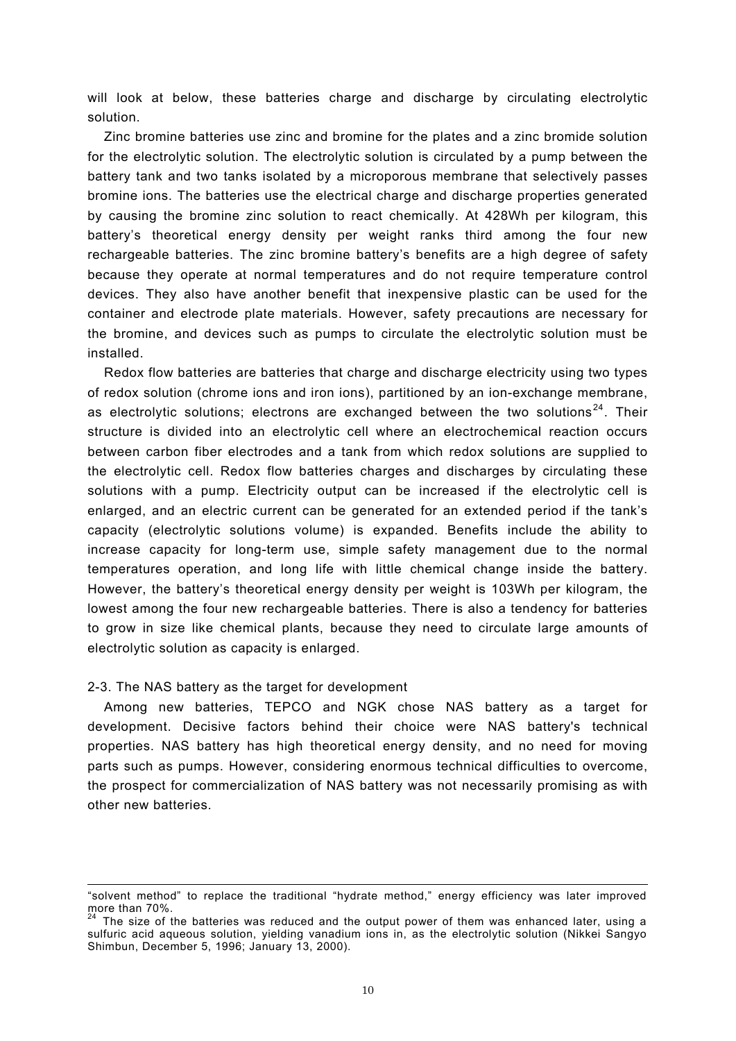will look at below, these batteries charge and discharge by circulating electrolytic solution.

Zinc bromine batteries use zinc and bromine for the plates and a zinc bromide solution for the electrolytic solution. The electrolytic solution is circulated by a pump between the battery tank and two tanks isolated by a microporous membrane that selectively passes bromine ions. The batteries use the electrical charge and discharge properties generated by causing the bromine zinc solution to react chemically. At 428Wh per kilogram, this battery's theoretical energy density per weight ranks third among the four new rechargeable batteries. The zinc bromine battery's benefits are a high degree of safety because they operate at normal temperatures and do not require temperature control devices. They also have another benefit that inexpensive plastic can be used for the container and electrode plate materials. However, safety precautions are necessary for the bromine, and devices such as pumps to circulate the electrolytic solution must be installed.

Redox flow batteries are batteries that charge and discharge electricity using two types of redox solution (chrome ions and iron ions), partitioned by an ion-exchange membrane, as electrolytic solutions; electrons are exchanged between the two solutions<sup>24</sup>. Their structure is divided into an electrolytic cell where an electrochemical reaction occurs between carbon fiber electrodes and a tank from which redox solutions are supplied to the electrolytic cell. Redox flow batteries charges and discharges by circulating these solutions with a pump. Electricity output can be increased if the electrolytic cell is enlarged, and an electric current can be generated for an extended period if the tank's capacity (electrolytic solutions volume) is expanded. Benefits include the ability to increase capacity for long-term use, simple safety management due to the normal temperatures operation, and long life with little chemical change inside the battery. However, the battery's theoretical energy density per weight is 103Wh per kilogram, the lowest among the four new rechargeable batteries. There is also a tendency for batteries to grow in size like chemical plants, because they need to circulate large amounts of electrolytic solution as capacity is enlarged.

#### 2-3. The NAS battery as the target for development

 $\overline{a}$ 

Among new batteries, TEPCO and NGK chose NAS battery as a target for development. Decisive factors behind their choice were NAS battery's technical properties. NAS battery has high theoretical energy density, and no need for moving parts such as pumps. However, considering enormous technical difficulties to overcome, the prospect for commercialization of NAS battery was not necessarily promising as with other new batteries.

<sup>&</sup>quot;solvent method" to replace the traditional "hydrate method," energy efficiency was later improved more than 70%.

<sup>&</sup>lt;sup>24</sup> The size of the batteries was reduced and the output power of them was enhanced later, using a sulfuric acid aqueous solution, yielding vanadium ions in, as the electrolytic solution (Nikkei Sangyo Shimbun, December 5, 1996; January 13, 2000).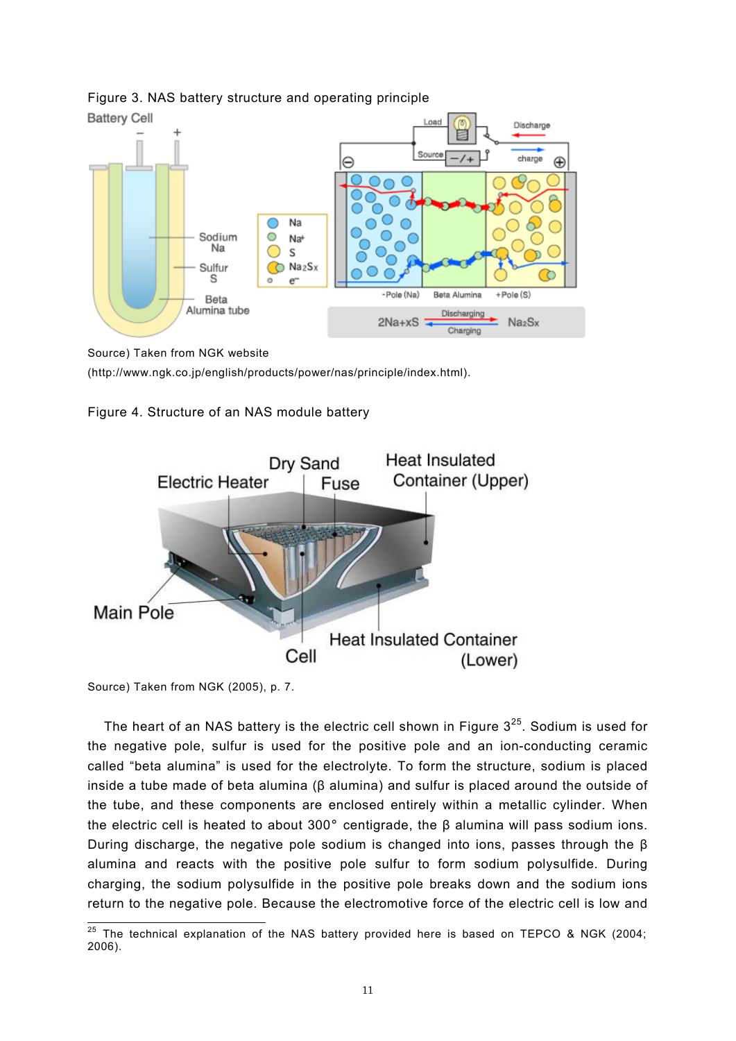

# Figure 3. NAS battery structure and operating principle

Source) Taken from NGK website

(http://www.ngk.co.jp/english/products/power/nas/principle/index.html).





Source) Taken from NGK (2005), p. 7.

The heart of an NAS battery is the electric cell shown in Figure  $3^{25}$ . Sodium is used for the negative pole, sulfur is used for the positive pole and an ion-conducting ceramic called "beta alumina" is used for the electrolyte. To form the structure, sodium is placed inside a tube made of beta alumina (β alumina) and sulfur is placed around the outside of the tube, and these components are enclosed entirely within a metallic cylinder. When the electric cell is heated to about 300° centigrade, the β alumina will pass sodium ions. During discharge, the negative pole sodium is changed into ions, passes through the  $\beta$ alumina and reacts with the positive pole sulfur to form sodium polysulfide. During charging, the sodium polysulfide in the positive pole breaks down and the sodium ions return to the negative pole. Because the electromotive force of the electric cell is low and

 $\overline{\phantom{a}}$  $25$  The technical explanation of the NAS battery provided here is based on TEPCO & NGK (2004; 2006).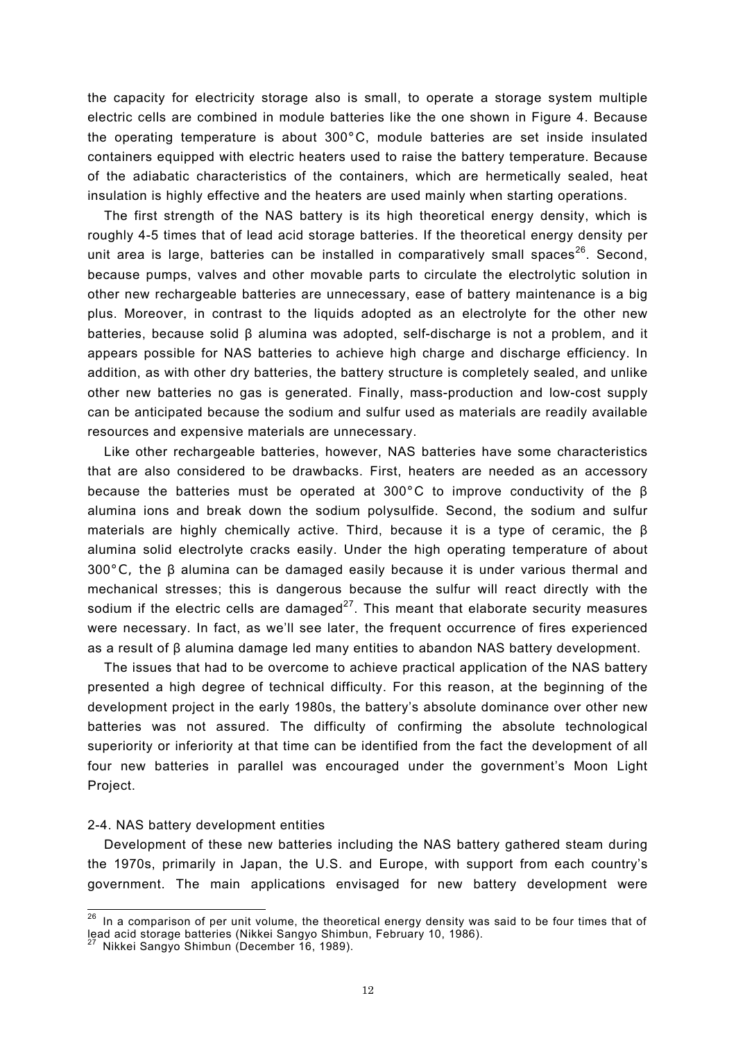the capacity for electricity storage also is small, to operate a storage system multiple electric cells are combined in module batteries like the one shown in Figure 4. Because the operating temperature is about 300°C, module batteries are set inside insulated containers equipped with electric heaters used to raise the battery temperature. Because of the adiabatic characteristics of the containers, which are hermetically sealed, heat insulation is highly effective and the heaters are used mainly when starting operations.

The first strength of the NAS battery is its high theoretical energy density, which is roughly 4-5 times that of lead acid storage batteries. If the theoretical energy density per unit area is large, batteries can be installed in comparatively small spaces<sup>26</sup>. Second, because pumps, valves and other movable parts to circulate the electrolytic solution in other new rechargeable batteries are unnecessary, ease of battery maintenance is a big plus. Moreover, in contrast to the liquids adopted as an electrolyte for the other new batteries, because solid β alumina was adopted, self-discharge is not a problem, and it appears possible for NAS batteries to achieve high charge and discharge efficiency. In addition, as with other dry batteries, the battery structure is completely sealed, and unlike other new batteries no gas is generated. Finally, mass-production and low-cost supply can be anticipated because the sodium and sulfur used as materials are readily available resources and expensive materials are unnecessary.

Like other rechargeable batteries, however, NAS batteries have some characteristics that are also considered to be drawbacks. First, heaters are needed as an accessory because the batteries must be operated at 300°C to improve conductivity of the β alumina ions and break down the sodium polysulfide. Second, the sodium and sulfur materials are highly chemically active. Third, because it is a type of ceramic, the  $\beta$ alumina solid electrolyte cracks easily. Under the high operating temperature of about 300°C, the β alumina can be damaged easily because it is under various thermal and mechanical stresses; this is dangerous because the sulfur will react directly with the sodium if the electric cells are damaged<sup>27</sup>. This meant that elaborate security measures were necessary. In fact, as we'll see later, the frequent occurrence of fires experienced as a result of β alumina damage led many entities to abandon NAS battery development.

The issues that had to be overcome to achieve practical application of the NAS battery presented a high degree of technical difficulty. For this reason, at the beginning of the development project in the early 1980s, the battery's absolute dominance over other new batteries was not assured. The difficulty of confirming the absolute technological superiority or inferiority at that time can be identified from the fact the development of all four new batteries in parallel was encouraged under the government's Moon Light Project.

#### 2-4. NAS battery development entities

 $\overline{a}$ 

Development of these new batteries including the NAS battery gathered steam during the 1970s, primarily in Japan, the U.S. and Europe, with support from each country's government. The main applications envisaged for new battery development were

 $^{26}$  In a comparison of per unit volume, the theoretical energy density was said to be four times that of lead acid storage batteries (Nikkei Sangyo Shimbun, February 10, 1986).

Nikkei Sangyo Shimbun (December 16, 1989).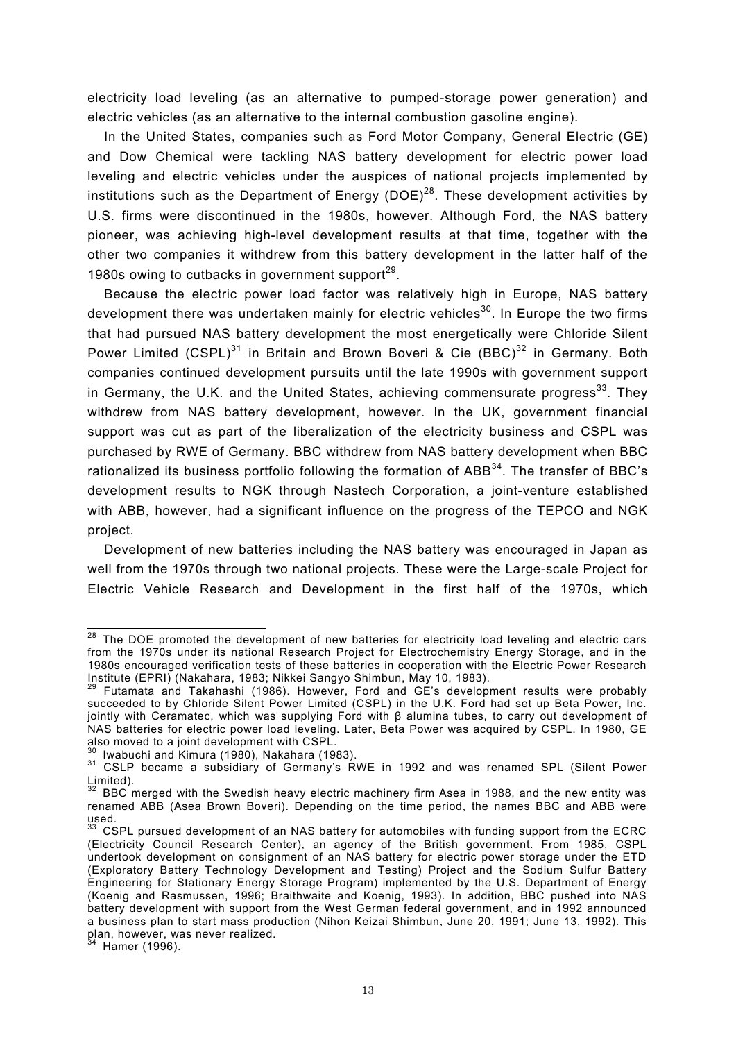electricity load leveling (as an alternative to pumped-storage power generation) and electric vehicles (as an alternative to the internal combustion gasoline engine).

In the United States, companies such as Ford Motor Company, General Electric (GE) and Dow Chemical were tackling NAS battery development for electric power load leveling and electric vehicles under the auspices of national projects implemented by institutions such as the Department of Energy (DOE)<sup>28</sup>. These development activities by U.S. firms were discontinued in the 1980s, however. Although Ford, the NAS battery pioneer, was achieving high-level development results at that time, together with the other two companies it withdrew from this battery development in the latter half of the 1980s owing to cutbacks in government support $29$ .

Because the electric power load factor was relatively high in Europe, NAS battery development there was undertaken mainly for electric vehicles<sup>30</sup>. In Europe the two firms that had pursued NAS battery development the most energetically were Chloride Silent Power Limited (CSPL)<sup>31</sup> in Britain and Brown Boveri & Cie (BBC)<sup>32</sup> in Germany. Both companies continued development pursuits until the late 1990s with government support in Germany, the U.K. and the United States, achieving commensurate progress<sup>33</sup>. They withdrew from NAS battery development, however. In the UK, government financial support was cut as part of the liberalization of the electricity business and CSPL was purchased by RWE of Germany. BBC withdrew from NAS battery development when BBC rationalized its business portfolio following the formation of ABB<sup>34</sup>. The transfer of BBC's development results to NGK through Nastech Corporation, a joint-venture established with ABB, however, had a significant influence on the progress of the TEPCO and NGK project.

Development of new batteries including the NAS battery was encouraged in Japan as well from the 1970s through two national projects. These were the Large-scale Project for Electric Vehicle Research and Development in the first half of the 1970s, which

-

 $28$  The DOE promoted the development of new batteries for electricity load leveling and electric cars from the 1970s under its national Research Project for Electrochemistry Energy Storage, and in the 1980s encouraged verification tests of these batteries in cooperation with the Electric Power Research Institute (EPRI) (Nakahara, 1983; Nikkei Sangyo Shimbun, May 10, 1983). 29 Futamata and Takahashi (1986). However, Ford and GE's development results were probably

succeeded to by Chloride Silent Power Limited (CSPL) in the U.K. Ford had set up Beta Power, Inc. jointly with Ceramatec, which was supplying Ford with β alumina tubes, to carry out development of NAS batteries for electric power load leveling. Later, Beta Power was acquired by CSPL. In 1980, GE also moved to a joint development with  $CSPL$ .<br><sup>30</sup> Iwabuchi and Kimura (1980), Nakahara (1983).

<sup>31</sup> CSLP became a subsidiary of Germany's RWE in 1992 and was renamed SPL (Silent Power Limited).

 $32$  BBC merged with the Swedish heavy electric machinery firm Asea in 1988, and the new entity was renamed ABB (Asea Brown Boveri). Depending on the time period, the names BBC and ABB were used.

<sup>33</sup> CSPL pursued development of an NAS battery for automobiles with funding support from the ECRC (Electricity Council Research Center), an agency of the British government. From 1985, CSPL undertook development on consignment of an NAS battery for electric power storage under the ETD (Exploratory Battery Technology Development and Testing) Project and the Sodium Sulfur Battery Engineering for Stationary Energy Storage Program) implemented by the U.S. Department of Energy (Koenig and Rasmussen, 1996; Braithwaite and Koenig, 1993). In addition, BBC pushed into NAS battery development with support from the West German federal government, and in 1992 announced a business plan to start mass production (Nihon Keizai Shimbun, June 20, 1991; June 13, 1992). This plan, however, was never realized.

 $4$  Hamer (1996).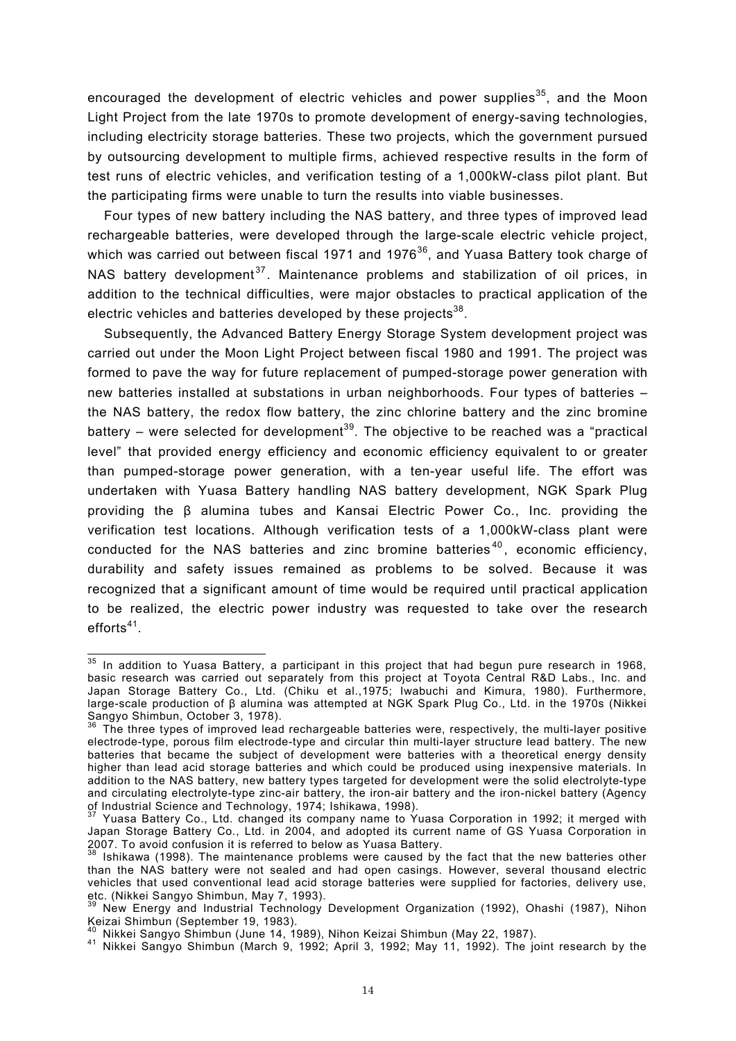encouraged the development of electric vehicles and power supplies<sup>35</sup>, and the Moon Light Project from the late 1970s to promote development of energy-saving technologies, including electricity storage batteries. These two projects, which the government pursued by outsourcing development to multiple firms, achieved respective results in the form of test runs of electric vehicles, and verification testing of a 1,000kW-class pilot plant. But the participating firms were unable to turn the results into viable businesses.

Four types of new battery including the NAS battery, and three types of improved lead rechargeable batteries, were developed through the large-scale electric vehicle project, which was carried out between fiscal 1971 and 1976 $36$ , and Yuasa Battery took charge of NAS battery development<sup>37</sup>. Maintenance problems and stabilization of oil prices, in addition to the technical difficulties, were major obstacles to practical application of the electric vehicles and batteries developed by these projects $38$ .

Subsequently, the Advanced Battery Energy Storage System development project was carried out under the Moon Light Project between fiscal 1980 and 1991. The project was formed to pave the way for future replacement of pumped-storage power generation with new batteries installed at substations in urban neighborhoods. Four types of batteries – the NAS battery, the redox flow battery, the zinc chlorine battery and the zinc bromine battery – were selected for development<sup>39</sup>. The objective to be reached was a "practical level" that provided energy efficiency and economic efficiency equivalent to or greater than pumped-storage power generation, with a ten-year useful life. The effort was undertaken with Yuasa Battery handling NAS battery development, NGK Spark Plug providing the β alumina tubes and Kansai Electric Power Co., Inc. providing the verification test locations. Although verification tests of a 1,000kW-class plant were conducted for the NAS batteries and zinc bromine batteries<sup>40</sup>, economic efficiency, durability and safety issues remained as problems to be solved. Because it was recognized that a significant amount of time would be required until practical application to be realized, the electric power industry was requested to take over the research  $efforts<sup>41</sup>$ .

 $\overline{a}$ 

 $35$  In addition to Yuasa Battery, a participant in this project that had begun pure research in 1968, basic research was carried out separately from this project at Toyota Central R&D Labs., Inc. and Japan Storage Battery Co., Ltd. (Chiku et al.,1975; Iwabuchi and Kimura, 1980). Furthermore, large-scale production of β alumina was attempted at NGK Spark Plug Co., Ltd. in the 1970s (Nikkei Sangyo Shimbun, October 3, 1978).

 $36$  The three types of improved lead rechargeable batteries were, respectively, the multi-layer positive electrode-type, porous film electrode-type and circular thin multi-layer structure lead battery. The new batteries that became the subject of development were batteries with a theoretical energy density higher than lead acid storage batteries and which could be produced using inexpensive materials. In addition to the NAS battery, new battery types targeted for development were the solid electrolyte-type and circulating electrolyte-type zinc-air battery, the iron-air battery and the iron-nickel battery (Agency of Industrial Science and Technology, 1974; Ishikawa, 1998).

 $37$  Yuasa Battery Co., Ltd. changed its company name to Yuasa Corporation in 1992; it merged with Japan Storage Battery Co., Ltd. in 2004, and adopted its current name of GS Yuasa Corporation in 2007. To avoid confusion it is referred to below as Yuasa Battery.

<sup>38</sup> Ishikawa (1998). The maintenance problems were caused by the fact that the new batteries other than the NAS battery were not sealed and had open casings. However, several thousand electric vehicles that used conventional lead acid storage batteries were supplied for factories, delivery use, etc. (Nikkei Sangyo Shimbun, May 7, 1993).

<sup>&</sup>lt;sup>39</sup> New Energy and Industrial Technology Development Organization (1992), Ohashi (1987), Nihon Keizai Shimbun (September 19, 1983).<br>Keizai Shimbun (September 19, 1983).<br><sup>40</sup> Nikkei Sangyo Shimbun (June 14, 1989), Nihon Keizai Shimbun (May 22, 1987).

<sup>41</sup> Nikkei Sangyo Shimbun (March 9, 1992; April 3, 1992; May 11, 1992). The joint research by the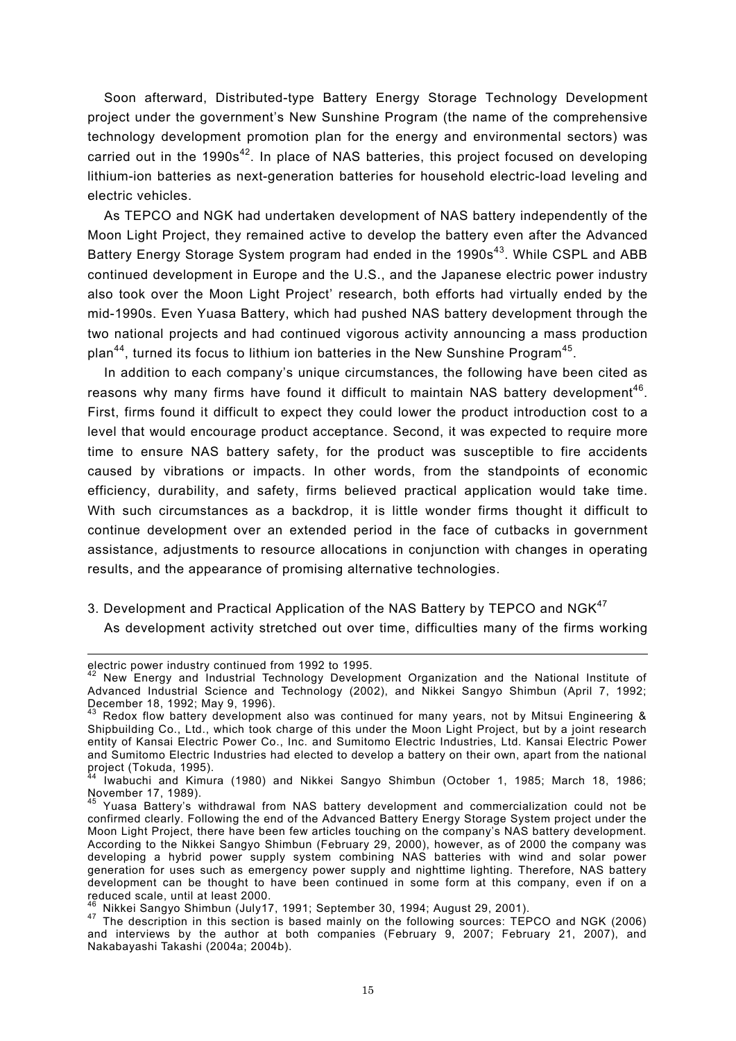Soon afterward, Distributed-type Battery Energy Storage Technology Development project under the government's New Sunshine Program (the name of the comprehensive technology development promotion plan for the energy and environmental sectors) was carried out in the 1990s<sup>42</sup>. In place of NAS batteries, this project focused on developing lithium-ion batteries as next-generation batteries for household electric-load leveling and electric vehicles.

As TEPCO and NGK had undertaken development of NAS battery independently of the Moon Light Project, they remained active to develop the battery even after the Advanced Battery Energy Storage System program had ended in the 1990s<sup>43</sup>. While CSPL and ABB continued development in Europe and the U.S., and the Japanese electric power industry also took over the Moon Light Project' research, both efforts had virtually ended by the mid-1990s. Even Yuasa Battery, which had pushed NAS battery development through the two national projects and had continued vigorous activity announcing a mass production plan<sup>44</sup>, turned its focus to lithium ion batteries in the New Sunshine Program<sup>45</sup>.

In addition to each company's unique circumstances, the following have been cited as reasons why many firms have found it difficult to maintain NAS battery development<sup>46</sup>. First, firms found it difficult to expect they could lower the product introduction cost to a level that would encourage product acceptance. Second, it was expected to require more time to ensure NAS battery safety, for the product was susceptible to fire accidents caused by vibrations or impacts. In other words, from the standpoints of economic efficiency, durability, and safety, firms believed practical application would take time. With such circumstances as a backdrop, it is little wonder firms thought it difficult to continue development over an extended period in the face of cutbacks in government assistance, adjustments to resource allocations in conjunction with changes in operating results, and the appearance of promising alternative technologies.

3. Development and Practical Application of the NAS Battery by TEPCO and NGK<sup>47</sup>

As development activity stretched out over time, difficulties many of the firms working

 $\overline{a}$ 

electric power industry continued from 1992 to 1995.

 $42$  New Energy and Industrial Technology Development Organization and the National Institute of Advanced Industrial Science and Technology (2002), and Nikkei Sangyo Shimbun (April 7, 1992; December 18, 1992; May 9, 1996).

 $43$  Redox flow battery development also was continued for many years, not by Mitsui Engineering & Shipbuilding Co., Ltd., which took charge of this under the Moon Light Project, but by a joint research entity of Kansai Electric Power Co., Inc. and Sumitomo Electric Industries, Ltd. Kansai Electric Power and Sumitomo Electric Industries had elected to develop a battery on their own, apart from the national project (Tokuda, 1995).

<sup>44</sup> Iwabuchi and Kimura (1980) and Nikkei Sangyo Shimbun (October 1, 1985; March 18, 1986; November 17, 1989).

Yuasa Battery's withdrawal from NAS battery development and commercialization could not be confirmed clearly. Following the end of the Advanced Battery Energy Storage System project under the Moon Light Project, there have been few articles touching on the company's NAS battery development. According to the Nikkei Sangyo Shimbun (February 29, 2000), however, as of 2000 the company was developing a hybrid power supply system combining NAS batteries with wind and solar power generation for uses such as emergency power supply and nighttime lighting. Therefore, NAS battery development can be thought to have been continued in some form at this company, even if on a reduced scale, until at least 2000.<br><sup>46</sup> Nikkei Sangyo Shimbun (July17, 1991; September 30, 1994; August 29, 2001).

<sup>47</sup> The description in this section is based mainly on the following sources: TEPCO and NGK (2006) and interviews by the author at both companies (February 9, 2007; February 21, 2007), and Nakabayashi Takashi (2004a; 2004b).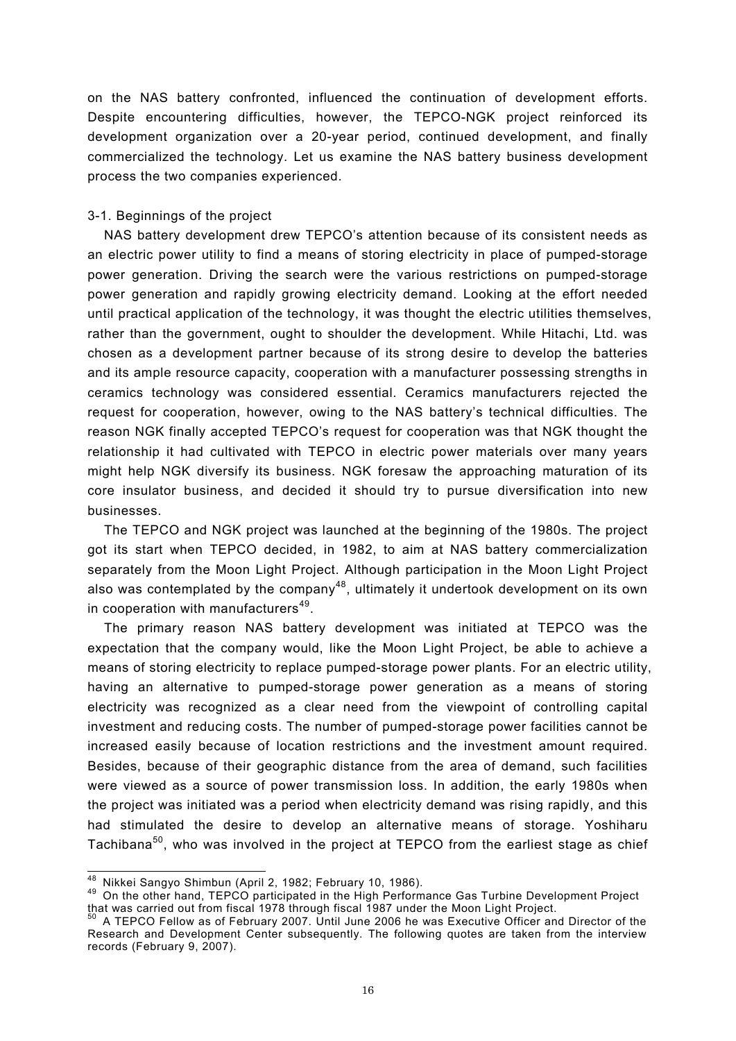on the NAS battery confronted, influenced the continuation of development efforts. Despite encountering difficulties, however, the TEPCO-NGK project reinforced its development organization over a 20-year period, continued development, and finally commercialized the technology. Let us examine the NAS battery business development process the two companies experienced.

# 3-1. Beginnings of the project

NAS battery development drew TEPCO's attention because of its consistent needs as an electric power utility to find a means of storing electricity in place of pumped-storage power generation. Driving the search were the various restrictions on pumped-storage power generation and rapidly growing electricity demand. Looking at the effort needed until practical application of the technology, it was thought the electric utilities themselves, rather than the government, ought to shoulder the development. While Hitachi, Ltd. was chosen as a development partner because of its strong desire to develop the batteries and its ample resource capacity, cooperation with a manufacturer possessing strengths in ceramics technology was considered essential. Ceramics manufacturers rejected the request for cooperation, however, owing to the NAS battery's technical difficulties. The reason NGK finally accepted TEPCO's request for cooperation was that NGK thought the relationship it had cultivated with TEPCO in electric power materials over many years might help NGK diversify its business. NGK foresaw the approaching maturation of its core insulator business, and decided it should try to pursue diversification into new businesses.

The TEPCO and NGK project was launched at the beginning of the 1980s. The project got its start when TEPCO decided, in 1982, to aim at NAS battery commercialization separately from the Moon Light Project. Although participation in the Moon Light Project also was contemplated by the company<sup>48</sup>, ultimately it undertook development on its own in cooperation with manufacturers $49$ .

The primary reason NAS battery development was initiated at TEPCO was the expectation that the company would, like the Moon Light Project, be able to achieve a means of storing electricity to replace pumped-storage power plants. For an electric utility, having an alternative to pumped-storage power generation as a means of storing electricity was recognized as a clear need from the viewpoint of controlling capital investment and reducing costs. The number of pumped-storage power facilities cannot be increased easily because of location restrictions and the investment amount required. Besides, because of their geographic distance from the area of demand, such facilities were viewed as a source of power transmission loss. In addition, the early 1980s when the project was initiated was a period when electricity demand was rising rapidly, and this had stimulated the desire to develop an alternative means of storage. Yoshiharu Tachibana<sup>50</sup>, who was involved in the project at TEPCO from the earliest stage as chief

<sup>&</sup>lt;sup>48</sup> Nikkei Sangyo Shimbun (April 2, 1982; February 10, 1986).

<sup>49</sup> On the other hand, TEPCO participated in the High Performance Gas Turbine Development Project that was carried out from fiscal 1978 through fiscal 1987 under the Moon Light Project.<br><sup>50</sup> A TEPCO Fellow as of February 2007. Until June 2006 he was Executive Officer and Director of the

Research and Development Center subsequently. The following quotes are taken from the interview records (February 9, 2007).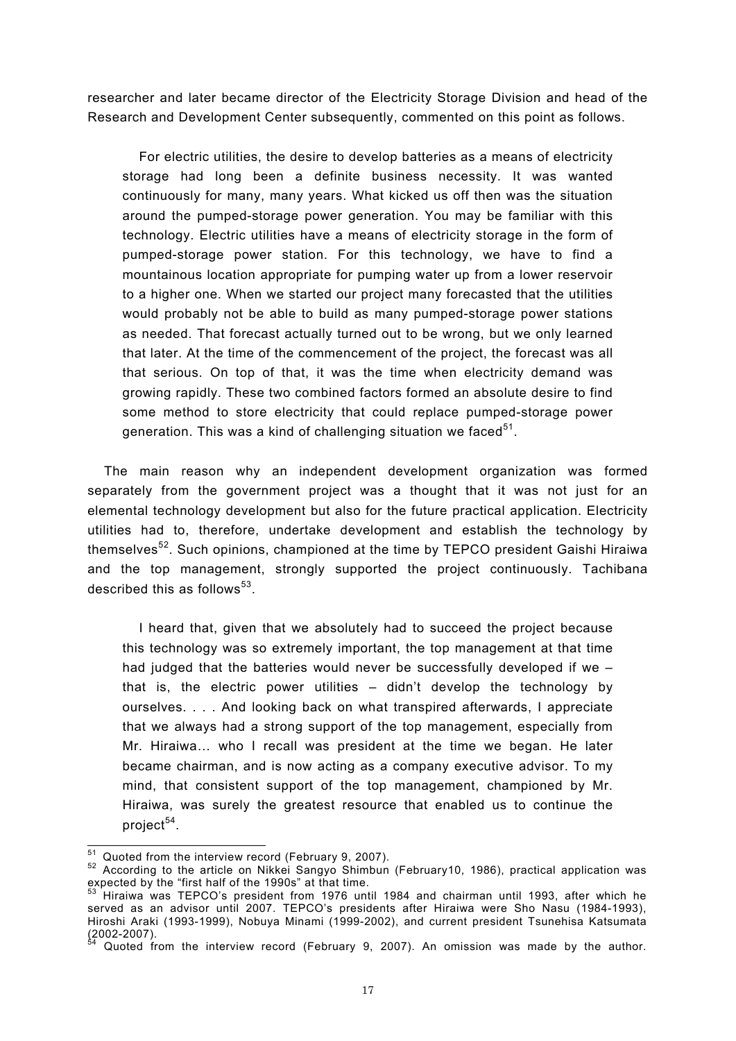researcher and later became director of the Electricity Storage Division and head of the Research and Development Center subsequently, commented on this point as follows.

For electric utilities, the desire to develop batteries as a means of electricity storage had long been a definite business necessity. It was wanted continuously for many, many years. What kicked us off then was the situation around the pumped-storage power generation. You may be familiar with this technology. Electric utilities have a means of electricity storage in the form of pumped-storage power station. For this technology, we have to find a mountainous location appropriate for pumping water up from a lower reservoir to a higher one. When we started our project many forecasted that the utilities would probably not be able to build as many pumped-storage power stations as needed. That forecast actually turned out to be wrong, but we only learned that later. At the time of the commencement of the project, the forecast was all that serious. On top of that, it was the time when electricity demand was growing rapidly. These two combined factors formed an absolute desire to find some method to store electricity that could replace pumped-storage power generation. This was a kind of challenging situation we faced<sup>51</sup>.

The main reason why an independent development organization was formed separately from the government project was a thought that it was not just for an elemental technology development but also for the future practical application. Electricity utilities had to, therefore, undertake development and establish the technology by themselves<sup>52</sup>. Such opinions, championed at the time by TEPCO president Gaishi Hiraiwa and the top management, strongly supported the project continuously. Tachibana described this as follows $^{53}$ .

I heard that, given that we absolutely had to succeed the project because this technology was so extremely important, the top management at that time had judged that the batteries would never be successfully developed if we – that is, the electric power utilities – didn't develop the technology by ourselves. . . . And looking back on what transpired afterwards, I appreciate that we always had a strong support of the top management, especially from Mr. Hiraiwa… who I recall was president at the time we began. He later became chairman, and is now acting as a company executive advisor. To my mind, that consistent support of the top management, championed by Mr. Hiraiwa, was surely the greatest resource that enabled us to continue the project $54$ .

<sup>&</sup>lt;sup>51</sup> Quoted from the interview record (February 9, 2007).

<sup>52</sup> According to the article on Nikkei Sangyo Shimbun (February 10, 1986), practical application was expected by the "first half of the 1990s" at that time.

<sup>53</sup> Hiraiwa was TEPCO's president from 1976 until 1984 and chairman until 1993, after which he served as an advisor until 2007. TEPCO's presidents after Hiraiwa were Sho Nasu (1984-1993), Hiroshi Araki (1993-1999), Nobuya Minami (1999-2002), and current president Tsunehisa Katsumata  $(2002 - 2007)$ .

Quoted from the interview record (February 9, 2007). An omission was made by the author.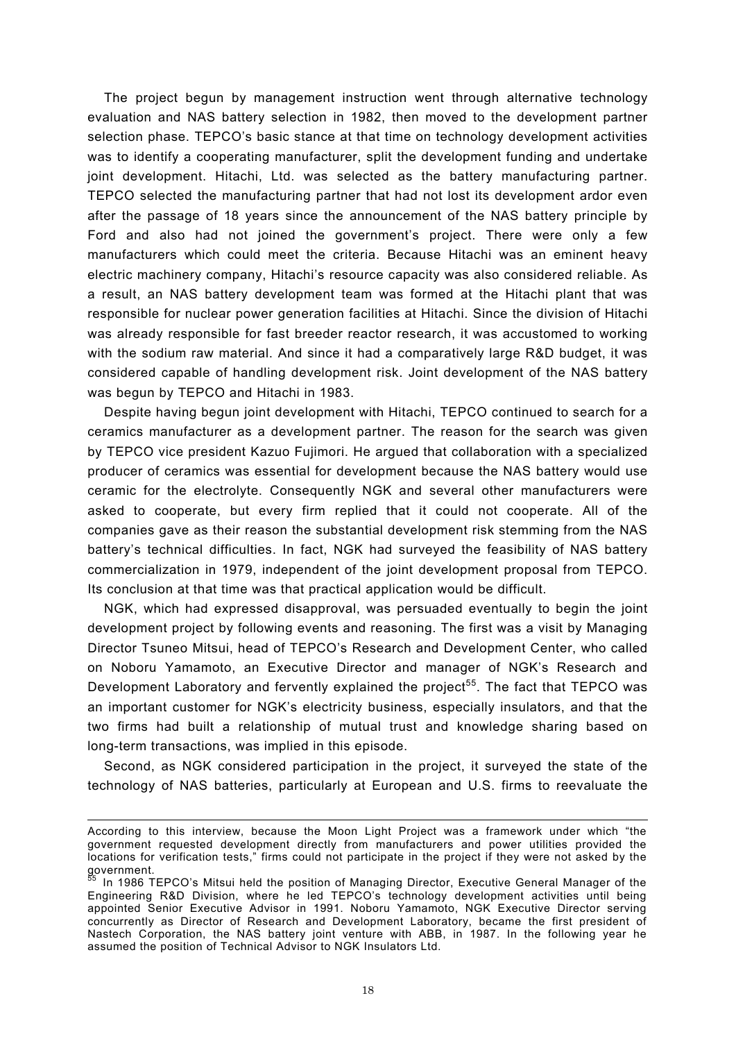The project begun by management instruction went through alternative technology evaluation and NAS battery selection in 1982, then moved to the development partner selection phase. TEPCO's basic stance at that time on technology development activities was to identify a cooperating manufacturer, split the development funding and undertake joint development. Hitachi, Ltd. was selected as the battery manufacturing partner. TEPCO selected the manufacturing partner that had not lost its development ardor even after the passage of 18 years since the announcement of the NAS battery principle by Ford and also had not joined the government's project. There were only a few manufacturers which could meet the criteria. Because Hitachi was an eminent heavy electric machinery company, Hitachi's resource capacity was also considered reliable. As a result, an NAS battery development team was formed at the Hitachi plant that was responsible for nuclear power generation facilities at Hitachi. Since the division of Hitachi was already responsible for fast breeder reactor research, it was accustomed to working with the sodium raw material. And since it had a comparatively large R&D budget, it was considered capable of handling development risk. Joint development of the NAS battery was begun by TEPCO and Hitachi in 1983.

Despite having begun joint development with Hitachi, TEPCO continued to search for a ceramics manufacturer as a development partner. The reason for the search was given by TEPCO vice president Kazuo Fujimori. He argued that collaboration with a specialized producer of ceramics was essential for development because the NAS battery would use ceramic for the electrolyte. Consequently NGK and several other manufacturers were asked to cooperate, but every firm replied that it could not cooperate. All of the companies gave as their reason the substantial development risk stemming from the NAS battery's technical difficulties. In fact, NGK had surveyed the feasibility of NAS battery commercialization in 1979, independent of the joint development proposal from TEPCO. Its conclusion at that time was that practical application would be difficult.

NGK, which had expressed disapproval, was persuaded eventually to begin the joint development project by following events and reasoning. The first was a visit by Managing Director Tsuneo Mitsui, head of TEPCO's Research and Development Center, who called on Noboru Yamamoto, an Executive Director and manager of NGK's Research and Development Laboratory and fervently explained the project<sup>55</sup>. The fact that TEPCO was an important customer for NGK's electricity business, especially insulators, and that the two firms had built a relationship of mutual trust and knowledge sharing based on long-term transactions, was implied in this episode.

Second, as NGK considered participation in the project, it surveyed the state of the technology of NAS batteries, particularly at European and U.S. firms to reevaluate the

 $\overline{a}$ 

According to this interview, because the Moon Light Project was a framework under which "the government requested development directly from manufacturers and power utilities provided the locations for verification tests," firms could not participate in the project if they were not asked by the government.

In 1986 TEPCO's Mitsui held the position of Managing Director, Executive General Manager of the Engineering R&D Division, where he led TEPCO's technology development activities until being appointed Senior Executive Advisor in 1991. Noboru Yamamoto, NGK Executive Director serving concurrently as Director of Research and Development Laboratory, became the first president of Nastech Corporation, the NAS battery joint venture with ABB, in 1987. In the following year he assumed the position of Technical Advisor to NGK Insulators Ltd.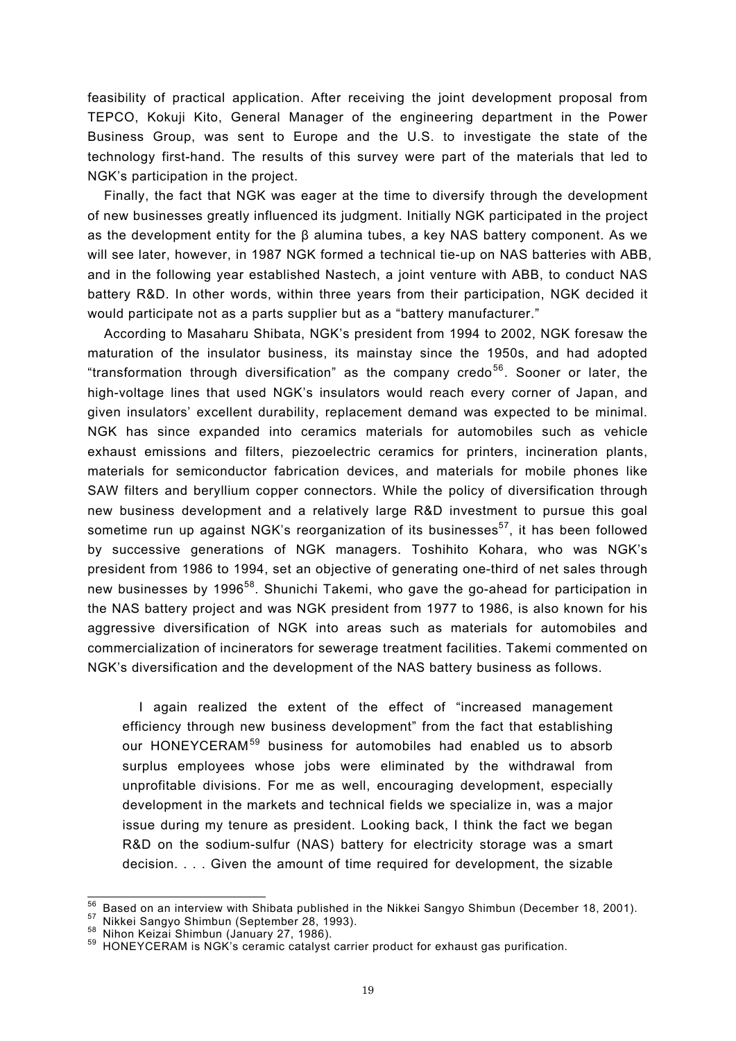feasibility of practical application. After receiving the joint development proposal from TEPCO, Kokuji Kito, General Manager of the engineering department in the Power Business Group, was sent to Europe and the U.S. to investigate the state of the technology first-hand. The results of this survey were part of the materials that led to NGK's participation in the project.

Finally, the fact that NGK was eager at the time to diversify through the development of new businesses greatly influenced its judgment. Initially NGK participated in the project as the development entity for the  $\beta$  alumina tubes, a key NAS battery component. As we will see later, however, in 1987 NGK formed a technical tie-up on NAS batteries with ABB, and in the following year established Nastech, a joint venture with ABB, to conduct NAS battery R&D. In other words, within three years from their participation, NGK decided it would participate not as a parts supplier but as a "battery manufacturer."

According to Masaharu Shibata, NGK's president from 1994 to 2002, NGK foresaw the maturation of the insulator business, its mainstay since the 1950s, and had adopted "transformation through diversification" as the company credo<sup>56</sup>. Sooner or later, the high-voltage lines that used NGK's insulators would reach every corner of Japan, and given insulators' excellent durability, replacement demand was expected to be minimal. NGK has since expanded into ceramics materials for automobiles such as vehicle exhaust emissions and filters, piezoelectric ceramics for printers, incineration plants, materials for semiconductor fabrication devices, and materials for mobile phones like SAW filters and beryllium copper connectors. While the policy of diversification through new business development and a relatively large R&D investment to pursue this goal sometime run up against NGK's reorganization of its businesses<sup>57</sup>, it has been followed by successive generations of NGK managers. Toshihito Kohara, who was NGK's president from 1986 to 1994, set an objective of generating one-third of net sales through new businesses by 1996<sup>58</sup>. Shunichi Takemi, who gave the go-ahead for participation in the NAS battery project and was NGK president from 1977 to 1986, is also known for his aggressive diversification of NGK into areas such as materials for automobiles and commercialization of incinerators for sewerage treatment facilities. Takemi commented on NGK's diversification and the development of the NAS battery business as follows.

I again realized the extent of the effect of "increased management efficiency through new business development" from the fact that establishing our HONEYCERAM<sup>59</sup> business for automobiles had enabled us to absorb surplus employees whose jobs were eliminated by the withdrawal from unprofitable divisions. For me as well, encouraging development, especially development in the markets and technical fields we specialize in, was a major issue during my tenure as president. Looking back, I think the fact we began R&D on the sodium-sulfur (NAS) battery for electricity storage was a smart decision. . . . Given the amount of time required for development, the sizable

 $\overline{\phantom{a}}$ 

<sup>&</sup>lt;sup>56</sup> Based on an interview with Shibata published in the Nikkei Sangyo Shimbun (December 18, 2001).<br><sup>57</sup> Nikkei Sangyo Shimbun (September 28, 1993).<br><sup>58</sup> Nihon Keizai Shimbun (January 27, 1986).<br><sup>59</sup> HONEYCERAM is NGK's ce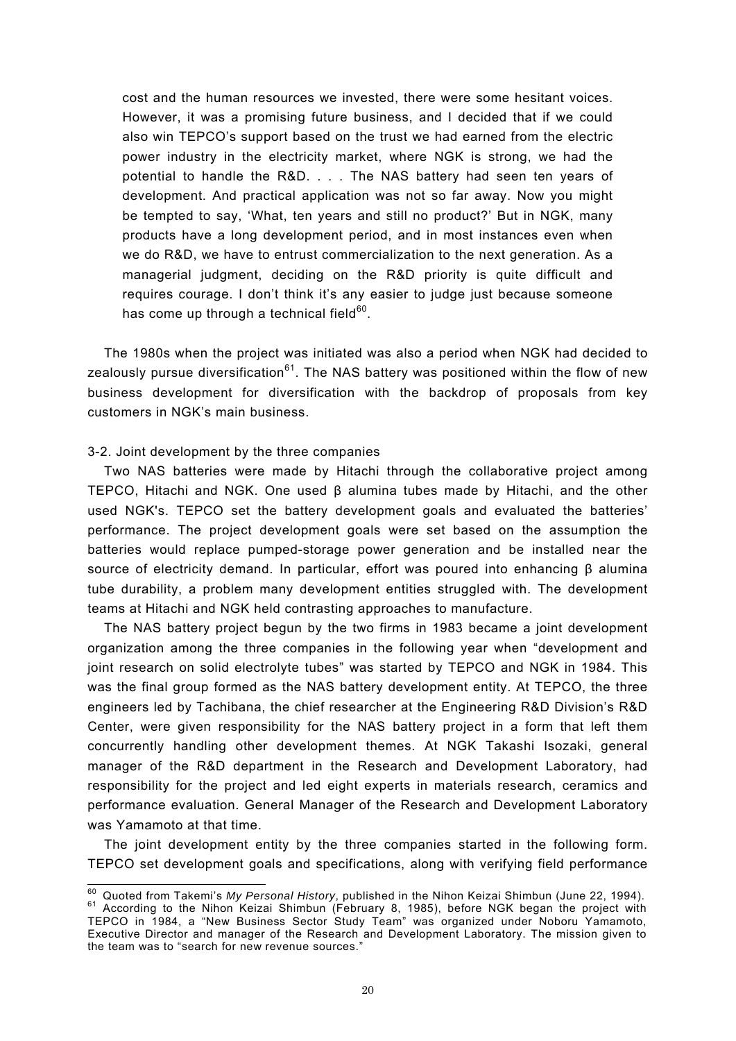cost and the human resources we invested, there were some hesitant voices. However, it was a promising future business, and I decided that if we could also win TEPCO's support based on the trust we had earned from the electric power industry in the electricity market, where NGK is strong, we had the potential to handle the R&D. . . . The NAS battery had seen ten years of development. And practical application was not so far away. Now you might be tempted to say, 'What, ten years and still no product?' But in NGK, many products have a long development period, and in most instances even when we do R&D, we have to entrust commercialization to the next generation. As a managerial judgment, deciding on the R&D priority is quite difficult and requires courage. I don't think it's any easier to judge just because someone has come up through a technical field $60$ .

The 1980s when the project was initiated was also a period when NGK had decided to zealously pursue diversification $61$ . The NAS battery was positioned within the flow of new business development for diversification with the backdrop of proposals from key customers in NGK's main business.

#### 3-2. Joint development by the three companies

Two NAS batteries were made by Hitachi through the collaborative project among TEPCO, Hitachi and NGK. One used β alumina tubes made by Hitachi, and the other used NGK's. TEPCO set the battery development goals and evaluated the batteries' performance. The project development goals were set based on the assumption the batteries would replace pumped-storage power generation and be installed near the source of electricity demand. In particular, effort was poured into enhancing β alumina tube durability, a problem many development entities struggled with. The development teams at Hitachi and NGK held contrasting approaches to manufacture.

The NAS battery project begun by the two firms in 1983 became a joint development organization among the three companies in the following year when "development and joint research on solid electrolyte tubes" was started by TEPCO and NGK in 1984. This was the final group formed as the NAS battery development entity. At TEPCO, the three engineers led by Tachibana, the chief researcher at the Engineering R&D Division's R&D Center, were given responsibility for the NAS battery project in a form that left them concurrently handling other development themes. At NGK Takashi Isozaki, general manager of the R&D department in the Research and Development Laboratory, had responsibility for the project and led eight experts in materials research, ceramics and performance evaluation. General Manager of the Research and Development Laboratory was Yamamoto at that time.

The joint development entity by the three companies started in the following form. TEPCO set development goals and specifications, along with verifying field performance

<sup>&</sup>lt;sup>60</sup> Ouoted from Takemi's My Personal History, published in the Nihon Keizai Shimbun (June 22, 1994). <sup>60</sup> Quoted from Takemi's *My Personal History*, published in the Nihon Keizai Shimbun (June 22, 1994).<br><sup>61</sup> According to the Nihon Keizai Shimbun (February 8, 1985), before NGK began the project with TEPCO in 1984, a "New Business Sector Study Team" was organized under Noboru Yamamoto, Executive Director and manager of the Research and Development Laboratory. The mission given to the team was to "search for new revenue sources."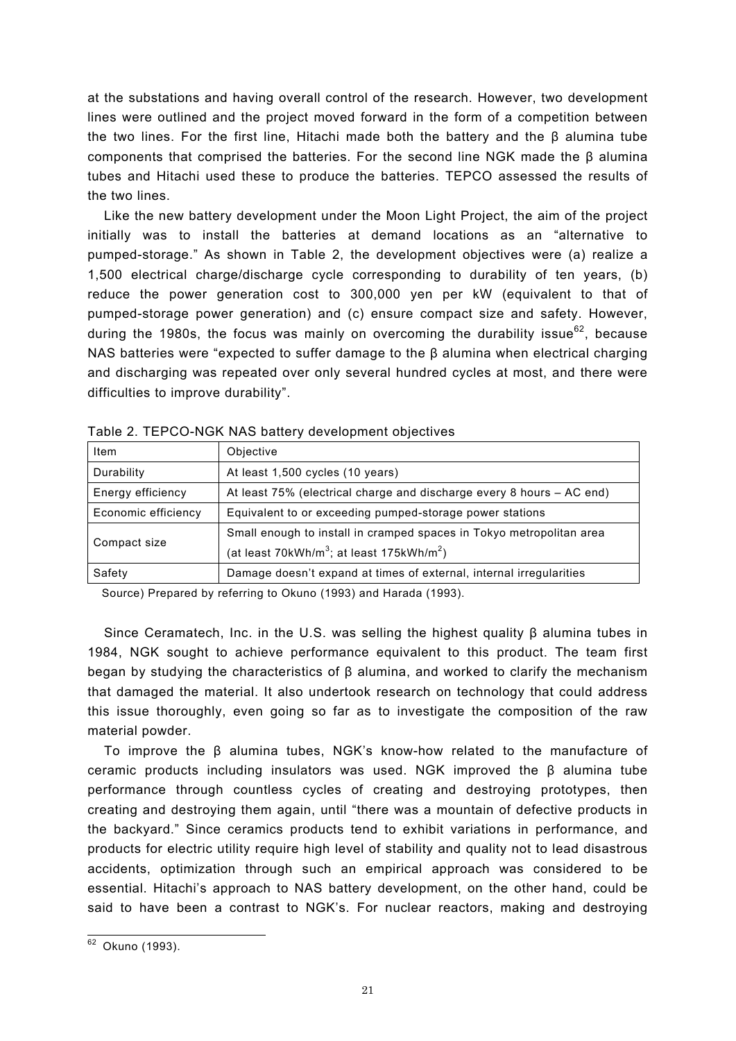at the substations and having overall control of the research. However, two development lines were outlined and the project moved forward in the form of a competition between the two lines. For the first line, Hitachi made both the battery and the  $\beta$  alumina tube components that comprised the batteries. For the second line NGK made the β alumina tubes and Hitachi used these to produce the batteries. TEPCO assessed the results of the two lines.

Like the new battery development under the Moon Light Project, the aim of the project initially was to install the batteries at demand locations as an "alternative to pumped-storage." As shown in Table 2, the development objectives were (a) realize a 1,500 electrical charge/discharge cycle corresponding to durability of ten years, (b) reduce the power generation cost to 300,000 yen per kW (equivalent to that of pumped-storage power generation) and (c) ensure compact size and safety. However, during the 1980s, the focus was mainly on overcoming the durability issue $^{62}$ , because NAS batteries were "expected to suffer damage to the β alumina when electrical charging and discharging was repeated over only several hundred cycles at most, and there were difficulties to improve durability".

| Item                                                                                       | Objective                                                                                                                                 |  |
|--------------------------------------------------------------------------------------------|-------------------------------------------------------------------------------------------------------------------------------------------|--|
| Durability                                                                                 | At least 1,500 cycles (10 years)                                                                                                          |  |
| Energy efficiency<br>At least 75% (electrical charge and discharge every 8 hours – AC end) |                                                                                                                                           |  |
| Economic efficiency<br>Equivalent to or exceeding pumped-storage power stations            |                                                                                                                                           |  |
| Compact size                                                                               | Small enough to install in cramped spaces in Tokyo metropolitan area<br>(at least 70kWh/m <sup>3</sup> ; at least 175kWh/m <sup>2</sup> ) |  |
| Safety                                                                                     | Damage doesn't expand at times of external, internal irregularities                                                                       |  |

Table 2. TEPCO-NGK NAS battery development objectives

Source) Prepared by referring to Okuno (1993) and Harada (1993).

Since Ceramatech, Inc. in the U.S. was selling the highest quality β alumina tubes in 1984, NGK sought to achieve performance equivalent to this product. The team first began by studying the characteristics of β alumina, and worked to clarify the mechanism that damaged the material. It also undertook research on technology that could address this issue thoroughly, even going so far as to investigate the composition of the raw material powder.

To improve the β alumina tubes, NGK's know-how related to the manufacture of ceramic products including insulators was used. NGK improved the β alumina tube performance through countless cycles of creating and destroying prototypes, then creating and destroying them again, until "there was a mountain of defective products in the backyard." Since ceramics products tend to exhibit variations in performance, and products for electric utility require high level of stability and quality not to lead disastrous accidents, optimization through such an empirical approach was considered to be essential. Hitachi's approach to NAS battery development, on the other hand, could be said to have been a contrast to NGK's. For nuclear reactors, making and destroying

 $\overline{a}$ <sup>62</sup> Okuno (1993).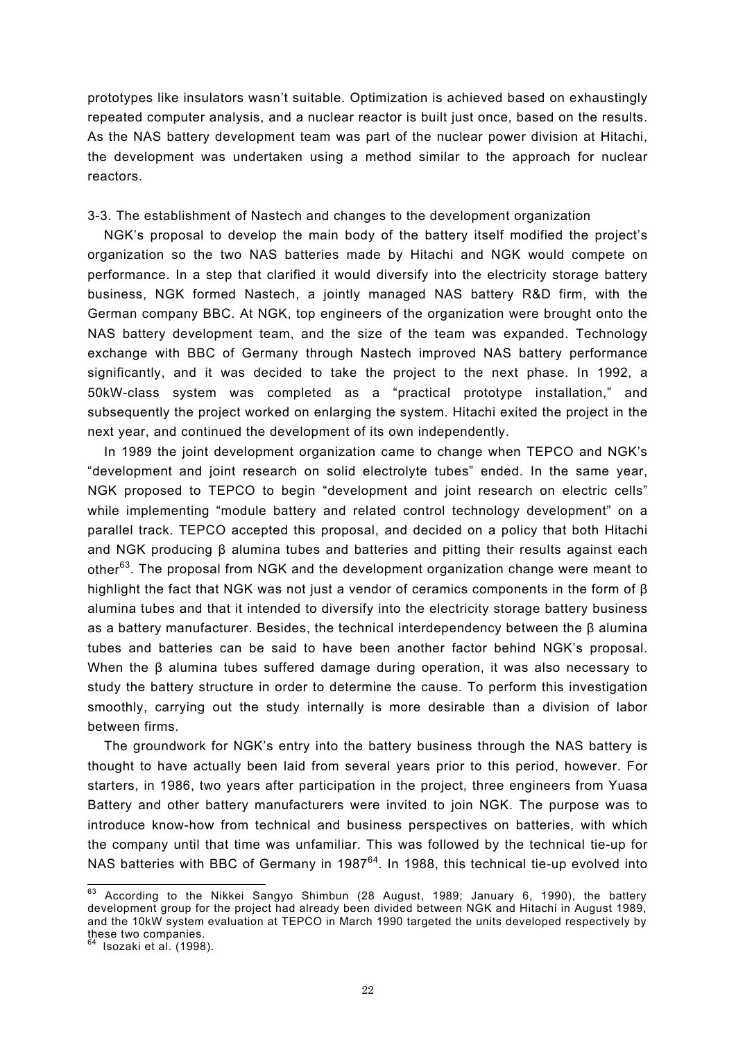prototypes like insulators wasn't suitable. Optimization is achieved based on exhaustingly repeated computer analysis, and a nuclear reactor is built just once, based on the results. As the NAS battery development team was part of the nuclear power division at Hitachi, the development was undertaken using a method similar to the approach for nuclear reactors.

# 3-3. The establishment of Nastech and changes to the development organization

NGK's proposal to develop the main body of the battery itself modified the project's organization so the two NAS batteries made by Hitachi and NGK would compete on performance. In a step that clarified it would diversify into the electricity storage battery business, NGK formed Nastech, a jointly managed NAS battery R&D firm, with the German company BBC. At NGK, top engineers of the organization were brought onto the NAS battery development team, and the size of the team was expanded. Technology exchange with BBC of Germany through Nastech improved NAS battery performance significantly, and it was decided to take the project to the next phase. In 1992, a 50kW-class system was completed as a "practical prototype installation," and subsequently the project worked on enlarging the system. Hitachi exited the project in the next year, and continued the development of its own independently.

In 1989 the joint development organization came to change when TEPCO and NGK's "development and joint research on solid electrolyte tubes" ended. In the same year, NGK proposed to TEPCO to begin "development and joint research on electric cells" while implementing "module battery and related control technology development" on a parallel track. TEPCO accepted this proposal, and decided on a policy that both Hitachi and NGK producing β alumina tubes and batteries and pitting their results against each other<sup>63</sup>. The proposal from NGK and the development organization change were meant to highlight the fact that NGK was not just a vendor of ceramics components in the form of  $\beta$ alumina tubes and that it intended to diversify into the electricity storage battery business as a battery manufacturer. Besides, the technical interdependency between the β alumina tubes and batteries can be said to have been another factor behind NGK's proposal. When the β alumina tubes suffered damage during operation, it was also necessary to study the battery structure in order to determine the cause. To perform this investigation smoothly, carrying out the study internally is more desirable than a division of labor between firms.

The groundwork for NGK's entry into the battery business through the NAS battery is thought to have actually been laid from several years prior to this period, however. For starters, in 1986, two years after participation in the project, three engineers from Yuasa Battery and other battery manufacturers were invited to join NGK. The purpose was to introduce know-how from technical and business perspectives on batteries, with which the company until that time was unfamiliar. This was followed by the technical tie-up for NAS batteries with BBC of Germany in 1987<sup>64</sup>. In 1988, this technical tie-up evolved into

 $\overline{a}$ 

 $63$  According to the Nikkei Sangyo Shimbun (28 August, 1989; January 6, 1990), the battery development group for the project had already been divided between NGK and Hitachi in August 1989, and the 10kW system evaluation at TEPCO in March 1990 targeted the units developed respectively by these two companies.

<sup>64</sup> Isozaki et al. (1998).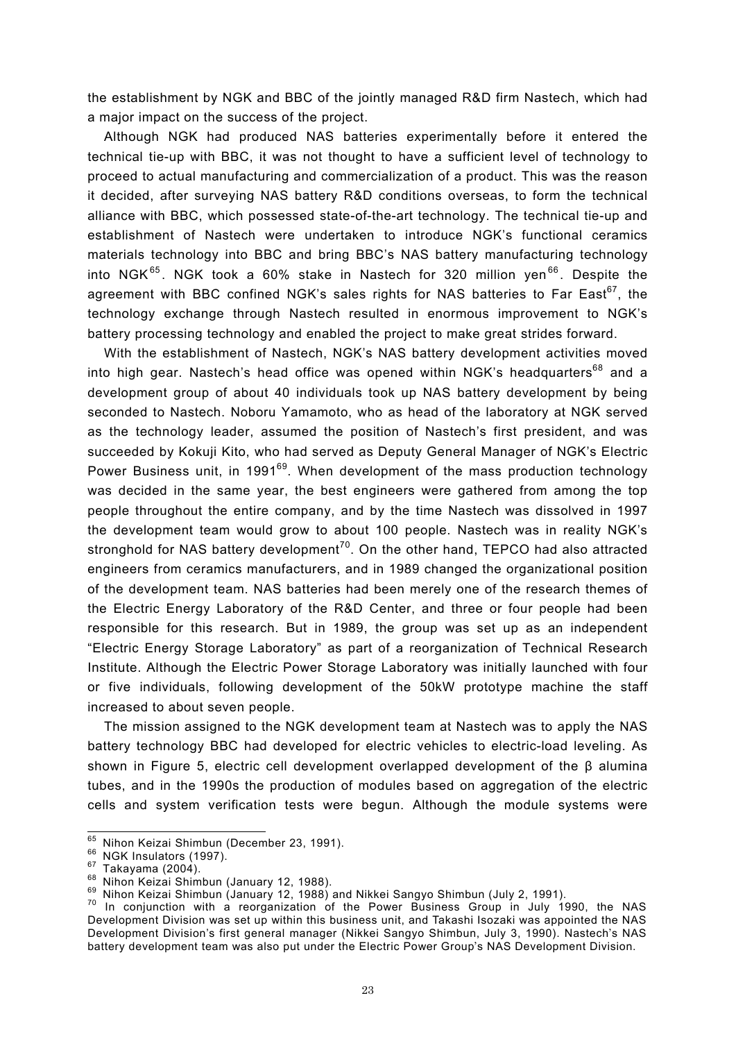the establishment by NGK and BBC of the jointly managed R&D firm Nastech, which had a major impact on the success of the project.

Although NGK had produced NAS batteries experimentally before it entered the technical tie-up with BBC, it was not thought to have a sufficient level of technology to proceed to actual manufacturing and commercialization of a product. This was the reason it decided, after surveying NAS battery R&D conditions overseas, to form the technical alliance with BBC, which possessed state-of-the-art technology. The technical tie-up and establishment of Nastech were undertaken to introduce NGK's functional ceramics materials technology into BBC and bring BBC's NAS battery manufacturing technology into NGK $^{65}$ . NGK took a 60% stake in Nastech for 320 million yen $^{66}$ . Despite the agreement with BBC confined NGK's sales rights for NAS batteries to Far East  $67$ , the technology exchange through Nastech resulted in enormous improvement to NGK's battery processing technology and enabled the project to make great strides forward.

With the establishment of Nastech, NGK's NAS battery development activities moved into high gear. Nastech's head office was opened within NGK's headquarters<sup>68</sup> and a development group of about 40 individuals took up NAS battery development by being seconded to Nastech. Noboru Yamamoto, who as head of the laboratory at NGK served as the technology leader, assumed the position of Nastech's first president, and was succeeded by Kokuji Kito, who had served as Deputy General Manager of NGK's Electric Power Business unit, in 1991<sup>69</sup>. When development of the mass production technology was decided in the same year, the best engineers were gathered from among the top people throughout the entire company, and by the time Nastech was dissolved in 1997 the development team would grow to about 100 people. Nastech was in reality NGK's stronghold for NAS battery development<sup>70</sup>. On the other hand, TEPCO had also attracted engineers from ceramics manufacturers, and in 1989 changed the organizational position of the development team. NAS batteries had been merely one of the research themes of the Electric Energy Laboratory of the R&D Center, and three or four people had been responsible for this research. But in 1989, the group was set up as an independent "Electric Energy Storage Laboratory" as part of a reorganization of Technical Research Institute. Although the Electric Power Storage Laboratory was initially launched with four or five individuals, following development of the 50kW prototype machine the staff increased to about seven people.

The mission assigned to the NGK development team at Nastech was to apply the NAS battery technology BBC had developed for electric vehicles to electric-load leveling. As shown in Figure 5, electric cell development overlapped development of the β alumina tubes, and in the 1990s the production of modules based on aggregation of the electric cells and system verification tests were begun. Although the module systems were

<sup>65</sup> Nihon Keizai Shimbun (December 23, 1991).

<sup>&</sup>lt;sup>66</sup> NGK Insulators (1997).<br><sup>67</sup> Takayama (2004).<br><sup>68</sup> Nihon Keizai Shimbun (January 12, 1988).<br><sup>69</sup> Nihon Keizai Shimbun (January 12, 1988) and Nikkei Sangyo Shimbun (July 2, 1991).<br><sup>70</sup> In conjunction with a reorganizat Development Division was set up within this business unit, and Takashi Isozaki was appointed the NAS Development Division's first general manager (Nikkei Sangyo Shimbun, July 3, 1990). Nastech's NAS battery development team was also put under the Electric Power Group's NAS Development Division.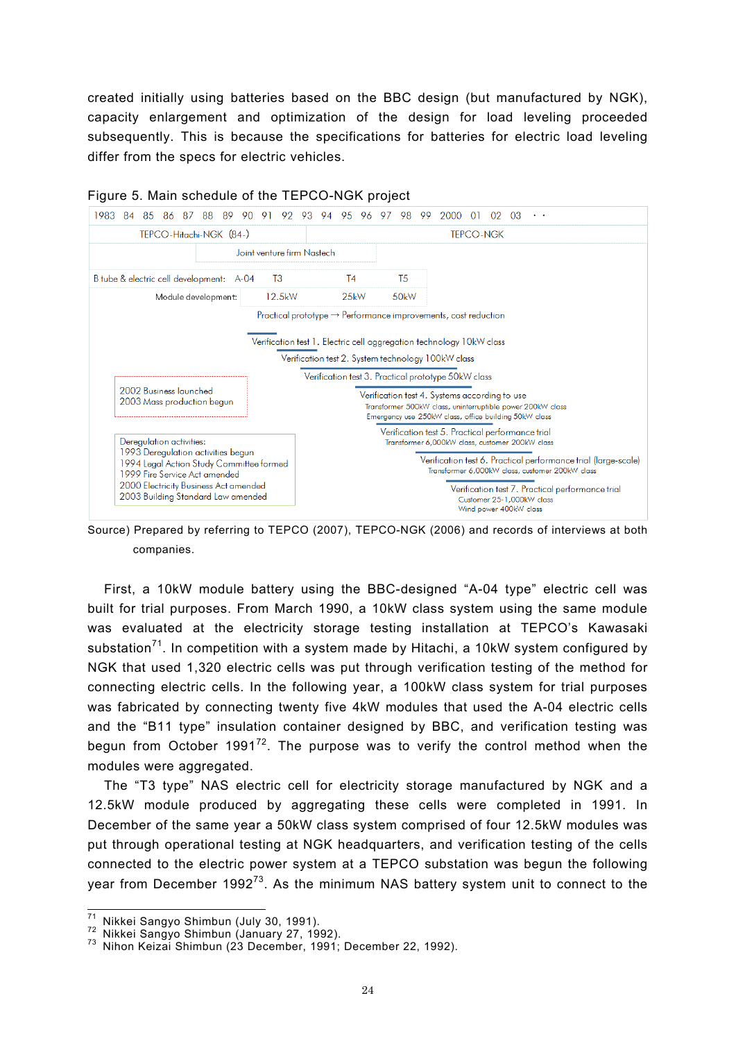created initially using batteries based on the BBC design (but manufactured by NGK), capacity enlargement and optimization of the design for load leveling proceeded subsequently. This is because the specifications for batteries for electric load leveling differ from the specs for electric vehicles.



## Figure 5. Main schedule of the TEPCO-NGK project

Source) Prepared by referring to TEPCO (2007), TEPCO-NGK (2006) and records of interviews at both companies.

First, a 10kW module battery using the BBC-designed "A-04 type" electric cell was built for trial purposes. From March 1990, a 10kW class system using the same module was evaluated at the electricity storage testing installation at TEPCO's Kawasaki substation<sup>71</sup>. In competition with a system made by Hitachi, a 10kW system configured by NGK that used 1,320 electric cells was put through verification testing of the method for connecting electric cells. In the following year, a 100kW class system for trial purposes was fabricated by connecting twenty five 4kW modules that used the A-04 electric cells and the "B11 type" insulation container designed by BBC, and verification testing was begun from October 1991<sup>72</sup>. The purpose was to verify the control method when the modules were aggregated.

The "T3 type" NAS electric cell for electricity storage manufactured by NGK and a 12.5kW module produced by aggregating these cells were completed in 1991. In December of the same year a 50kW class system comprised of four 12.5kW modules was put through operational testing at NGK headquarters, and verification testing of the cells connected to the electric power system at a TEPCO substation was begun the following year from December 1992<sup>73</sup>. As the minimum NAS battery system unit to connect to the

 $71$ 

<sup>&</sup>lt;sup>71</sup> Nikkei Sangyo Shimbun (July 30, 1991).<br><sup>72</sup> Nikkei Sangyo Shimbun (January 27, 1992).<br><sup>73</sup> Nihon Keizai Shimbun (23 December, 1991; December 22, 1992).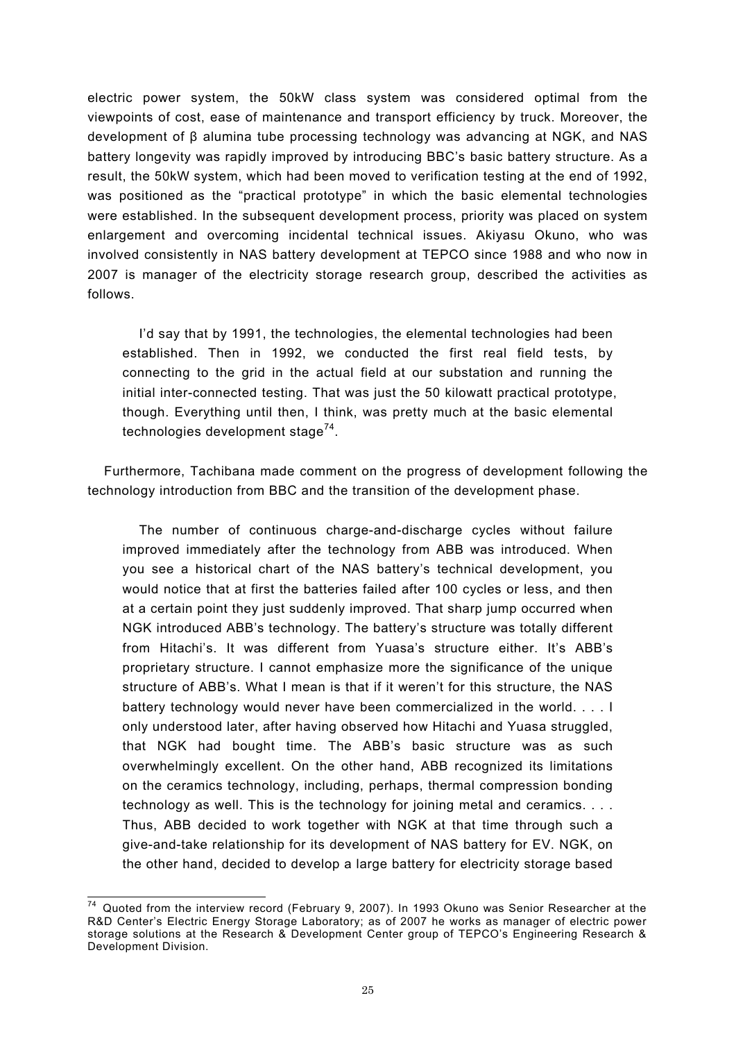electric power system, the 50kW class system was considered optimal from the viewpoints of cost, ease of maintenance and transport efficiency by truck. Moreover, the development of β alumina tube processing technology was advancing at NGK, and NAS battery longevity was rapidly improved by introducing BBC's basic battery structure. As a result, the 50kW system, which had been moved to verification testing at the end of 1992, was positioned as the "practical prototype" in which the basic elemental technologies were established. In the subsequent development process, priority was placed on system enlargement and overcoming incidental technical issues. Akiyasu Okuno, who was involved consistently in NAS battery development at TEPCO since 1988 and who now in 2007 is manager of the electricity storage research group, described the activities as follows.

I'd say that by 1991, the technologies, the elemental technologies had been established. Then in 1992, we conducted the first real field tests, by connecting to the grid in the actual field at our substation and running the initial inter-connected testing. That was just the 50 kilowatt practical prototype, though. Everything until then, I think, was pretty much at the basic elemental technologies development stage<sup>74</sup>.

Furthermore, Tachibana made comment on the progress of development following the technology introduction from BBC and the transition of the development phase.

The number of continuous charge-and-discharge cycles without failure improved immediately after the technology from ABB was introduced. When you see a historical chart of the NAS battery's technical development, you would notice that at first the batteries failed after 100 cycles or less, and then at a certain point they just suddenly improved. That sharp jump occurred when NGK introduced ABB's technology. The battery's structure was totally different from Hitachi's. It was different from Yuasa's structure either. It's ABB's proprietary structure. I cannot emphasize more the significance of the unique structure of ABB's. What I mean is that if it weren't for this structure, the NAS battery technology would never have been commercialized in the world. . . . I only understood later, after having observed how Hitachi and Yuasa struggled, that NGK had bought time. The ABB's basic structure was as such overwhelmingly excellent. On the other hand, ABB recognized its limitations on the ceramics technology, including, perhaps, thermal compression bonding technology as well. This is the technology for joining metal and ceramics. . . . Thus, ABB decided to work together with NGK at that time through such a give-and-take relationship for its development of NAS battery for EV. NGK, on the other hand, decided to develop a large battery for electricity storage based

 $\overline{a}$  $74$  Quoted from the interview record (February 9, 2007). In 1993 Okuno was Senior Researcher at the R&D Center's Electric Energy Storage Laboratory; as of 2007 he works as manager of electric power storage solutions at the Research & Development Center group of TEPCO's Engineering Research & Development Division.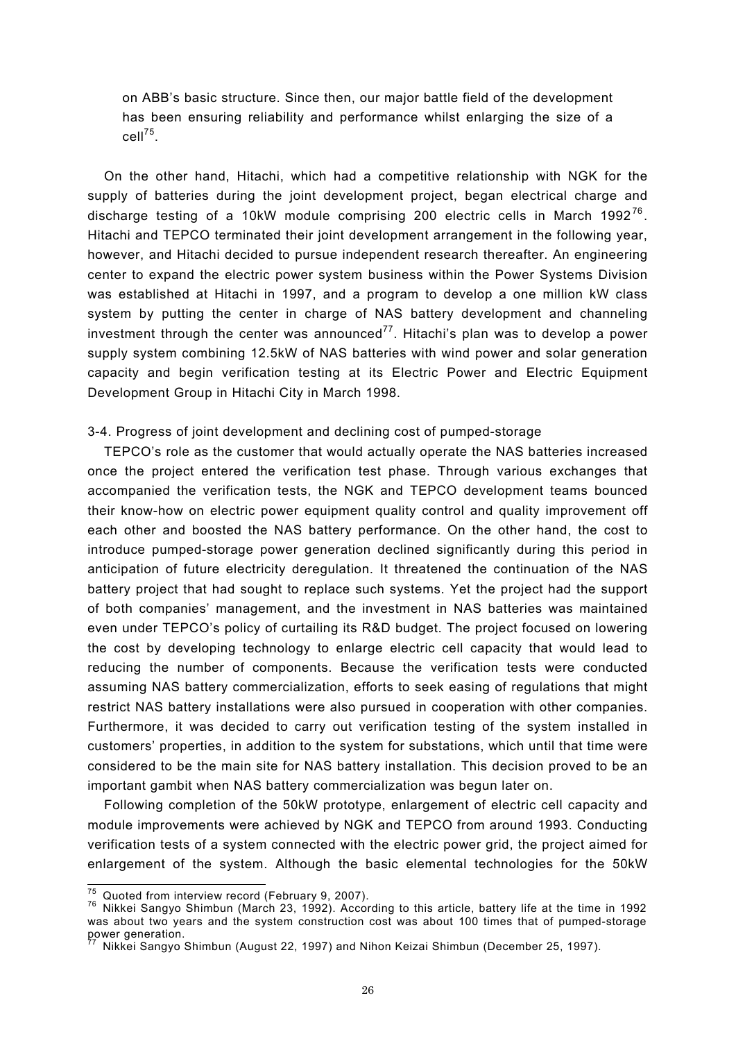on ABB's basic structure. Since then, our major battle field of the development has been ensuring reliability and performance whilst enlarging the size of a cell75.

On the other hand, Hitachi, which had a competitive relationship with NGK for the supply of batteries during the joint development project, began electrical charge and discharge testing of a 10kW module comprising 200 electric cells in March 1992<sup>76</sup>. Hitachi and TEPCO terminated their joint development arrangement in the following year, however, and Hitachi decided to pursue independent research thereafter. An engineering center to expand the electric power system business within the Power Systems Division was established at Hitachi in 1997, and a program to develop a one million kW class system by putting the center in charge of NAS battery development and channeling investment through the center was announced<sup>77</sup>. Hitachi's plan was to develop a power supply system combining 12.5kW of NAS batteries with wind power and solar generation capacity and begin verification testing at its Electric Power and Electric Equipment Development Group in Hitachi City in March 1998.

# 3-4. Progress of joint development and declining cost of pumped-storage

TEPCO's role as the customer that would actually operate the NAS batteries increased once the project entered the verification test phase. Through various exchanges that accompanied the verification tests, the NGK and TEPCO development teams bounced their know-how on electric power equipment quality control and quality improvement off each other and boosted the NAS battery performance. On the other hand, the cost to introduce pumped-storage power generation declined significantly during this period in anticipation of future electricity deregulation. It threatened the continuation of the NAS battery project that had sought to replace such systems. Yet the project had the support of both companies' management, and the investment in NAS batteries was maintained even under TEPCO's policy of curtailing its R&D budget. The project focused on lowering the cost by developing technology to enlarge electric cell capacity that would lead to reducing the number of components. Because the verification tests were conducted assuming NAS battery commercialization, efforts to seek easing of regulations that might restrict NAS battery installations were also pursued in cooperation with other companies. Furthermore, it was decided to carry out verification testing of the system installed in customers' properties, in addition to the system for substations, which until that time were considered to be the main site for NAS battery installation. This decision proved to be an important gambit when NAS battery commercialization was begun later on.

Following completion of the 50kW prototype, enlargement of electric cell capacity and module improvements were achieved by NGK and TEPCO from around 1993. Conducting verification tests of a system connected with the electric power grid, the project aimed for enlargement of the system. Although the basic elemental technologies for the 50kW

 $\overline{75}$  Quoted from interview record (February 9, 2007).

<sup>&</sup>lt;sup>76</sup> Nikkei Sangyo Shimbun (March 23, 1992). According to this article, battery life at the time in 1992 was about two years and the system construction cost was about 100 times that of pumped-storage power generation.

Nikkei Sangyo Shimbun (August 22, 1997) and Nihon Keizai Shimbun (December 25, 1997).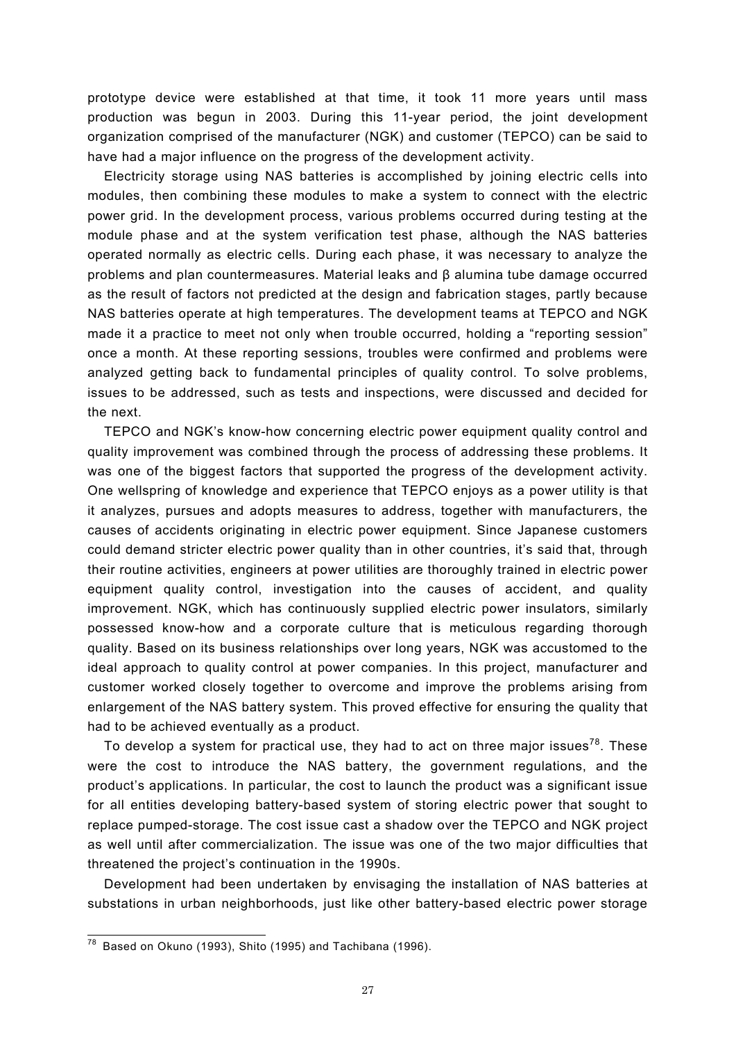prototype device were established at that time, it took 11 more years until mass production was begun in 2003. During this 11-year period, the joint development organization comprised of the manufacturer (NGK) and customer (TEPCO) can be said to have had a major influence on the progress of the development activity.

Electricity storage using NAS batteries is accomplished by joining electric cells into modules, then combining these modules to make a system to connect with the electric power grid. In the development process, various problems occurred during testing at the module phase and at the system verification test phase, although the NAS batteries operated normally as electric cells. During each phase, it was necessary to analyze the problems and plan countermeasures. Material leaks and β alumina tube damage occurred as the result of factors not predicted at the design and fabrication stages, partly because NAS batteries operate at high temperatures. The development teams at TEPCO and NGK made it a practice to meet not only when trouble occurred, holding a "reporting session" once a month. At these reporting sessions, troubles were confirmed and problems were analyzed getting back to fundamental principles of quality control. To solve problems, issues to be addressed, such as tests and inspections, were discussed and decided for the next.

TEPCO and NGK's know-how concerning electric power equipment quality control and quality improvement was combined through the process of addressing these problems. It was one of the biggest factors that supported the progress of the development activity. One wellspring of knowledge and experience that TEPCO enjoys as a power utility is that it analyzes, pursues and adopts measures to address, together with manufacturers, the causes of accidents originating in electric power equipment. Since Japanese customers could demand stricter electric power quality than in other countries, it's said that, through their routine activities, engineers at power utilities are thoroughly trained in electric power equipment quality control, investigation into the causes of accident, and quality improvement. NGK, which has continuously supplied electric power insulators, similarly possessed know-how and a corporate culture that is meticulous regarding thorough quality. Based on its business relationships over long years, NGK was accustomed to the ideal approach to quality control at power companies. In this project, manufacturer and customer worked closely together to overcome and improve the problems arising from enlargement of the NAS battery system. This proved effective for ensuring the quality that had to be achieved eventually as a product.

To develop a system for practical use, they had to act on three major issues<sup>78</sup>. These were the cost to introduce the NAS battery, the government regulations, and the product's applications. In particular, the cost to launch the product was a significant issue for all entities developing battery-based system of storing electric power that sought to replace pumped-storage. The cost issue cast a shadow over the TEPCO and NGK project as well until after commercialization. The issue was one of the two major difficulties that threatened the project's continuation in the 1990s.

Development had been undertaken by envisaging the installation of NAS batteries at substations in urban neighborhoods, just like other battery-based electric power storage

 $\overline{a}$ 

 $^{78}$  Based on Okuno (1993), Shito (1995) and Tachibana (1996).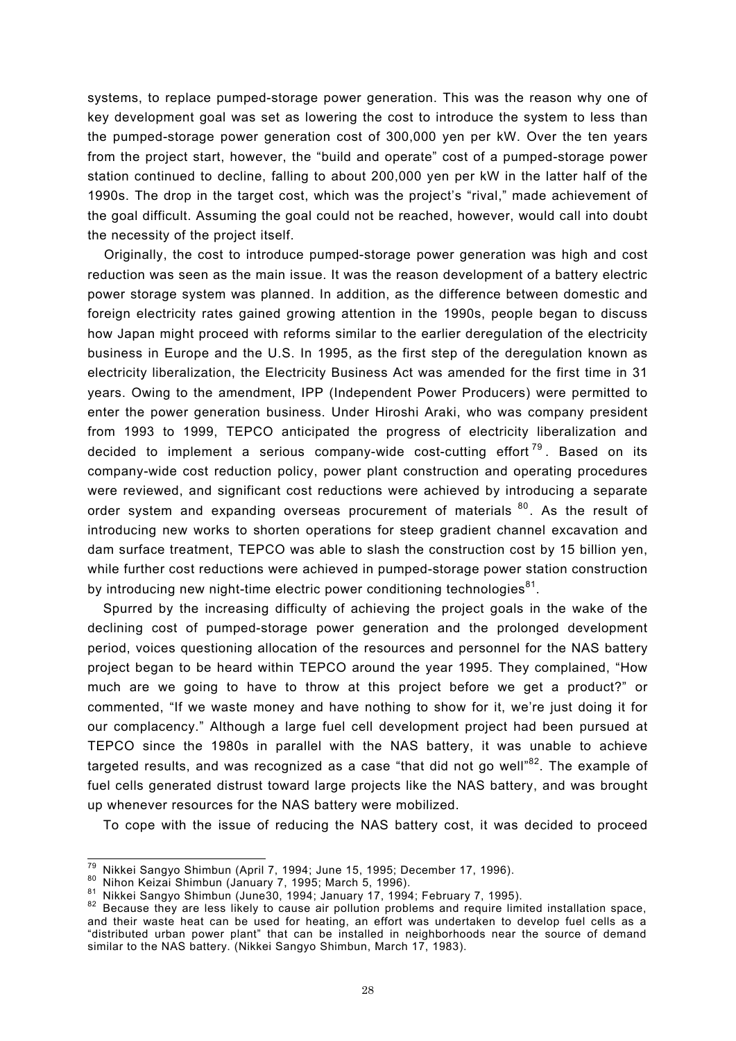systems, to replace pumped-storage power generation. This was the reason why one of key development goal was set as lowering the cost to introduce the system to less than the pumped-storage power generation cost of 300,000 yen per kW. Over the ten years from the project start, however, the "build and operate" cost of a pumped-storage power station continued to decline, falling to about 200,000 yen per kW in the latter half of the 1990s. The drop in the target cost, which was the project's "rival," made achievement of the goal difficult. Assuming the goal could not be reached, however, would call into doubt the necessity of the project itself.

Originally, the cost to introduce pumped-storage power generation was high and cost reduction was seen as the main issue. It was the reason development of a battery electric power storage system was planned. In addition, as the difference between domestic and foreign electricity rates gained growing attention in the 1990s, people began to discuss how Japan might proceed with reforms similar to the earlier deregulation of the electricity business in Europe and the U.S. In 1995, as the first step of the deregulation known as electricity liberalization, the Electricity Business Act was amended for the first time in 31 years. Owing to the amendment, IPP (Independent Power Producers) were permitted to enter the power generation business. Under Hiroshi Araki, who was company president from 1993 to 1999, TEPCO anticipated the progress of electricity liberalization and decided to implement a serious company-wide cost-cutting effort  $79$ . Based on its company-wide cost reduction policy, power plant construction and operating procedures were reviewed, and significant cost reductions were achieved by introducing a separate order system and expanding overseas procurement of materials  $80$ . As the result of introducing new works to shorten operations for steep gradient channel excavation and dam surface treatment, TEPCO was able to slash the construction cost by 15 billion yen, while further cost reductions were achieved in pumped-storage power station construction by introducing new night-time electric power conditioning technologies $^{81}$ .

Spurred by the increasing difficulty of achieving the project goals in the wake of the declining cost of pumped-storage power generation and the prolonged development period, voices questioning allocation of the resources and personnel for the NAS battery project began to be heard within TEPCO around the year 1995. They complained, "How much are we going to have to throw at this project before we get a product?" or commented, "If we waste money and have nothing to show for it, we're just doing it for our complacency." Although a large fuel cell development project had been pursued at TEPCO since the 1980s in parallel with the NAS battery, it was unable to achieve targeted results, and was recognized as a case "that did not go well"<sup>82</sup>. The example of fuel cells generated distrust toward large projects like the NAS battery, and was brought up whenever resources for the NAS battery were mobilized.

To cope with the issue of reducing the NAS battery cost, it was decided to proceed

<sup>79</sup> Nikkei Sangyo Shimbun (April 7, 1994; June 15, 1995; December 17, 1996).

<sup>80</sup> Nikoli Bangyo Shimbun (January 7, 1995; March 5, 1996).<br>81 Nikkei Sangyo Shimbun (June30, 1994; January 17, 1994; February 7, 1995).<br>82 Because they are less likely to cause air pollution problems and require limited in and their waste heat can be used for heating, an effort was undertaken to develop fuel cells as a "distributed urban power plant" that can be installed in neighborhoods near the source of demand similar to the NAS battery. (Nikkei Sangyo Shimbun, March 17, 1983).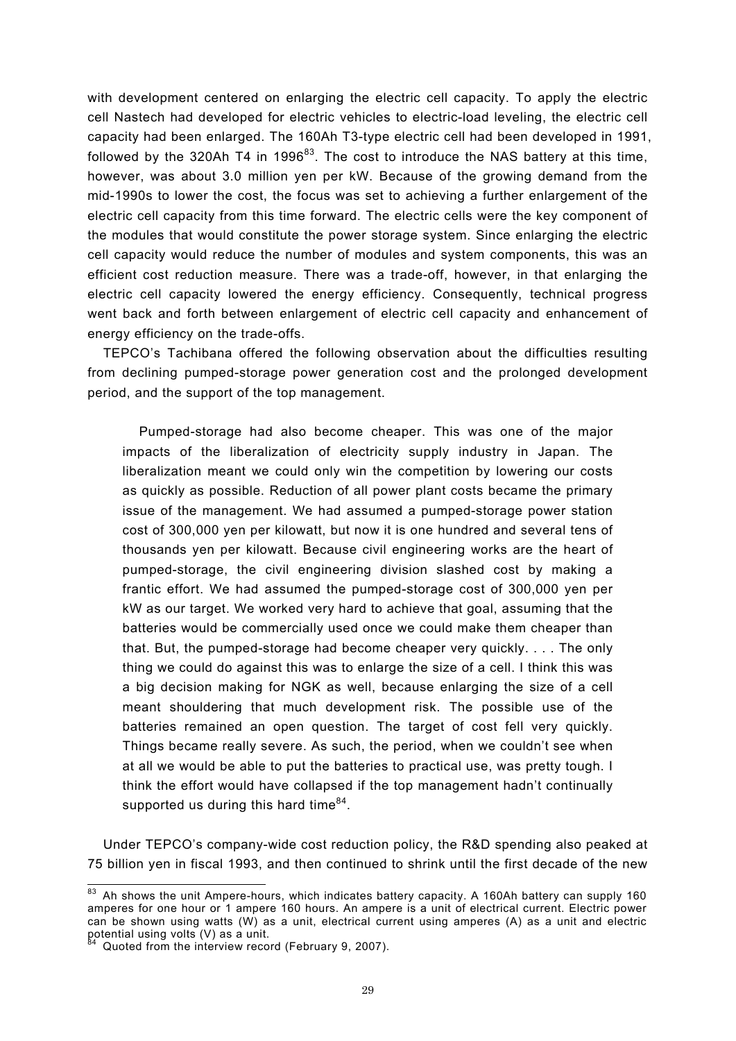with development centered on enlarging the electric cell capacity. To apply the electric cell Nastech had developed for electric vehicles to electric-load leveling, the electric cell capacity had been enlarged. The 160Ah T3-type electric cell had been developed in 1991, followed by the 320Ah T4 in 1996 $^{83}$ . The cost to introduce the NAS battery at this time, however, was about 3.0 million yen per kW. Because of the growing demand from the mid-1990s to lower the cost, the focus was set to achieving a further enlargement of the electric cell capacity from this time forward. The electric cells were the key component of the modules that would constitute the power storage system. Since enlarging the electric cell capacity would reduce the number of modules and system components, this was an efficient cost reduction measure. There was a trade-off, however, in that enlarging the electric cell capacity lowered the energy efficiency. Consequently, technical progress went back and forth between enlargement of electric cell capacity and enhancement of energy efficiency on the trade-offs.

TEPCO's Tachibana offered the following observation about the difficulties resulting from declining pumped-storage power generation cost and the prolonged development period, and the support of the top management.

Pumped-storage had also become cheaper. This was one of the major impacts of the liberalization of electricity supply industry in Japan. The liberalization meant we could only win the competition by lowering our costs as quickly as possible. Reduction of all power plant costs became the primary issue of the management. We had assumed a pumped-storage power station cost of 300,000 yen per kilowatt, but now it is one hundred and several tens of thousands yen per kilowatt. Because civil engineering works are the heart of pumped-storage, the civil engineering division slashed cost by making a frantic effort. We had assumed the pumped-storage cost of 300,000 yen per kW as our target. We worked very hard to achieve that goal, assuming that the batteries would be commercially used once we could make them cheaper than that. But, the pumped-storage had become cheaper very quickly. . . . The only thing we could do against this was to enlarge the size of a cell. I think this was a big decision making for NGK as well, because enlarging the size of a cell meant shouldering that much development risk. The possible use of the batteries remained an open question. The target of cost fell very quickly. Things became really severe. As such, the period, when we couldn't see when at all we would be able to put the batteries to practical use, was pretty tough. I think the effort would have collapsed if the top management hadn't continually supported us during this hard time $84$ .

Under TEPCO's company-wide cost reduction policy, the R&D spending also peaked at 75 billion yen in fiscal 1993, and then continued to shrink until the first decade of the new

 $\overline{a}$ 

 $83$  Ah shows the unit Ampere-hours, which indicates battery capacity. A 160Ah battery can supply 160 amperes for one hour or 1 ampere 160 hours. An ampere is a unit of electrical current. Electric power can be shown using watts (W) as a unit, electrical current using amperes (A) as a unit and electric potential using volts (V) as a unit.

Quoted from the interview record (February 9, 2007).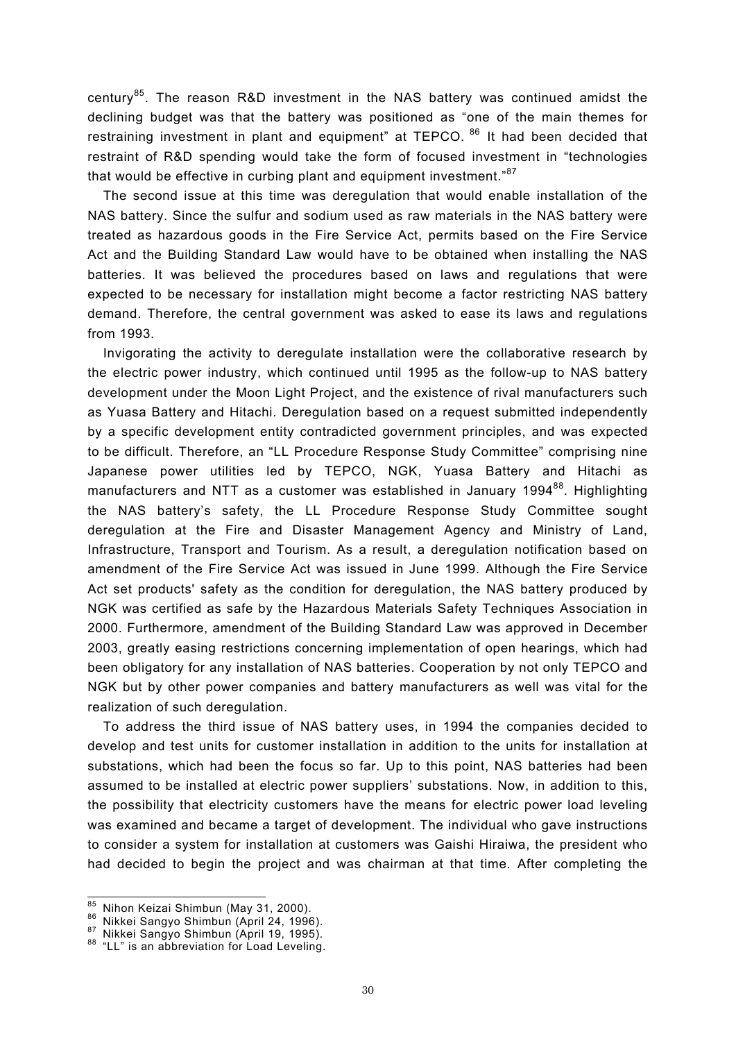century85. The reason R&D investment in the NAS battery was continued amidst the declining budget was that the battery was positioned as "one of the main themes for restraining investment in plant and equipment" at TEPCO. <sup>86</sup> It had been decided that restraint of R&D spending would take the form of focused investment in "technologies that would be effective in curbing plant and equipment investment."<sup>87</sup>

The second issue at this time was deregulation that would enable installation of the NAS battery. Since the sulfur and sodium used as raw materials in the NAS battery were treated as hazardous goods in the Fire Service Act, permits based on the Fire Service Act and the Building Standard Law would have to be obtained when installing the NAS batteries. It was believed the procedures based on laws and regulations that were expected to be necessary for installation might become a factor restricting NAS battery demand. Therefore, the central government was asked to ease its laws and regulations from 1993.

Invigorating the activity to deregulate installation were the collaborative research by the electric power industry, which continued until 1995 as the follow-up to NAS battery development under the Moon Light Project, and the existence of rival manufacturers such as Yuasa Battery and Hitachi. Deregulation based on a request submitted independently by a specific development entity contradicted government principles, and was expected to be difficult. Therefore, an "LL Procedure Response Study Committee" comprising nine Japanese power utilities led by TEPCO, NGK, Yuasa Battery and Hitachi as manufacturers and NTT as a customer was established in January 1994 $^{88}$ . Highlighting the NAS battery's safety, the LL Procedure Response Study Committee sought deregulation at the Fire and Disaster Management Agency and Ministry of Land, Infrastructure, Transport and Tourism. As a result, a deregulation notification based on amendment of the Fire Service Act was issued in June 1999. Although the Fire Service Act set products' safety as the condition for deregulation, the NAS battery produced by NGK was certified as safe by the Hazardous Materials Safety Techniques Association in 2000. Furthermore, amendment of the Building Standard Law was approved in December 2003, greatly easing restrictions concerning implementation of open hearings, which had been obligatory for any installation of NAS batteries. Cooperation by not only TEPCO and NGK but by other power companies and battery manufacturers as well was vital for the realization of such deregulation.

To address the third issue of NAS battery uses, in 1994 the companies decided to develop and test units for customer installation in addition to the units for installation at substations, which had been the focus so far. Up to this point, NAS batteries had been assumed to be installed at electric power suppliers' substations. Now, in addition to this, the possibility that electricity customers have the means for electric power load leveling was examined and became a target of development. The individual who gave instructions to consider a system for installation at customers was Gaishi Hiraiwa, the president who had decided to begin the project and was chairman at that time. After completing the

<sup>85</sup> Nihon Keizai Shimbun (May 31, 2000).

<sup>&</sup>lt;sup>86</sup> Nikkei Sangyo Shimbun (April 24, 1996).<br><sup>87</sup> Nikkei Sangyo Shimbun (April 19, 1995).<br><sup>88</sup> "LL" is an abbreviation for Load Leveling.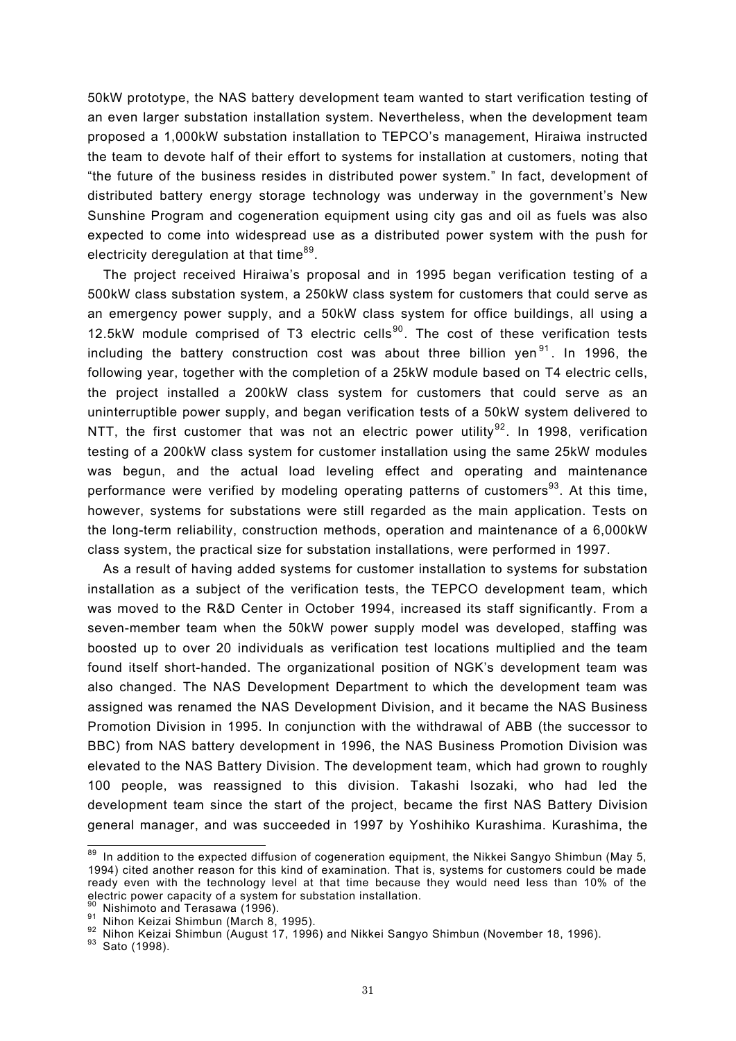50kW prototype, the NAS battery development team wanted to start verification testing of an even larger substation installation system. Nevertheless, when the development team proposed a 1,000kW substation installation to TEPCO's management, Hiraiwa instructed the team to devote half of their effort to systems for installation at customers, noting that "the future of the business resides in distributed power system." In fact, development of distributed battery energy storage technology was underway in the government's New Sunshine Program and cogeneration equipment using city gas and oil as fuels was also expected to come into widespread use as a distributed power system with the push for electricity deregulation at that time<sup>89</sup>.

The project received Hiraiwa's proposal and in 1995 began verification testing of a 500kW class substation system, a 250kW class system for customers that could serve as an emergency power supply, and a 50kW class system for office buildings, all using a 12.5kW module comprised of T3 electric cells $90$ . The cost of these verification tests including the battery construction cost was about three billion yen<sup>91</sup>. In 1996, the following year, together with the completion of a 25kW module based on T4 electric cells, the project installed a 200kW class system for customers that could serve as an uninterruptible power supply, and began verification tests of a 50kW system delivered to NTT, the first customer that was not an electric power utility<sup>92</sup>. In 1998, verification testing of a 200kW class system for customer installation using the same 25kW modules was begun, and the actual load leveling effect and operating and maintenance performance were verified by modeling operating patterns of customers<sup>93</sup>. At this time, however, systems for substations were still regarded as the main application. Tests on the long-term reliability, construction methods, operation and maintenance of a 6,000kW class system, the practical size for substation installations, were performed in 1997.

As a result of having added systems for customer installation to systems for substation installation as a subject of the verification tests, the TEPCO development team, which was moved to the R&D Center in October 1994, increased its staff significantly. From a seven-member team when the 50kW power supply model was developed, staffing was boosted up to over 20 individuals as verification test locations multiplied and the team found itself short-handed. The organizational position of NGK's development team was also changed. The NAS Development Department to which the development team was assigned was renamed the NAS Development Division, and it became the NAS Business Promotion Division in 1995. In conjunction with the withdrawal of ABB (the successor to BBC) from NAS battery development in 1996, the NAS Business Promotion Division was elevated to the NAS Battery Division. The development team, which had grown to roughly 100 people, was reassigned to this division. Takashi Isozaki, who had led the development team since the start of the project, became the first NAS Battery Division general manager, and was succeeded in 1997 by Yoshihiko Kurashima. Kurashima, the

 $\overline{a}$ 

 $89$  In addition to the expected diffusion of cogeneration equipment, the Nikkei Sangyo Shimbun (May 5, 1994) cited another reason for this kind of examination. That is, systems for customers could be made ready even with the technology level at that time because they would need less than 10% of the electric power capacity of a system for substation installation.

<sup>&</sup>lt;sup>90</sup> Nishimoto and Terasawa (1996).<br><sup>91</sup> Nihon Keizai Shimbun (March 8, 1995).<br><sup>92</sup> Nihon Keizai Shimbun (August 17, 1996) and Nikkei Sangyo Shimbun (November 18, 1996).<br><sup>93</sup> Sato (1998).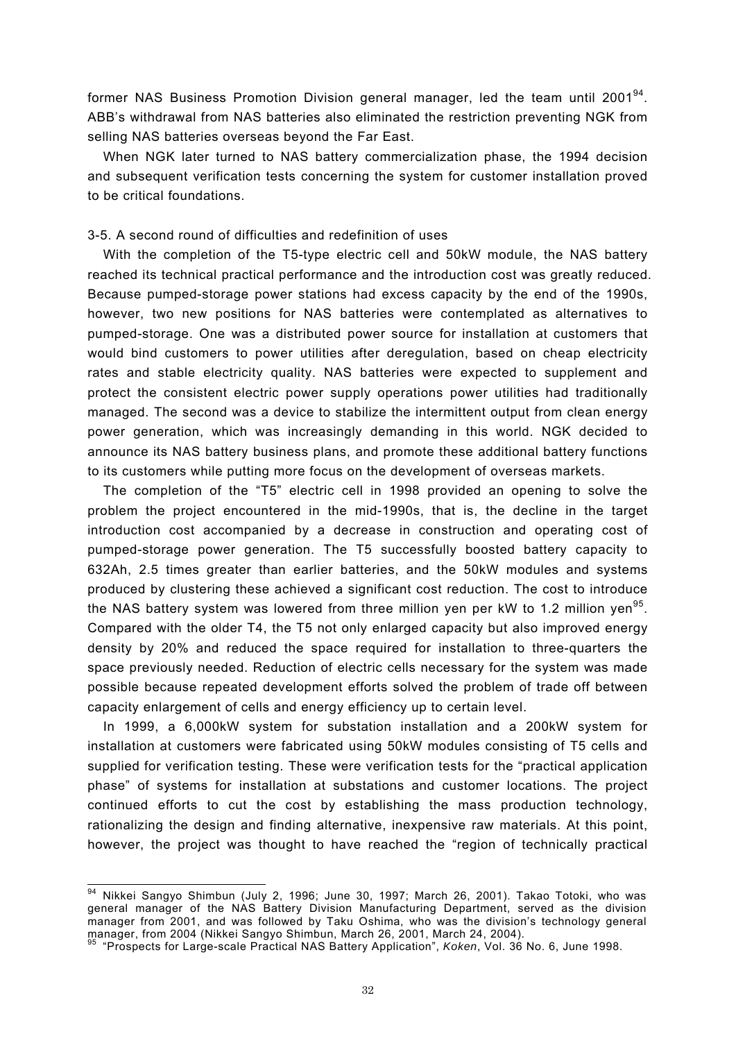former NAS Business Promotion Division general manager, led the team until 2001<sup>94</sup>. ABB's withdrawal from NAS batteries also eliminated the restriction preventing NGK from selling NAS batteries overseas beyond the Far East.

When NGK later turned to NAS battery commercialization phase, the 1994 decision and subsequent verification tests concerning the system for customer installation proved to be critical foundations.

### 3-5. A second round of difficulties and redefinition of uses

With the completion of the T5-type electric cell and 50kW module, the NAS battery reached its technical practical performance and the introduction cost was greatly reduced. Because pumped-storage power stations had excess capacity by the end of the 1990s, however, two new positions for NAS batteries were contemplated as alternatives to pumped-storage. One was a distributed power source for installation at customers that would bind customers to power utilities after deregulation, based on cheap electricity rates and stable electricity quality. NAS batteries were expected to supplement and protect the consistent electric power supply operations power utilities had traditionally managed. The second was a device to stabilize the intermittent output from clean energy power generation, which was increasingly demanding in this world. NGK decided to announce its NAS battery business plans, and promote these additional battery functions to its customers while putting more focus on the development of overseas markets.

The completion of the "T5" electric cell in 1998 provided an opening to solve the problem the project encountered in the mid-1990s, that is, the decline in the target introduction cost accompanied by a decrease in construction and operating cost of pumped-storage power generation. The T5 successfully boosted battery capacity to 632Ah, 2.5 times greater than earlier batteries, and the 50kW modules and systems produced by clustering these achieved a significant cost reduction. The cost to introduce the NAS battery system was lowered from three million yen per kW to 1.2 million yen<sup>95</sup>. Compared with the older T4, the T5 not only enlarged capacity but also improved energy density by 20% and reduced the space required for installation to three-quarters the space previously needed. Reduction of electric cells necessary for the system was made possible because repeated development efforts solved the problem of trade off between capacity enlargement of cells and energy efficiency up to certain level.

In 1999, a 6,000kW system for substation installation and a 200kW system for installation at customers were fabricated using 50kW modules consisting of T5 cells and supplied for verification testing. These were verification tests for the "practical application phase" of systems for installation at substations and customer locations. The project continued efforts to cut the cost by establishing the mass production technology, rationalizing the design and finding alternative, inexpensive raw materials. At this point, however, the project was thought to have reached the "region of technically practical

 $\overline{a}$ 

<sup>&</sup>lt;sup>94</sup> Nikkei Sangyo Shimbun (July 2, 1996; June 30, 1997; March 26, 2001). Takao Totoki, who was general manager of the NAS Battery Division Manufacturing Department, served as the division manager from 2001, and was followed by Taku Oshima, who was the division's technology general manager, from 2004 (Nikkei Sangyo Shimbun, March 26, 2001, March 24, 2004).

manager, from 200<sub>4</sub> (Nikkel Sange-scale Practical NAS Battery Application", *Koken*, Vol. 36 No. 6, June 1998.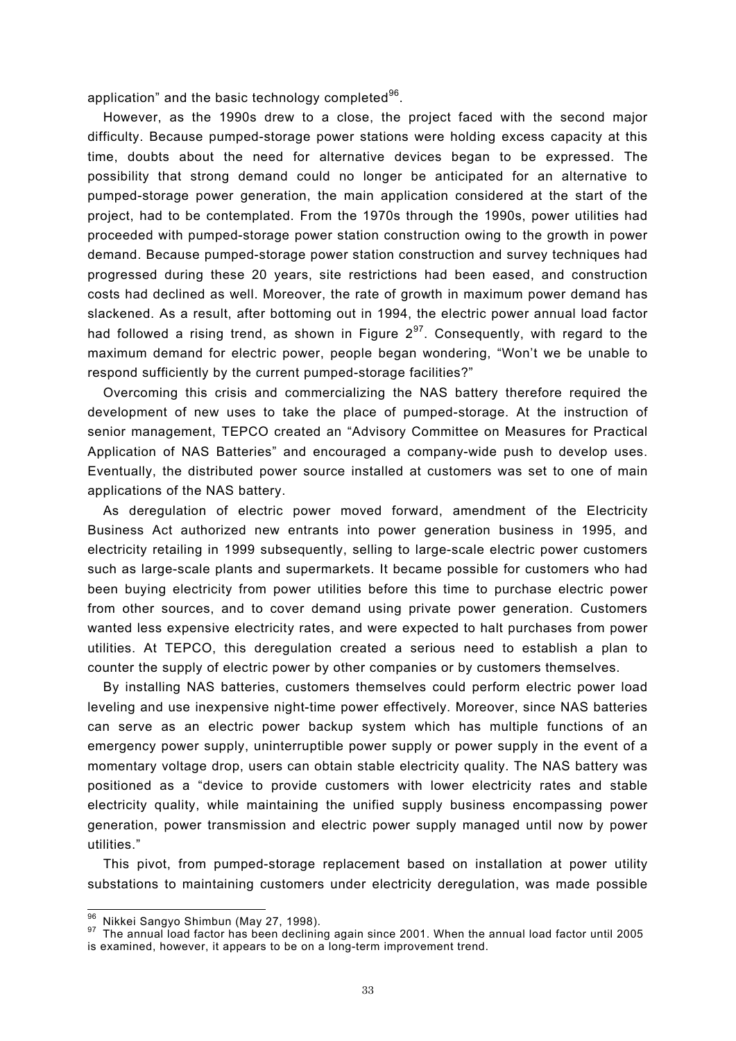application" and the basic technology completed $96$ .

However, as the 1990s drew to a close, the project faced with the second major difficulty. Because pumped-storage power stations were holding excess capacity at this time, doubts about the need for alternative devices began to be expressed. The possibility that strong demand could no longer be anticipated for an alternative to pumped-storage power generation, the main application considered at the start of the project, had to be contemplated. From the 1970s through the 1990s, power utilities had proceeded with pumped-storage power station construction owing to the growth in power demand. Because pumped-storage power station construction and survey techniques had progressed during these 20 years, site restrictions had been eased, and construction costs had declined as well. Moreover, the rate of growth in maximum power demand has slackened. As a result, after bottoming out in 1994, the electric power annual load factor had followed a rising trend, as shown in Figure  $2^{97}$ . Consequently, with regard to the maximum demand for electric power, people began wondering, "Won't we be unable to respond sufficiently by the current pumped-storage facilities?"

Overcoming this crisis and commercializing the NAS battery therefore required the development of new uses to take the place of pumped-storage. At the instruction of senior management, TEPCO created an "Advisory Committee on Measures for Practical Application of NAS Batteries" and encouraged a company-wide push to develop uses. Eventually, the distributed power source installed at customers was set to one of main applications of the NAS battery.

As deregulation of electric power moved forward, amendment of the Electricity Business Act authorized new entrants into power generation business in 1995, and electricity retailing in 1999 subsequently, selling to large-scale electric power customers such as large-scale plants and supermarkets. It became possible for customers who had been buying electricity from power utilities before this time to purchase electric power from other sources, and to cover demand using private power generation. Customers wanted less expensive electricity rates, and were expected to halt purchases from power utilities. At TEPCO, this deregulation created a serious need to establish a plan to counter the supply of electric power by other companies or by customers themselves.

By installing NAS batteries, customers themselves could perform electric power load leveling and use inexpensive night-time power effectively. Moreover, since NAS batteries can serve as an electric power backup system which has multiple functions of an emergency power supply, uninterruptible power supply or power supply in the event of a momentary voltage drop, users can obtain stable electricity quality. The NAS battery was positioned as a "device to provide customers with lower electricity rates and stable electricity quality, while maintaining the unified supply business encompassing power generation, power transmission and electric power supply managed until now by power utilities."

This pivot, from pumped-storage replacement based on installation at power utility substations to maintaining customers under electricity deregulation, was made possible

<sup>96</sup> Nikkei Sangyo Shimbun (May 27, 1998).

<sup>97</sup> The annual load factor has been declining again since 2001. When the annual load factor until 2005 is examined, however, it appears to be on a long-term improvement trend.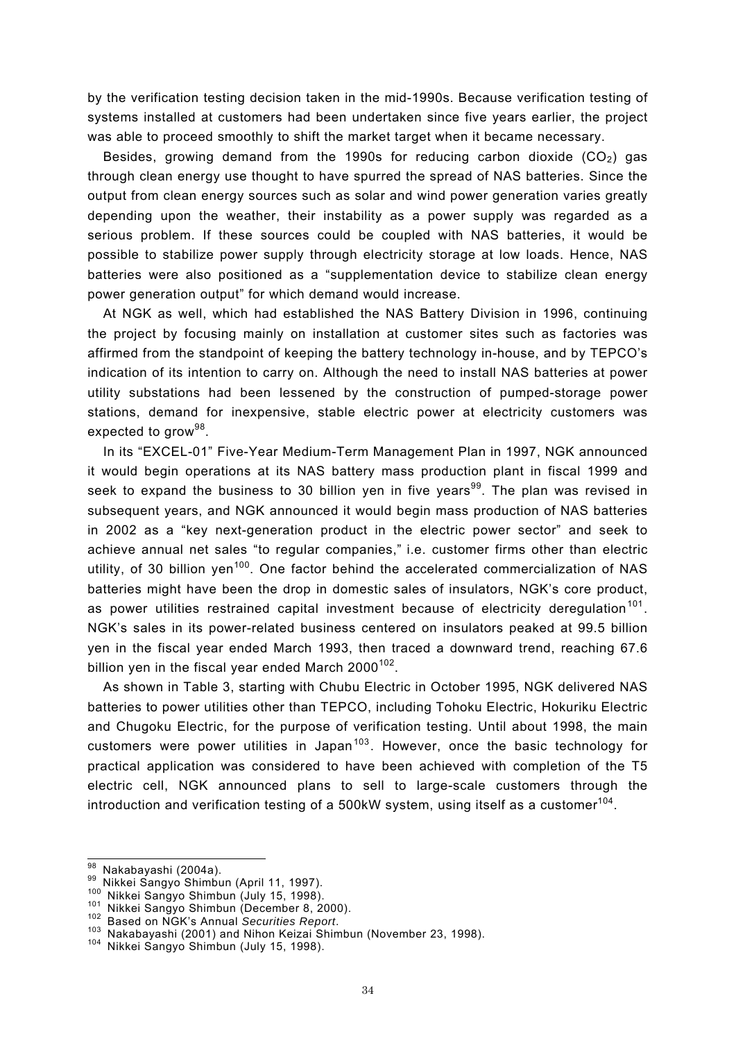by the verification testing decision taken in the mid-1990s. Because verification testing of systems installed at customers had been undertaken since five years earlier, the project was able to proceed smoothly to shift the market target when it became necessary.

Besides, growing demand from the 1990s for reducing carbon dioxide  $(CO<sub>2</sub>)$  gas through clean energy use thought to have spurred the spread of NAS batteries. Since the output from clean energy sources such as solar and wind power generation varies greatly depending upon the weather, their instability as a power supply was regarded as a serious problem. If these sources could be coupled with NAS batteries, it would be possible to stabilize power supply through electricity storage at low loads. Hence, NAS batteries were also positioned as a "supplementation device to stabilize clean energy power generation output" for which demand would increase.

At NGK as well, which had established the NAS Battery Division in 1996, continuing the project by focusing mainly on installation at customer sites such as factories was affirmed from the standpoint of keeping the battery technology in-house, and by TEPCO's indication of its intention to carry on. Although the need to install NAS batteries at power utility substations had been lessened by the construction of pumped-storage power stations, demand for inexpensive, stable electric power at electricity customers was expected to grow $98$ .

In its "EXCEL-01" Five-Year Medium-Term Management Plan in 1997, NGK announced it would begin operations at its NAS battery mass production plant in fiscal 1999 and seek to expand the business to 30 billion yen in five years<sup>99</sup>. The plan was revised in subsequent years, and NGK announced it would begin mass production of NAS batteries in 2002 as a "key next-generation product in the electric power sector" and seek to achieve annual net sales "to regular companies," i.e. customer firms other than electric utility, of 30 billion yen<sup>100</sup>. One factor behind the accelerated commercialization of NAS batteries might have been the drop in domestic sales of insulators, NGK's core product, as power utilities restrained capital investment because of electricity deregulation<sup>101</sup>. NGK's sales in its power-related business centered on insulators peaked at 99.5 billion yen in the fiscal year ended March 1993, then traced a downward trend, reaching 67.6 billion yen in the fiscal year ended March  $2000^{102}$ .

As shown in Table 3, starting with Chubu Electric in October 1995, NGK delivered NAS batteries to power utilities other than TEPCO, including Tohoku Electric, Hokuriku Electric and Chugoku Electric, for the purpose of verification testing. Until about 1998, the main customers were power utilities in Japan<sup>103</sup>. However, once the basic technology for practical application was considered to have been achieved with completion of the T5 electric cell, NGK announced plans to sell to large-scale customers through the introduction and verification testing of a 500kW system, using itself as a customer $104$ .

<sup>98</sup> Nakabayashi (2004a).

<sup>&</sup>lt;sup>99</sup> Nikkei Sangyo Shimbun (April 11, 1997).<br><sup>100</sup> Nikkei Sangyo Shimbun (July 15, 1998).<br><sup>101</sup> Nikkei Sangyo Shimbun (December 8, 2000).<br><sup>102</sup> Based on NGK's Annual Securities Report.<br><sup>103</sup> Nakabayashi (2001) and Nihon K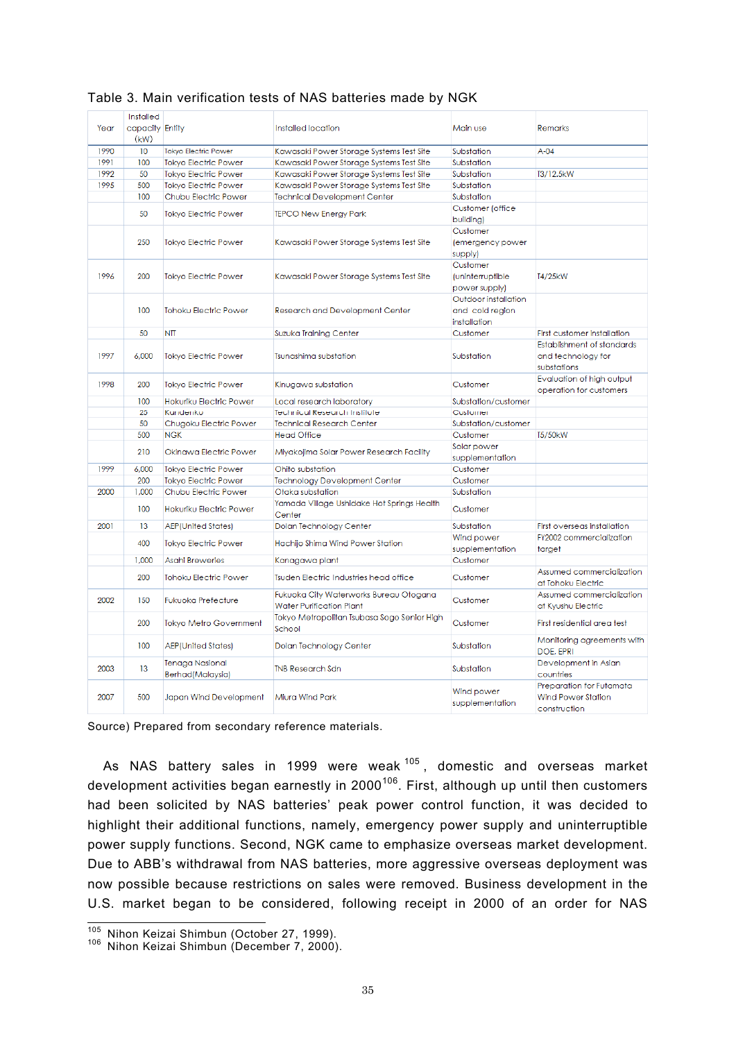|      | Installed               |                                            |                                                                           |                                                         |                                                                       |
|------|-------------------------|--------------------------------------------|---------------------------------------------------------------------------|---------------------------------------------------------|-----------------------------------------------------------------------|
| Year |                         |                                            | Installed location                                                        | Main use                                                | Remarks                                                               |
|      | capacity Entity<br>(kW) |                                            |                                                                           |                                                         |                                                                       |
|      |                         |                                            |                                                                           |                                                         | $A-04$                                                                |
| 1990 | 10                      | Tokyo Electric Power                       | Kawasaki Power Storage Systems Test Site                                  | Substation                                              |                                                                       |
| 1991 | 100                     | <b>Tokyo Electric Power</b>                | Kawasaki Power Storage Systems Test Site                                  | Substation                                              |                                                                       |
| 1992 | 50                      | <b>Tokyo Electric Power</b>                | Kawasaki Power Storage Systems Test Site                                  | Substation                                              | T3/12.5kW                                                             |
| 1995 | 500                     | <b>Tokyo Electric Power</b>                | Kawasaki Power Storage Systems Test Site                                  | Substation                                              |                                                                       |
|      | 100                     | Chubu Electric Power                       | <b>Technical Development Center</b>                                       | Substation                                              |                                                                       |
|      | 50                      | <b>Tokyo Electric Power</b>                | <b>TEPCO New Energy Park</b>                                              | Customer (office<br>building)                           |                                                                       |
|      | 250                     | <b>Tokyo Electric Power</b>                | Kawasaki Power Storage Systems Test Site                                  | Customer<br>(emergency power<br>supply)                 |                                                                       |
| 1996 | 200                     | <b>Tokyo Electric Power</b>                | Kawasaki Power Storage Systems Test Site                                  | Customer<br>(uninterruptible<br>power supply)           | T4/25kW                                                               |
|      | 100                     | Tohoku Electric Power                      | <b>Research and Development Center</b>                                    | Outdoor installation<br>and cold region<br>installation |                                                                       |
|      | 50                      | <b>NTT</b>                                 | Suzuka Training Center                                                    | Customer                                                | <b>First customer installation</b>                                    |
| 1997 | 6,000                   | <b>Tokyo Electric Power</b>                | Tsunashima substation                                                     | Substation                                              | Establishment of standards<br>and technology for<br>substations       |
| 1998 | 200                     | <b>Tokyo Electric Power</b>                | Kinugawa substation                                                       | Customer                                                | Evaluation of high output<br>operation for customers                  |
|      | 100                     | Hokuriku Electric Power                    | Local research laboratory                                                 | Substation/customer                                     |                                                                       |
|      | 25                      | Kandenko                                   | <b>Technical Research Institute</b>                                       | Customer                                                |                                                                       |
|      | 50                      | Chugoku Electric Power                     | <b>Technical Research Center</b>                                          | Substation/customer                                     |                                                                       |
|      | 500                     | <b>NGK</b>                                 | <b>Head Office</b>                                                        | Customer                                                | T5/50kW                                                               |
|      | 210                     | Okinawa Electric Power                     | Miyakojima Solar Power Research Facility                                  | Solar power<br>supplementation                          |                                                                       |
| 1999 | 6,000                   | <b>Tokyo Electric Power</b>                | Ohito substation                                                          | Customer                                                |                                                                       |
|      | 200                     | <b>Tokyo Electric Power</b>                | <b>Technology Development Center</b>                                      | Customer                                                |                                                                       |
| 2000 | 1.000                   | Chubu Electric Power                       | Otaka substation                                                          | Substation                                              |                                                                       |
|      | 100                     | Hokuriku Electric Power                    | Yamada Village Ushidake Hot Springs Health<br>Center                      | Customer                                                |                                                                       |
| 2001 | 13                      | <b>AEP(United States)</b>                  | Dolan Technology Center                                                   | Substation                                              | First overseas installation                                           |
|      |                         |                                            |                                                                           | Wind power                                              | FY2002 commercialization                                              |
|      | 400                     | <b>Tokyo Electric Power</b>                | Hachijo Shima Wind Power Station                                          | supplementation                                         | target                                                                |
|      | 1,000                   | <b>Asahi Breweries</b>                     | Kanagawa plant                                                            | Customer                                                |                                                                       |
|      | 200                     | Tohoku Electric Power                      | <b>Tsuden Electric Industries head office</b>                             | Customer                                                | Assumed commercialization<br>at Tohoku Electric                       |
| 2002 | 150                     | <b>Fukuoka Prefecture</b>                  | Fukuoka City Waterworks Bureau Otogana<br><b>Water Purification Plant</b> | Customer                                                | Assumed commercialization<br>at Kyushu Electric                       |
|      | 200                     | Tokyo Metro Government                     | Tokyo Metropolitan Tsubasa Sogo Senior High<br>School                     | Customer                                                | First residential area test                                           |
|      | 100                     | <b>AEP(United States)</b>                  | Dolan Technology Center                                                   | Substation                                              | Monitoring agreements with<br>DOE, EPRI                               |
| 2003 | 13                      | <b>Tenaga Nasional</b><br>Berhad(Malaysia) | <b>TNB Research Sdn</b>                                                   | Substation                                              | Development in Asian<br>countries                                     |
| 2007 | 500                     | Japan Wind Development                     | Wind power<br>Miura Wind Park<br>supplementation                          |                                                         | Preparation for Futamata<br><b>Wind Power Station</b><br>construction |

# Table 3. Main verification tests of NAS batteries made by NGK

Source) Prepared from secondary reference materials.

As NAS battery sales in 1999 were weak  $105$ , domestic and overseas market development activities began earnestly in  $2000^{106}$ . First, although up until then customers had been solicited by NAS batteries' peak power control function, it was decided to highlight their additional functions, namely, emergency power supply and uninterruptible power supply functions. Second, NGK came to emphasize overseas market development. Due to ABB's withdrawal from NAS batteries, more aggressive overseas deployment was now possible because restrictions on sales were removed. Business development in the U.S. market began to be considered, following receipt in 2000 of an order for NAS

<sup>&</sup>lt;sup>105</sup> Nihon Keizai Shimbun (October 27, 1999).

<sup>&</sup>lt;sup>106</sup> Nihon Keizai Shimbun (December 7, 2000).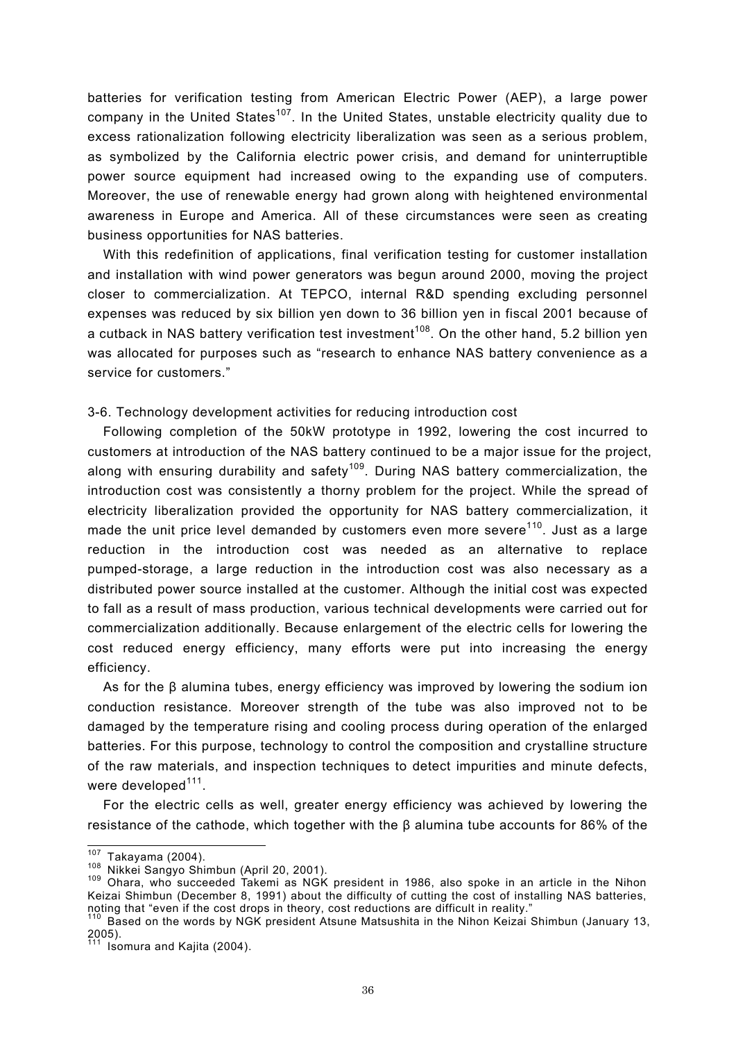batteries for verification testing from American Electric Power (AEP), a large power company in the United States<sup>107</sup>. In the United States, unstable electricity quality due to excess rationalization following electricity liberalization was seen as a serious problem, as symbolized by the California electric power crisis, and demand for uninterruptible power source equipment had increased owing to the expanding use of computers. Moreover, the use of renewable energy had grown along with heightened environmental awareness in Europe and America. All of these circumstances were seen as creating business opportunities for NAS batteries.

With this redefinition of applications, final verification testing for customer installation and installation with wind power generators was begun around 2000, moving the project closer to commercialization. At TEPCO, internal R&D spending excluding personnel expenses was reduced by six billion yen down to 36 billion yen in fiscal 2001 because of a cutback in NAS battery verification test investment<sup>108</sup>. On the other hand, 5.2 billion yen was allocated for purposes such as "research to enhance NAS battery convenience as a service for customers."

3-6. Technology development activities for reducing introduction cost

Following completion of the 50kW prototype in 1992, lowering the cost incurred to customers at introduction of the NAS battery continued to be a major issue for the project, along with ensuring durability and safety<sup>109</sup>. During NAS battery commercialization, the introduction cost was consistently a thorny problem for the project. While the spread of electricity liberalization provided the opportunity for NAS battery commercialization, it made the unit price level demanded by customers even more severe<sup>110</sup>. Just as a large reduction in the introduction cost was needed as an alternative to replace pumped-storage, a large reduction in the introduction cost was also necessary as a distributed power source installed at the customer. Although the initial cost was expected to fall as a result of mass production, various technical developments were carried out for commercialization additionally. Because enlargement of the electric cells for lowering the cost reduced energy efficiency, many efforts were put into increasing the energy efficiency.

As for the β alumina tubes, energy efficiency was improved by lowering the sodium ion conduction resistance. Moreover strength of the tube was also improved not to be damaged by the temperature rising and cooling process during operation of the enlarged batteries. For this purpose, technology to control the composition and crystalline structure of the raw materials, and inspection techniques to detect impurities and minute defects, were developed $111$ .

For the electric cells as well, greater energy efficiency was achieved by lowering the resistance of the cathode, which together with the β alumina tube accounts for 86% of the

 $107$  Takayama (2004).

<sup>108</sup> Nikkei Sangyo Shimbun (April 20, 2001).<br><sup>109</sup> Ohara, who succeeded Takemi as NGK president in 1986, also spoke in an article in the Nihon Keizai Shimbun (December 8, 1991) about the difficulty of cutting the cost of installing NAS batteries, noting that "even if the cost drops in theory, cost reductions are difficult in reality."<br><sup>110</sup> Based on the words by NGK president Atsune Matsushita in the Nihon Keizai Shimbun (January 13,

<sup>2005).</sup> 

 $111$  Isomura and Kajita (2004).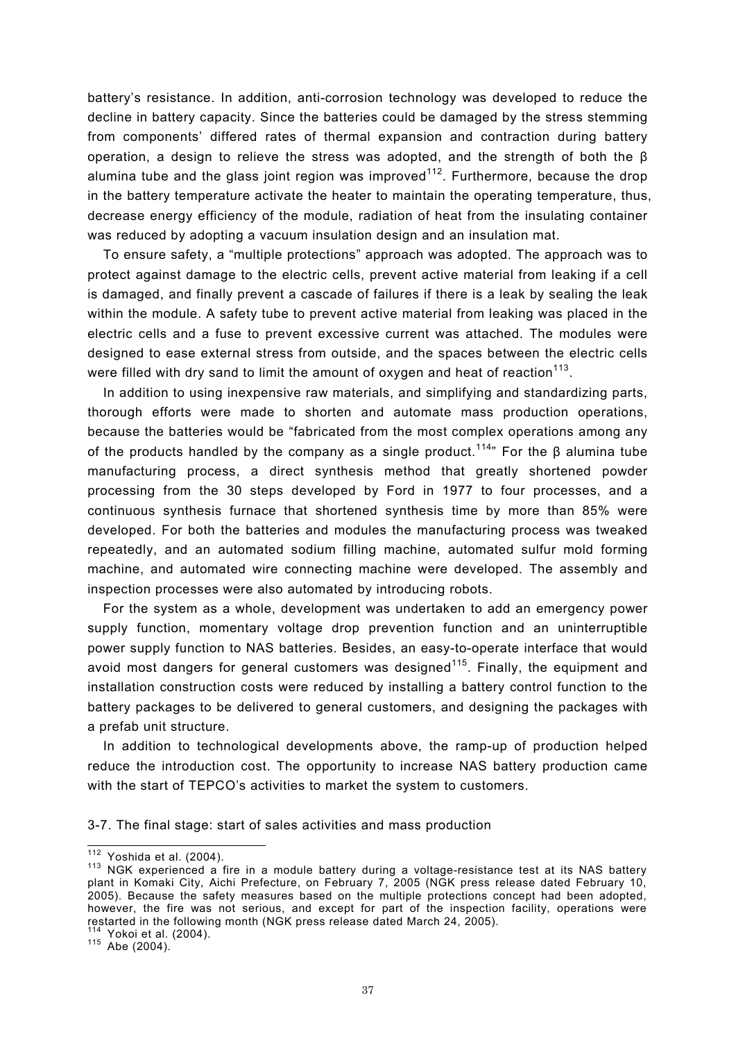battery's resistance. In addition, anti-corrosion technology was developed to reduce the decline in battery capacity. Since the batteries could be damaged by the stress stemming from components' differed rates of thermal expansion and contraction during battery operation, a design to relieve the stress was adopted, and the strength of both the β alumina tube and the glass joint region was improved<sup>112</sup>. Furthermore, because the drop in the battery temperature activate the heater to maintain the operating temperature, thus, decrease energy efficiency of the module, radiation of heat from the insulating container was reduced by adopting a vacuum insulation design and an insulation mat.

To ensure safety, a "multiple protections" approach was adopted. The approach was to protect against damage to the electric cells, prevent active material from leaking if a cell is damaged, and finally prevent a cascade of failures if there is a leak by sealing the leak within the module. A safety tube to prevent active material from leaking was placed in the electric cells and a fuse to prevent excessive current was attached. The modules were designed to ease external stress from outside, and the spaces between the electric cells were filled with dry sand to limit the amount of oxygen and heat of reaction<sup>113</sup>.

In addition to using inexpensive raw materials, and simplifying and standardizing parts, thorough efforts were made to shorten and automate mass production operations, because the batteries would be "fabricated from the most complex operations among any of the products handled by the company as a single product.<sup>114</sup>" For the  $\beta$  alumina tube manufacturing process, a direct synthesis method that greatly shortened powder processing from the 30 steps developed by Ford in 1977 to four processes, and a continuous synthesis furnace that shortened synthesis time by more than 85% were developed. For both the batteries and modules the manufacturing process was tweaked repeatedly, and an automated sodium filling machine, automated sulfur mold forming machine, and automated wire connecting machine were developed. The assembly and inspection processes were also automated by introducing robots.

For the system as a whole, development was undertaken to add an emergency power supply function, momentary voltage drop prevention function and an uninterruptible power supply function to NAS batteries. Besides, an easy-to-operate interface that would avoid most dangers for general customers was designed<sup>115</sup>. Finally, the equipment and installation construction costs were reduced by installing a battery control function to the battery packages to be delivered to general customers, and designing the packages with a prefab unit structure.

In addition to technological developments above, the ramp-up of production helped reduce the introduction cost. The opportunity to increase NAS battery production came with the start of TEPCO's activities to market the system to customers.

3-7. The final stage: start of sales activities and mass production

 $112$  Yoshida et al. (2004).

 $113$  NGK experienced a fire in a module battery during a voltage-resistance test at its NAS battery plant in Komaki City, Aichi Prefecture, on February 7, 2005 (NGK press release dated February 10, 2005). Because the safety measures based on the multiple protections concept had been adopted, however, the fire was not serious, and except for part of the inspection facility, operations were restarted in the following month (NGK press release dated March 24, 2005).<br><sup>114</sup> Yokoi et al. (2004).<br><sup>115</sup> Abe (2004).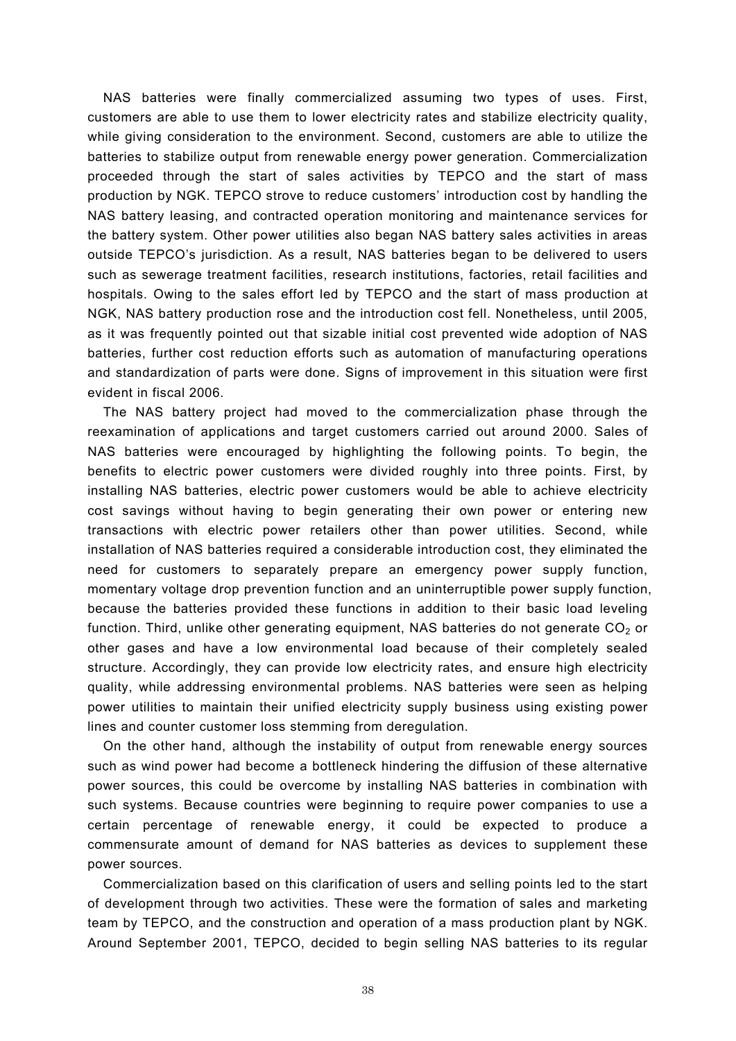NAS batteries were finally commercialized assuming two types of uses. First, customers are able to use them to lower electricity rates and stabilize electricity quality, while giving consideration to the environment. Second, customers are able to utilize the batteries to stabilize output from renewable energy power generation. Commercialization proceeded through the start of sales activities by TEPCO and the start of mass production by NGK. TEPCO strove to reduce customers' introduction cost by handling the NAS battery leasing, and contracted operation monitoring and maintenance services for the battery system. Other power utilities also began NAS battery sales activities in areas outside TEPCO's jurisdiction. As a result, NAS batteries began to be delivered to users such as sewerage treatment facilities, research institutions, factories, retail facilities and hospitals. Owing to the sales effort led by TEPCO and the start of mass production at NGK, NAS battery production rose and the introduction cost fell. Nonetheless, until 2005, as it was frequently pointed out that sizable initial cost prevented wide adoption of NAS batteries, further cost reduction efforts such as automation of manufacturing operations and standardization of parts were done. Signs of improvement in this situation were first evident in fiscal 2006.

The NAS battery project had moved to the commercialization phase through the reexamination of applications and target customers carried out around 2000. Sales of NAS batteries were encouraged by highlighting the following points. To begin, the benefits to electric power customers were divided roughly into three points. First, by installing NAS batteries, electric power customers would be able to achieve electricity cost savings without having to begin generating their own power or entering new transactions with electric power retailers other than power utilities. Second, while installation of NAS batteries required a considerable introduction cost, they eliminated the need for customers to separately prepare an emergency power supply function, momentary voltage drop prevention function and an uninterruptible power supply function, because the batteries provided these functions in addition to their basic load leveling function. Third, unlike other generating equipment, NAS batteries do not generate  $CO<sub>2</sub>$  or other gases and have a low environmental load because of their completely sealed structure. Accordingly, they can provide low electricity rates, and ensure high electricity quality, while addressing environmental problems. NAS batteries were seen as helping power utilities to maintain their unified electricity supply business using existing power lines and counter customer loss stemming from deregulation.

On the other hand, although the instability of output from renewable energy sources such as wind power had become a bottleneck hindering the diffusion of these alternative power sources, this could be overcome by installing NAS batteries in combination with such systems. Because countries were beginning to require power companies to use a certain percentage of renewable energy, it could be expected to produce a commensurate amount of demand for NAS batteries as devices to supplement these power sources.

Commercialization based on this clarification of users and selling points led to the start of development through two activities. These were the formation of sales and marketing team by TEPCO, and the construction and operation of a mass production plant by NGK. Around September 2001, TEPCO, decided to begin selling NAS batteries to its regular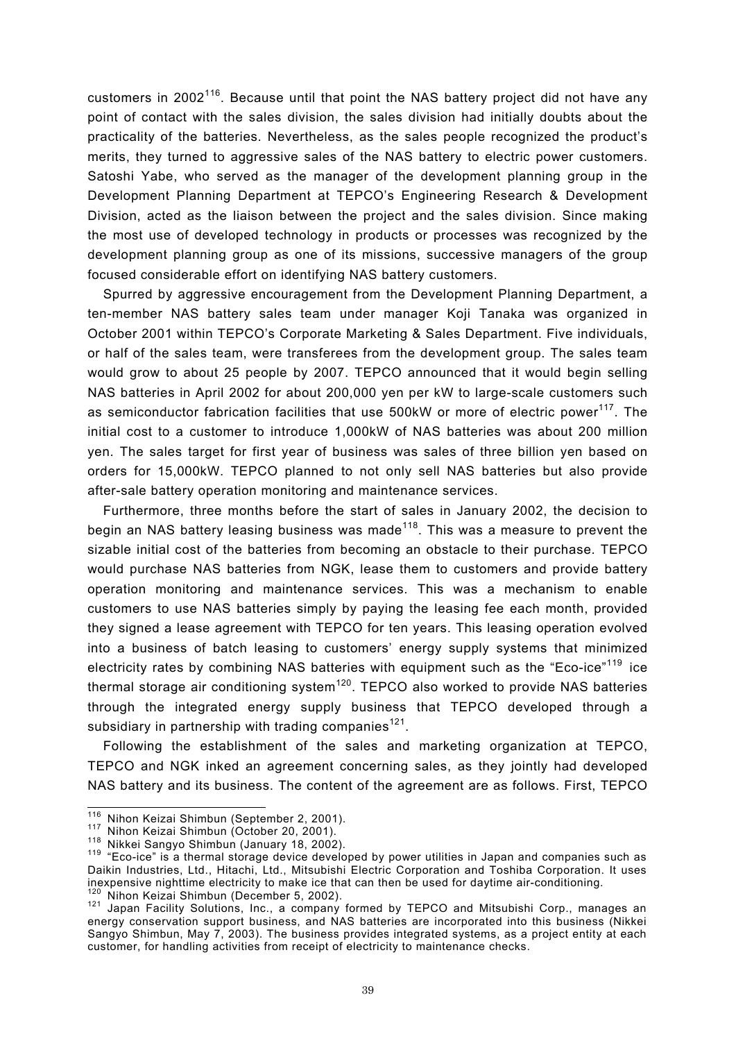customers in 2002<sup>116</sup>. Because until that point the NAS battery project did not have any point of contact with the sales division, the sales division had initially doubts about the practicality of the batteries. Nevertheless, as the sales people recognized the product's merits, they turned to aggressive sales of the NAS battery to electric power customers. Satoshi Yabe, who served as the manager of the development planning group in the Development Planning Department at TEPCO's Engineering Research & Development Division, acted as the liaison between the project and the sales division. Since making the most use of developed technology in products or processes was recognized by the development planning group as one of its missions, successive managers of the group focused considerable effort on identifying NAS battery customers.

Spurred by aggressive encouragement from the Development Planning Department, a ten-member NAS battery sales team under manager Koji Tanaka was organized in October 2001 within TEPCO's Corporate Marketing & Sales Department. Five individuals, or half of the sales team, were transferees from the development group. The sales team would grow to about 25 people by 2007. TEPCO announced that it would begin selling NAS batteries in April 2002 for about 200,000 yen per kW to large-scale customers such as semiconductor fabrication facilities that use 500kW or more of electric power<sup>117</sup>. The initial cost to a customer to introduce 1,000kW of NAS batteries was about 200 million yen. The sales target for first year of business was sales of three billion yen based on orders for 15,000kW. TEPCO planned to not only sell NAS batteries but also provide after-sale battery operation monitoring and maintenance services.

Furthermore, three months before the start of sales in January 2002, the decision to begin an NAS battery leasing business was made<sup>118</sup>. This was a measure to prevent the sizable initial cost of the batteries from becoming an obstacle to their purchase. TEPCO would purchase NAS batteries from NGK, lease them to customers and provide battery operation monitoring and maintenance services. This was a mechanism to enable customers to use NAS batteries simply by paying the leasing fee each month, provided they signed a lease agreement with TEPCO for ten years. This leasing operation evolved into a business of batch leasing to customers' energy supply systems that minimized electricity rates by combining NAS batteries with equipment such as the "Eco-ice"<sup>119</sup> ice thermal storage air conditioning system $120$ . TEPCO also worked to provide NAS batteries through the integrated energy supply business that TEPCO developed through a subsidiary in partnership with trading companies<sup>121</sup>.

Following the establishment of the sales and marketing organization at TEPCO, TEPCO and NGK inked an agreement concerning sales, as they jointly had developed NAS battery and its business. The content of the agreement are as follows. First, TEPCO

<sup>&</sup>lt;sup>116</sup> Nihon Keizai Shimbun (September 2, 2001).

<sup>117</sup> Nihon Keizai Shimbun (October 20, 2001).<br>118 Nikkei Sangyo Shimbun (January 18, 2002).<br><sup>119</sup> "Eco-ice" is a thermal storage device developed by power utilities in Japan and companies such as Daikin Industries, Ltd., Hitachi, Ltd., Mitsubishi Electric Corporation and Toshiba Corporation. It uses<br>inexpensive nighttime electricity to make ice that can then be used for daytime air-conditioning.

<sup>&</sup>lt;sup>120</sup> Nihon Keizai Shimbun (December 5, 2002).<br><sup>121</sup> Japan Facility Solutions, Inc., a company formed by TEPCO and Mitsubishi Corp., manages an energy conservation support business, and NAS batteries are incorporated into this business (Nikkei Sangyo Shimbun, May 7, 2003). The business provides integrated systems, as a project entity at each customer, for handling activities from receipt of electricity to maintenance checks.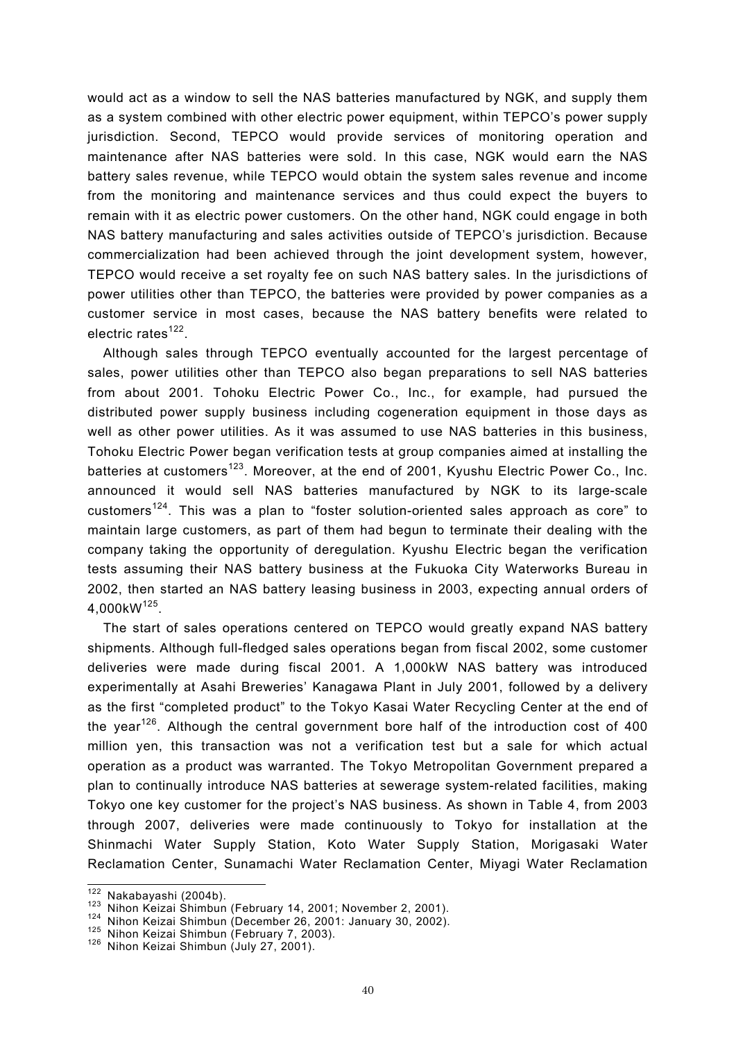would act as a window to sell the NAS batteries manufactured by NGK, and supply them as a system combined with other electric power equipment, within TEPCO's power supply jurisdiction. Second, TEPCO would provide services of monitoring operation and maintenance after NAS batteries were sold. In this case, NGK would earn the NAS battery sales revenue, while TEPCO would obtain the system sales revenue and income from the monitoring and maintenance services and thus could expect the buyers to remain with it as electric power customers. On the other hand, NGK could engage in both NAS battery manufacturing and sales activities outside of TEPCO's jurisdiction. Because commercialization had been achieved through the joint development system, however, TEPCO would receive a set royalty fee on such NAS battery sales. In the jurisdictions of power utilities other than TEPCO, the batteries were provided by power companies as a customer service in most cases, because the NAS battery benefits were related to electric rates $122$ .

Although sales through TEPCO eventually accounted for the largest percentage of sales, power utilities other than TEPCO also began preparations to sell NAS batteries from about 2001. Tohoku Electric Power Co., Inc., for example, had pursued the distributed power supply business including cogeneration equipment in those days as well as other power utilities. As it was assumed to use NAS batteries in this business, Tohoku Electric Power began verification tests at group companies aimed at installing the batteries at customers<sup>123</sup>. Moreover, at the end of 2001, Kyushu Electric Power Co., Inc. announced it would sell NAS batteries manufactured by NGK to its large-scale customers<sup>124</sup>. This was a plan to "foster solution-oriented sales approach as core" to maintain large customers, as part of them had begun to terminate their dealing with the company taking the opportunity of deregulation. Kyushu Electric began the verification tests assuming their NAS battery business at the Fukuoka City Waterworks Bureau in 2002, then started an NAS battery leasing business in 2003, expecting annual orders of 4,000kW125.

The start of sales operations centered on TEPCO would greatly expand NAS battery shipments. Although full-fledged sales operations began from fiscal 2002, some customer deliveries were made during fiscal 2001. A 1,000kW NAS battery was introduced experimentally at Asahi Breweries' Kanagawa Plant in July 2001, followed by a delivery as the first "completed product" to the Tokyo Kasai Water Recycling Center at the end of the year<sup>126</sup>. Although the central government bore half of the introduction cost of 400 million yen, this transaction was not a verification test but a sale for which actual operation as a product was warranted. The Tokyo Metropolitan Government prepared a plan to continually introduce NAS batteries at sewerage system-related facilities, making Tokyo one key customer for the project's NAS business. As shown in Table 4, from 2003 through 2007, deliveries were made continuously to Tokyo for installation at the Shinmachi Water Supply Station, Koto Water Supply Station, Morigasaki Water Reclamation Center, Sunamachi Water Reclamation Center, Miyagi Water Reclamation

 $\overline{\frac{122}{122}}$ Nakabayashi (2004b).

<sup>&</sup>lt;sup>123</sup> Nihon Keizai Shimbun (February 14, 2001; November 2, 2001).<br><sup>124</sup> Nihon Keizai Shimbun (December 26, 2001: January 30, 2002).<br><sup>125</sup> Nihon Keizai Shimbun (February 7, 2003).<br><sup>126</sup> Nihon Keizai Shimbun (July 27, 2001)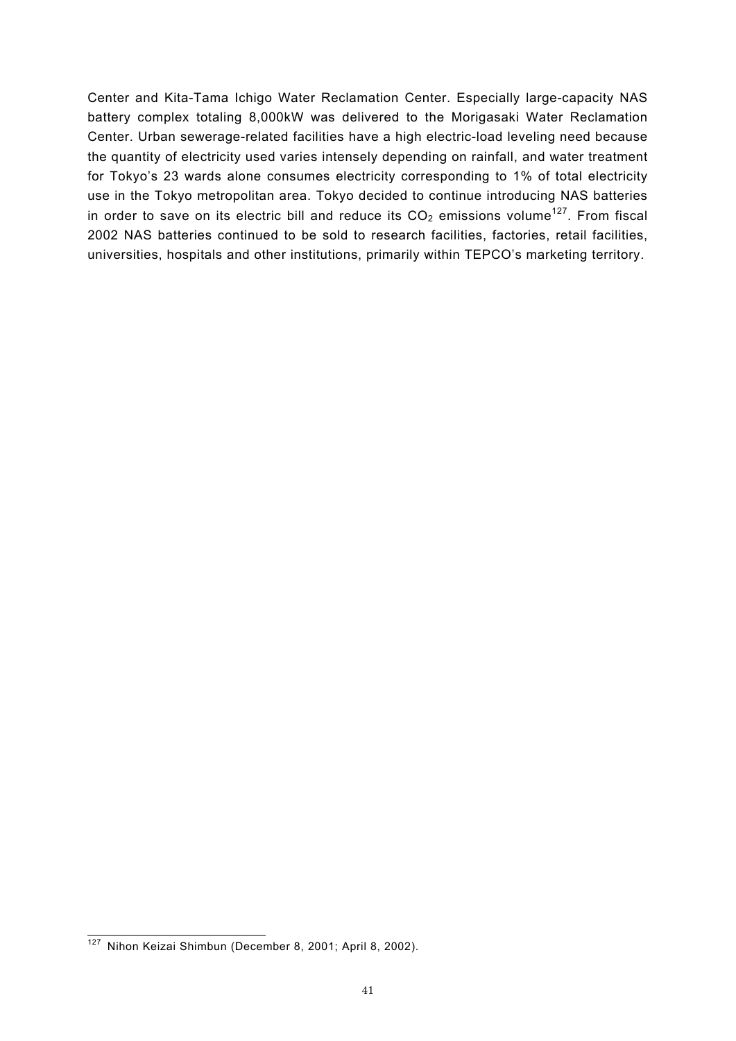Center and Kita-Tama Ichigo Water Reclamation Center. Especially large-capacity NAS battery complex totaling 8,000kW was delivered to the Morigasaki Water Reclamation Center. Urban sewerage-related facilities have a high electric-load leveling need because the quantity of electricity used varies intensely depending on rainfall, and water treatment for Tokyo's 23 wards alone consumes electricity corresponding to 1% of total electricity use in the Tokyo metropolitan area. Tokyo decided to continue introducing NAS batteries in order to save on its electric bill and reduce its  $CO<sub>2</sub>$  emissions volume<sup>127</sup>. From fiscal 2002 NAS batteries continued to be sold to research facilities, factories, retail facilities, universities, hospitals and other institutions, primarily within TEPCO's marketing territory.

 $\overline{a}$ <sup>127</sup> Nihon Keizai Shimbun (December 8, 2001; April 8, 2002).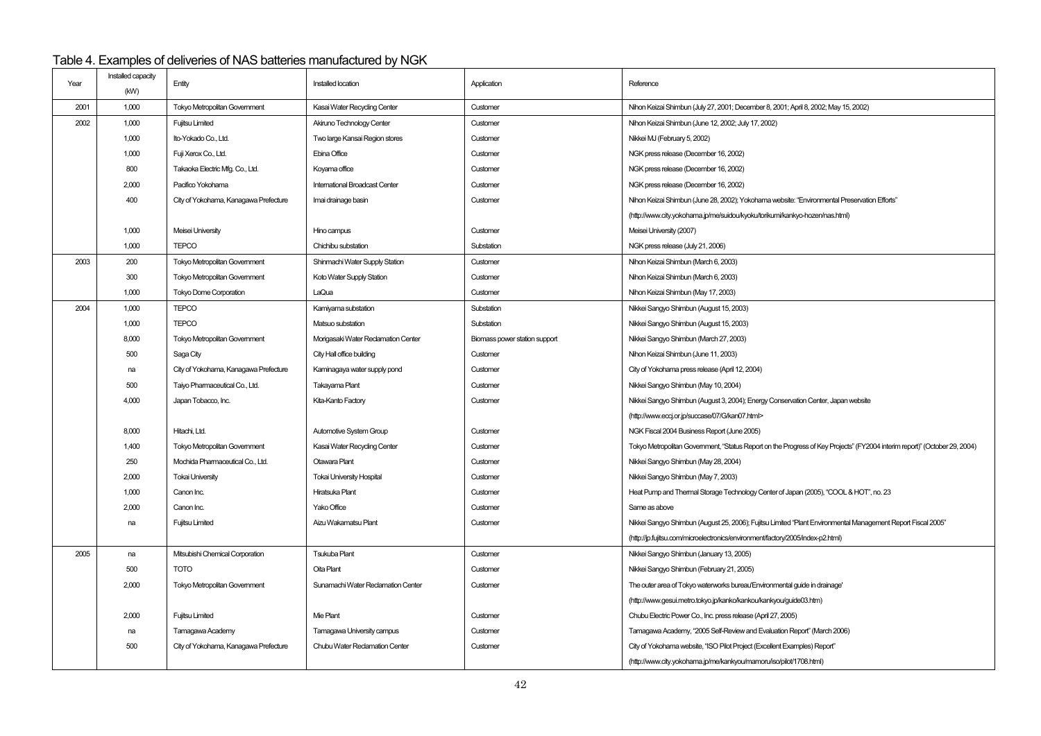# Table 4. Examples of deliveries of NAS batteries manufactured by NGK

|      | Installed capacity |                                       |                                    |                               |                                                                                                                           |
|------|--------------------|---------------------------------------|------------------------------------|-------------------------------|---------------------------------------------------------------------------------------------------------------------------|
| Year | (kW)               | Entity                                | Installed location                 | Application                   | Reference                                                                                                                 |
| 2001 | 1,000              | Tokyo Metropolitan Government         | Kasai Water Recycling Center       | Customer                      | Nihon Keizai Shimbun (July 27, 2001; December 8, 2001; April 8, 2002; May 15, 2002)                                       |
| 2002 | 1,000              | <b>Fujitsu Limited</b>                | Akiruno Technology Center          | Customer                      | Nihon Keizai Shimbun (June 12, 2002; July 17, 2002)                                                                       |
|      | 1,000              | Ito-Yokado Co., Ltd.                  | Two large Kansai Region stores     | Customer                      | Nikkei MJ (February 5, 2002)                                                                                              |
|      | 1,000              | Fuji Xerox Co., Ltd.                  | Ebina Office                       | Customer                      | NGK press release (December 16, 2002)                                                                                     |
|      | 800                | Takaoka Electric Mfg. Co., Ltd.       | Koyama office                      | Customer                      | NGK press release (December 16, 2002)                                                                                     |
|      | 2,000              | Pacifico Yokohama                     | International Broadcast Center     | Customer                      | NGK press release (December 16, 2002)                                                                                     |
|      | 400                | City of Yokohama, Kanagawa Prefecture | Imai drainage basin                | Customer                      | Nihon Keizai Shimbun (June 28, 2002); Yokohama website: "Environmental Preservation Efforts"                              |
|      |                    |                                       |                                    |                               | (http://www.city.yokohama.jp/me/suidou/kyoku/torikumi/kankyo-hozen/nas.html)                                              |
|      | 1,000              | Meisei University                     | Hino campus                        | Customer                      | Meisei University (2007)                                                                                                  |
|      | 1,000              | <b>TEPCO</b>                          | Chichibu substation                | Substation                    | NGK press release (July 21, 2006)                                                                                         |
| 2003 | 200                | Tokyo Metropolitan Government         | Shinmachi Water Supply Station     | Customer                      | Nihon Keizai Shimbun (March 6, 2003)                                                                                      |
|      | 300                | Tokyo Metropolitan Government         | Koto Water Supply Station          | Customer                      | Nihon Keizai Shimbun (March 6, 2003)                                                                                      |
|      | 1,000              | <b>Tokyo Dome Corporation</b>         | LaQua                              | Customer                      | Nihon Keizai Shimbun (May 17, 2003)                                                                                       |
| 2004 | 1,000              | <b>TEPCO</b>                          | Kamiyama substation                | Substation                    | Nikkei Sangyo Shimbun (August 15, 2003)                                                                                   |
|      | 1,000              | <b>TEPCO</b>                          | Matsuo substation                  | Substation                    | Nikkei Sangyo Shimbun (August 15, 2003)                                                                                   |
|      | 8,000              | Tokyo Metropolitan Government         | Morigasaki Water Redamation Center | Biomass power station support | Nikkei Sangyo Shimbun (March 27, 2003)                                                                                    |
|      | 500                | Saga City                             | City Hall office building          | Customer                      | Nihon Keizai Shimbun (June 11, 2003)                                                                                      |
|      | na                 | City of Yokohama, Kanagawa Prefecture | Kaminagaya water supply pond       | Customer                      | City of Yokohama press release (April 12, 2004)                                                                           |
|      | 500                | Taiyo Pharmaceutical Co., Ltd.        | Takayama Plant                     | Customer                      | Nikkei Sangyo Shimbun (May 10, 2004)                                                                                      |
|      | 4,000              | Japan Tobacco, Inc.                   | Kita-Kanto Factory                 | Customer                      | Nikkei Sangyo Shimbun (August 3, 2004); Energy Conservation Center, Japan website                                         |
|      |                    |                                       |                                    |                               | (http://www.eccj.or.jp/succase/07/G/kan07.html>                                                                           |
|      | 8,000              | Hitachi, Ltd.                         | Automotive System Group            | Customer                      | NGK Fiscal 2004 Business Report (June 2005)                                                                               |
|      | 1,400              | <b>Tokyo Metropolitan Government</b>  | Kasai Water Recyding Center        | Customer                      | Tokyo Metropolitan Govemment, "Status Report on the Progress of Key Projects" (FY2004 interim report)" (October 29, 2004) |
|      | 250                | Mochida Pharmaceutical Co., Ltd.      | Otawara Plant                      | Customer                      | Nikkei Sangyo Shimbun (May 28, 2004)                                                                                      |
|      | 2,000              | <b>Tokai University</b>               | <b>Tokai University Hospital</b>   | Customer                      | Nikkei Sangyo Shimbun (May 7, 2003)                                                                                       |
|      | 1,000              | Canon Inc.                            | Hiratsuka Plant                    | Customer                      | Heat Pump and Thermal Storage Technology Center of Japan (2005), "COOL & HOT", no. 23                                     |
|      | 2,000              | Canon Inc.                            | Yako Office                        | Customer                      | Same as above                                                                                                             |
|      | na                 | <b>Fujitsu Limited</b>                | Aizu Wakamatsu Plant               | Customer                      | Nikkei Sangyo Shimbun (August 25, 2006); Fujitsu Limited "Plant Environmental Management Report Fiscal 2005"              |
|      |                    |                                       |                                    |                               | (http://jp.fujitsu.com/microelectronics/environment/factory/2005/index-p2.html)                                           |
| 2005 | na                 | Mitsubishi Chemical Corporation       | <b>Tsukuba Plant</b>               | Customer                      | Nikkei Sangyo Shimbun (January 13, 2005)                                                                                  |
|      | 500                | <b>TOTO</b>                           | Oita Plant                         | Customer                      | Nikkei Sangyo Shimbun (February 21, 2005)                                                                                 |
|      | 2,000              | Tokyo Metropolitan Government         | Sunamachi Water Reclamation Center | Customer                      | The outer area of Tokyo waterworks bureau'Environmental guide in drainage'                                                |
|      |                    |                                       |                                    |                               | (http://www.gesui.metro.tokyo.jp/kanko/kankou/kankyou/guide03.htm)                                                        |
|      | 2,000              | <b>Fujitsu Limited</b>                | Mie Plant                          | Customer                      | Chubu Electric Power Co., Inc. press release (April 27, 2005)                                                             |
|      | na                 | Tamagawa Academy                      | <b>Tamagawa University campus</b>  | Customer                      | Tamagawa Academy, "2005 Self-Review and Evaluation Report" (March 2006)                                                   |
|      | 500                | City of Yokohama, Kanagawa Prefecture | Chubu Water Reclamation Center     | Customer                      | City of Yokohama website, "ISO Pilot Project (Excellent Examples) Report"                                                 |
|      |                    |                                       |                                    |                               | (http://www.city.yokohama.jp/me/kankyou/mamoru/iso/pilot/1708.html)                                                       |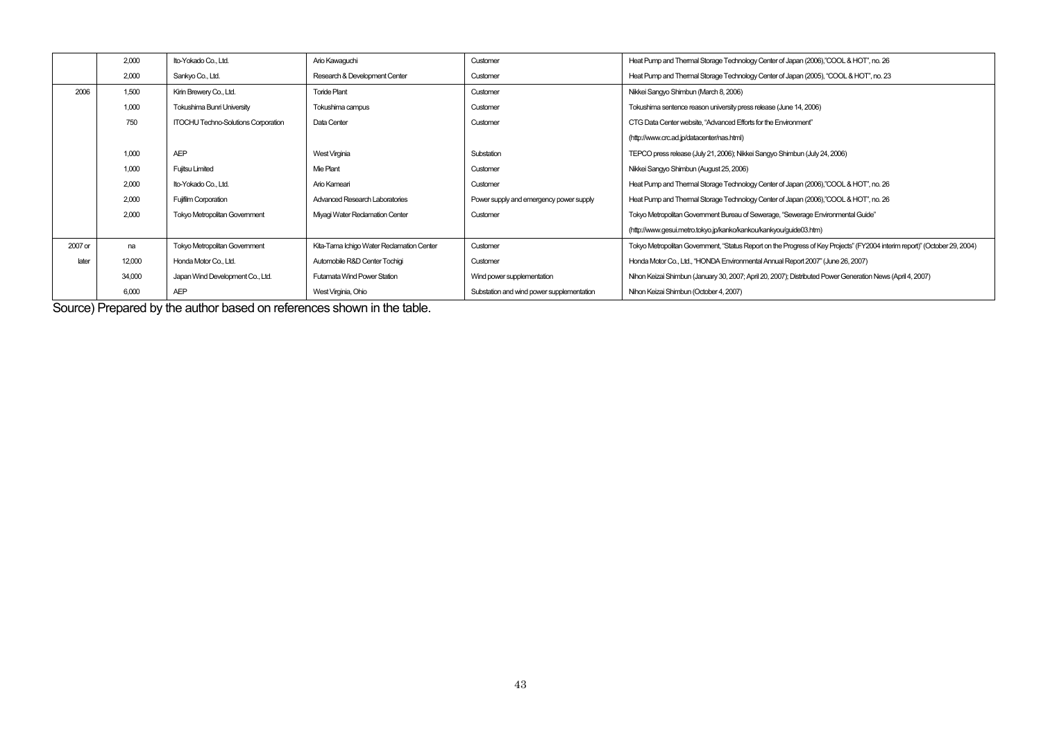|         | 2,000  | Ito-Yokado Co., Ltd.                       | Ario Kawaquchi                            | Customer                                  | Heat Pump and Thermal Storage Technology Center of Japan (2006),"COOL & HOT", no. 26                                       |
|---------|--------|--------------------------------------------|-------------------------------------------|-------------------------------------------|----------------------------------------------------------------------------------------------------------------------------|
|         | 2,000  | Sankyo Co., Ltd.                           | Research & Development Center             | Customer                                  | Heat Pump and Thermal Storage Technology Center of Japan (2005), "COOL & HOT", no. 23                                      |
| 2006    | 1,500  | Kirin Brewery Co., Ltd.                    | <b>Toride Plant</b>                       | Customer                                  | Nikkei Sangyo Shimbun (March 8, 2006)                                                                                      |
|         | 1,000  | Tokushima Bunri University                 | Tokushima campus                          | Customer                                  | Tokushima sentence reason university press release (June 14, 2006)                                                         |
|         | 750    | <b>ITOCHU Techno-Solutions Corporation</b> | Data Center                               | Customer                                  | CTG Data Center website. "Advanced Efforts for the Environment"                                                            |
|         |        |                                            |                                           |                                           | (http://www.crc.ad.jp/datacenter/nas.html)                                                                                 |
|         | 1,000  | <b>AEP</b>                                 | <b>West Virginia</b>                      | Substation                                | TEPCO press release (July 21, 2006); Nikkei Sangyo Shimbun (July 24, 2006)                                                 |
|         | 1,000  | <b>Fujitsu Limited</b>                     | Mie Plant                                 | Customer                                  | Nikkei Sangyo Shimbun (August 25, 2006)                                                                                    |
|         | 2,000  | Ito-Yokado Co., Ltd.                       | Ario Kameari                              | Customer                                  | Heat Pump and Thermal Storage Technology Center of Japan (2006),"COOL & HOT", no. 26                                       |
|         | 2,000  | <b>Fujifilm Corporation</b>                | Advanced Research Laboratories            | Power supply and emergency power supply   | Heat Pump and Thermal Storage Technology Center of Japan (2006),"COOL & HOT", no. 26                                       |
|         | 2,000  | <b>Tokyo Metropolitan Government</b>       | Miyagi Water Reclamation Center           | Customer                                  | Tokyo Metropolitan Government Bureau of Sewerage, "Sewerage Environmental Guide"                                           |
|         |        |                                            |                                           |                                           | (http://www.gesui.metro.tokyo.jp/kanko/kankou/kankyou/guide03.htm)                                                         |
| 2007 or | na     | <b>Tokyo Metropolitan Government</b>       | Kita-Tama Ichigo Water Reclamation Center | Customer                                  | Tokyo Metropolitan Government, "Status Report on the Progress of Key Projects" (FY2004 interim report)" (October 29, 2004) |
| later   | 12,000 | Honda Motor Co., Ltd.                      | Automobile R&D Center Tochigi             | Customer                                  | Honda Motor Co., Ltd., "HONDA Environmental Annual Report 2007" (June 26, 2007)                                            |
|         | 34,000 | Japan Wind Development Co., Ltd.           | <b>Futamata Wind Power Station</b>        | Wind power supplementation                | Nihon Keizai Shimbun (January 30, 2007; April 20, 2007); Distributed Power Generation News (April 4, 2007)                 |
|         | 6,000  | <b>AEP</b>                                 | West Virginia, Ohio                       | Substation and wind power supplementation | Nihon Keizai Shimbun (October 4, 2007)                                                                                     |

Source) Prepared by the author based on references shown in the table.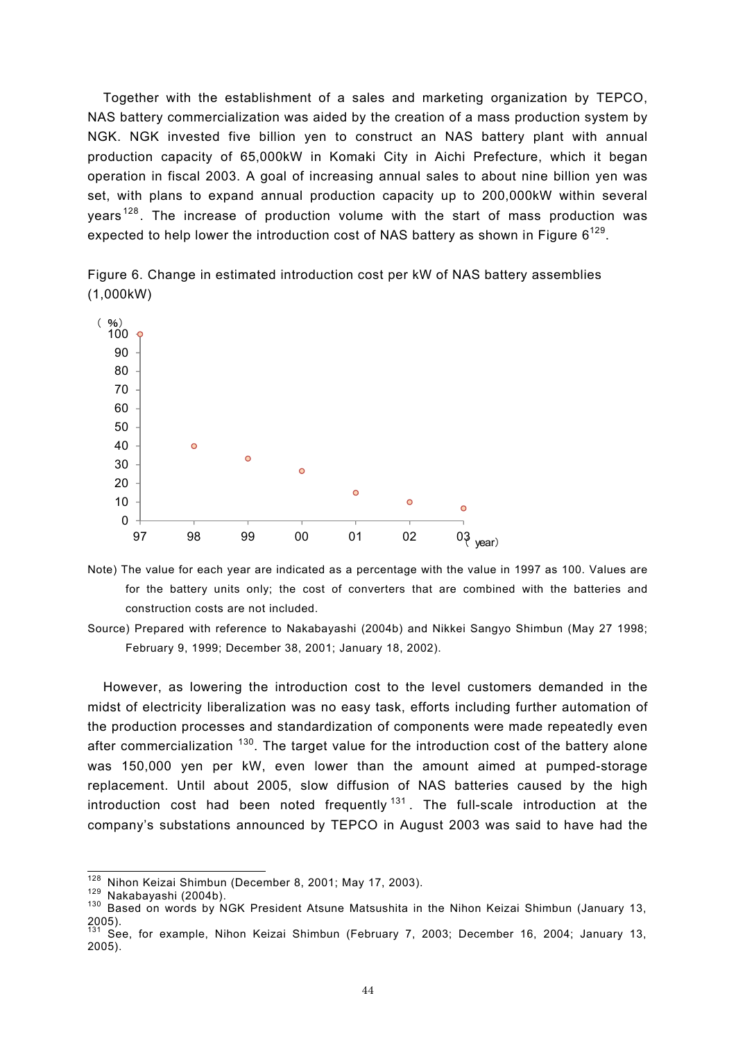Together with the establishment of a sales and marketing organization by TEPCO, NAS battery commercialization was aided by the creation of a mass production system by NGK. NGK invested five billion yen to construct an NAS battery plant with annual production capacity of 65,000kW in Komaki City in Aichi Prefecture, which it began operation in fiscal 2003. A goal of increasing annual sales to about nine billion yen was set, with plans to expand annual production capacity up to 200,000kW within several years <sup>128</sup> . The increase of production volume with the start of mass production was expected to help lower the introduction cost of NAS battery as shown in Figure  $6^{129}$ .



Figure 6. Change in estimated introduction cost per kW of NAS battery assemblies (1,000kW)

Note) The value for each year are indicated as a percentage with the value in 1997 as 100. Values are for the battery units only; the cost of converters that are combined with the batteries and construction costs are not included.

However, as lowering the introduction cost to the level customers demanded in the midst of electricity liberalization was no easy task, efforts including further automation of the production processes and standardization of components were made repeatedly even after commercialization  $130$ . The target value for the introduction cost of the battery alone was 150,000 yen per kW, even lower than the amount aimed at pumped-storage replacement. Until about 2005, slow diffusion of NAS batteries caused by the high introduction cost had been noted frequently  $131$ . The full-scale introduction at the company's substations announced by TEPCO in August 2003 was said to have had the

Source) Prepared with reference to Nakabayashi (2004b) and Nikkei Sangyo Shimbun (May 27 1998; February 9, 1999; December 38, 2001; January 18, 2002).

<sup>128</sup> 

<sup>&</sup>lt;sup>128</sup> Nihon Keizai Shimbun (December 8, 2001; May 17, 2003).<br><sup>129</sup> Nakabayashi (2004b).<br><sup>130</sup> Based on words by NGK President Atsune Matsushita in the Nihon Keizai Shimbun (January 13, 2005).

<sup>&</sup>lt;sup>131</sup> See, for example, Nihon Keizai Shimbun (February 7, 2003; December 16, 2004; January 13, 2005).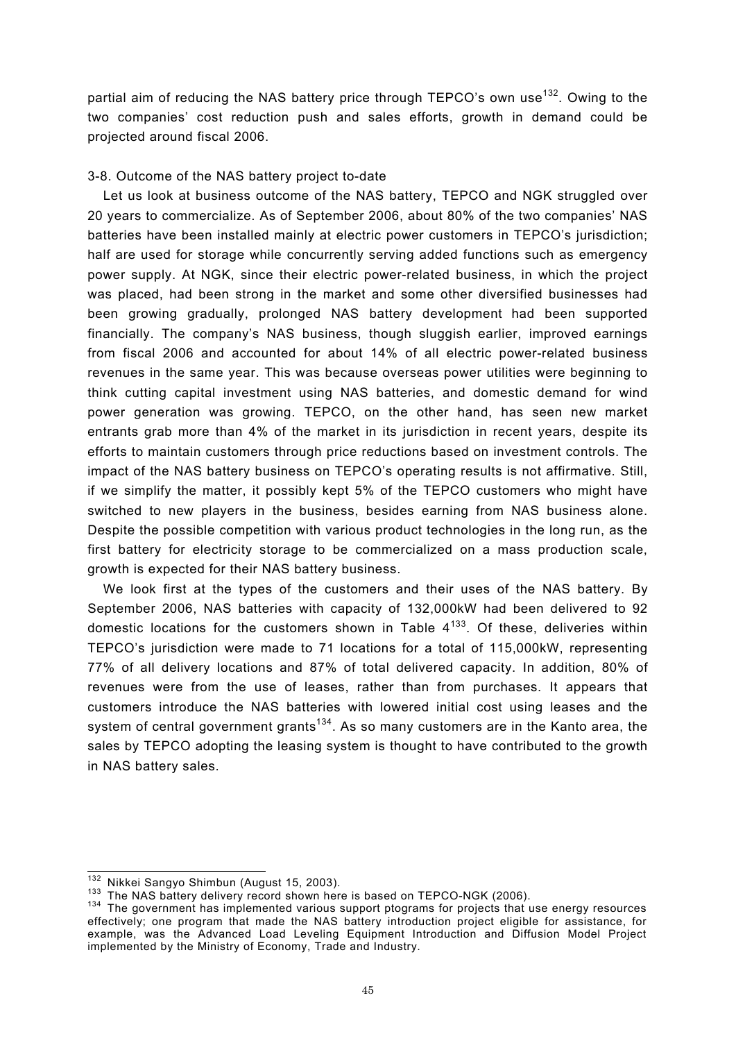partial aim of reducing the NAS battery price through TEPCO's own use<sup>132</sup>. Owing to the two companies' cost reduction push and sales efforts, growth in demand could be projected around fiscal 2006.

# 3-8. Outcome of the NAS battery project to-date

Let us look at business outcome of the NAS battery, TEPCO and NGK struggled over 20 years to commercialize. As of September 2006, about 80% of the two companies' NAS batteries have been installed mainly at electric power customers in TEPCO's jurisdiction; half are used for storage while concurrently serving added functions such as emergency power supply. At NGK, since their electric power-related business, in which the project was placed, had been strong in the market and some other diversified businesses had been growing gradually, prolonged NAS battery development had been supported financially. The company's NAS business, though sluggish earlier, improved earnings from fiscal 2006 and accounted for about 14% of all electric power-related business revenues in the same year. This was because overseas power utilities were beginning to think cutting capital investment using NAS batteries, and domestic demand for wind power generation was growing. TEPCO, on the other hand, has seen new market entrants grab more than 4% of the market in its jurisdiction in recent years, despite its efforts to maintain customers through price reductions based on investment controls. The impact of the NAS battery business on TEPCO's operating results is not affirmative. Still, if we simplify the matter, it possibly kept 5% of the TEPCO customers who might have switched to new players in the business, besides earning from NAS business alone. Despite the possible competition with various product technologies in the long run, as the first battery for electricity storage to be commercialized on a mass production scale, growth is expected for their NAS battery business.

We look first at the types of the customers and their uses of the NAS battery. By September 2006, NAS batteries with capacity of 132,000kW had been delivered to 92 domestic locations for the customers shown in Table  $4^{133}$ . Of these, deliveries within TEPCO's jurisdiction were made to 71 locations for a total of 115,000kW, representing 77% of all delivery locations and 87% of total delivered capacity. In addition, 80% of revenues were from the use of leases, rather than from purchases. It appears that customers introduce the NAS batteries with lowered initial cost using leases and the system of central government grants<sup>134</sup>. As so many customers are in the Kanto area, the sales by TEPCO adopting the leasing system is thought to have contributed to the growth in NAS battery sales.

<sup>&</sup>lt;sup>132</sup> Nikkei Sangyo Shimbun (August 15, 2003).

<sup>133</sup> The NAS battery delivery record shown here is based on TEPCO-NGK (2006).<br><sup>134</sup> The government has implemented various support ptograms for projects that use energy resources effectively; one program that made the NAS battery introduction project eligible for assistance, for example, was the Advanced Load Leveling Equipment Introduction and Diffusion Model Project implemented by the Ministry of Economy, Trade and Industry.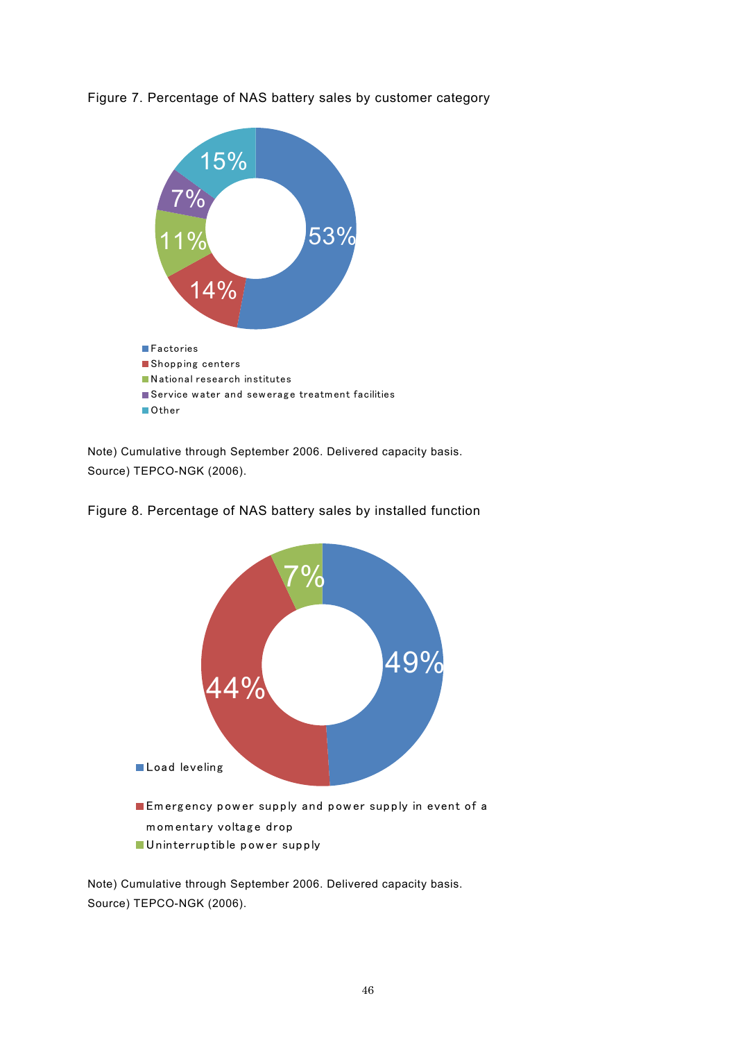



Note) Cumulative through September 2006. Delivered capacity basis. Source) TEPCO-NGK (2006).





Note) Cumulative through September 2006. Delivered capacity basis. Source) TEPCO-NGK (2006).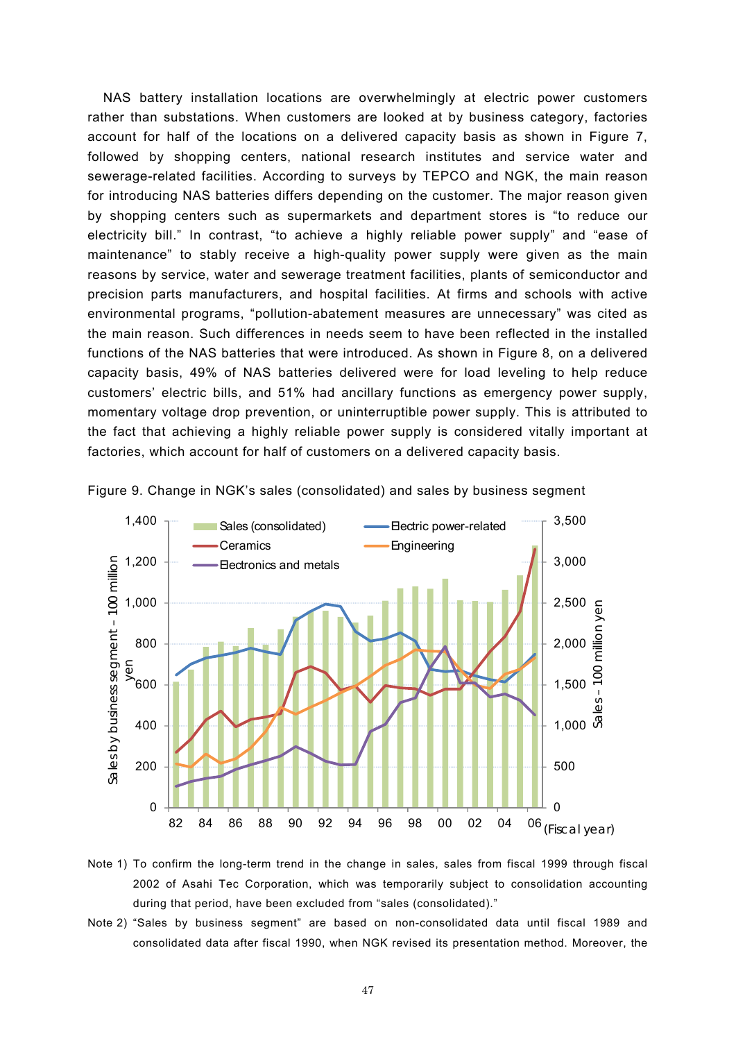NAS battery installation locations are overwhelmingly at electric power customers rather than substations. When customers are looked at by business category, factories account for half of the locations on a delivered capacity basis as shown in Figure 7, followed by shopping centers, national research institutes and service water and sewerage-related facilities. According to surveys by TEPCO and NGK, the main reason for introducing NAS batteries differs depending on the customer. The major reason given by shopping centers such as supermarkets and department stores is "to reduce our electricity bill." In contrast, "to achieve a highly reliable power supply" and "ease of maintenance" to stably receive a high-quality power supply were given as the main reasons by service, water and sewerage treatment facilities, plants of semiconductor and precision parts manufacturers, and hospital facilities. At firms and schools with active environmental programs, "pollution-abatement measures are unnecessary" was cited as the main reason. Such differences in needs seem to have been reflected in the installed functions of the NAS batteries that were introduced. As shown in Figure 8, on a delivered capacity basis, 49% of NAS batteries delivered were for load leveling to help reduce customers' electric bills, and 51% had ancillary functions as emergency power supply, momentary voltage drop prevention, or uninterruptible power supply. This is attributed to the fact that achieving a highly reliable power supply is considered vitally important at factories, which account for half of customers on a delivered capacity basis.



Figure 9. Change in NGK's sales (consolidated) and sales by business segment

- Note 1) To confirm the long-term trend in the change in sales, sales from fiscal 1999 through fiscal 2002 of Asahi Tec Corporation, which was temporarily subject to consolidation accounting during that period, have been excluded from "sales (consolidated)."
- Note 2) "Sales by business segment" are based on non-consolidated data until fiscal 1989 and consolidated data after fiscal 1990, when NGK revised its presentation method. Moreover, the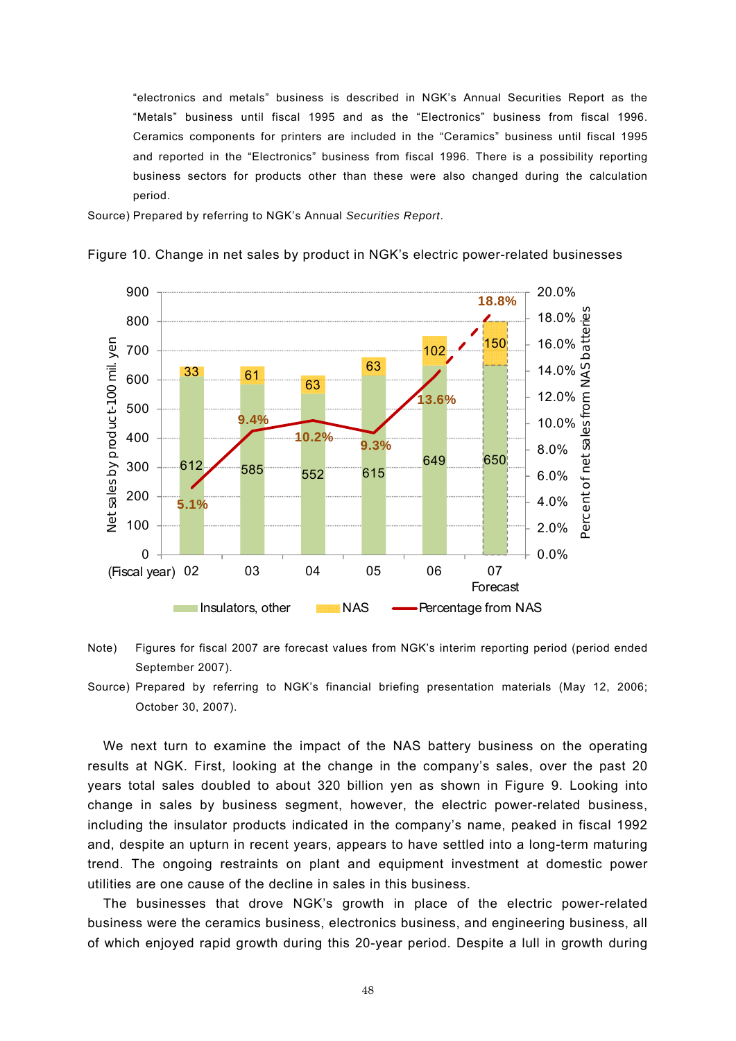"electronics and metals" business is described in NGK's Annual Securities Report as the "Metals" business until fiscal 1995 and as the "Electronics" business from fiscal 1996. Ceramics components for printers are included in the "Ceramics" business until fiscal 1995 and reported in the "Electronics" business from fiscal 1996. There is a possibility reporting business sectors for products other than these were also changed during the calculation period.

Source) Prepared by referring to NGK's Annual *Securities Report*.



Figure 10. Change in net sales by product in NGK's electric power-related businesses

- Note) Figures for fiscal 2007 are forecast values from NGK's interim reporting period (period ended September 2007).
- Source) Prepared by referring to NGK's financial briefing presentation materials (May 12, 2006; October 30, 2007).

We next turn to examine the impact of the NAS battery business on the operating results at NGK. First, looking at the change in the company's sales, over the past 20 years total sales doubled to about 320 billion yen as shown in Figure 9. Looking into change in sales by business segment, however, the electric power-related business, including the insulator products indicated in the company's name, peaked in fiscal 1992 and, despite an upturn in recent years, appears to have settled into a long-term maturing trend. The ongoing restraints on plant and equipment investment at domestic power utilities are one cause of the decline in sales in this business.

The businesses that drove NGK's growth in place of the electric power-related business were the ceramics business, electronics business, and engineering business, all of which enjoyed rapid growth during this 20-year period. Despite a lull in growth during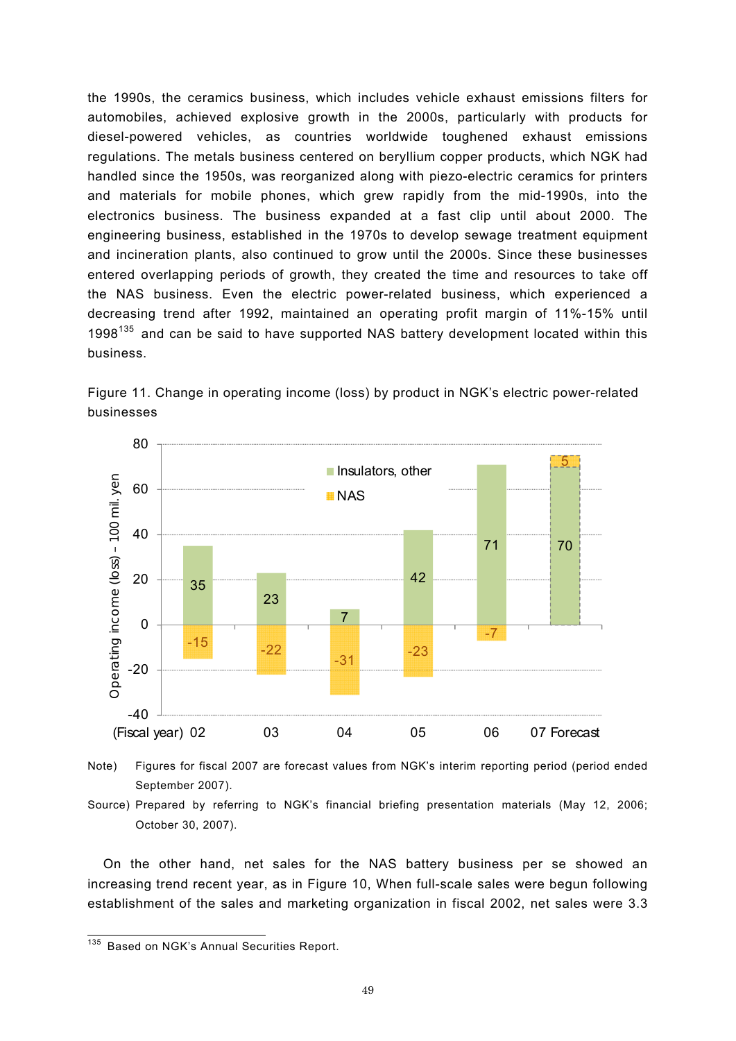the 1990s, the ceramics business, which includes vehicle exhaust emissions filters for automobiles, achieved explosive growth in the 2000s, particularly with products for diesel-powered vehicles, as countries worldwide toughened exhaust emissions regulations. The metals business centered on beryllium copper products, which NGK had handled since the 1950s, was reorganized along with piezo-electric ceramics for printers and materials for mobile phones, which grew rapidly from the mid-1990s, into the electronics business. The business expanded at a fast clip until about 2000. The engineering business, established in the 1970s to develop sewage treatment equipment and incineration plants, also continued to grow until the 2000s. Since these businesses entered overlapping periods of growth, they created the time and resources to take off the NAS business. Even the electric power-related business, which experienced a decreasing trend after 1992, maintained an operating profit margin of 11%-15% until 1998<sup>135</sup> and can be said to have supported NAS battery development located within this business.





Note) Figures for fiscal 2007 are forecast values from NGK's interim reporting period (period ended September 2007).

On the other hand, net sales for the NAS battery business per se showed an increasing trend recent year, as in Figure 10, When full-scale sales were begun following establishment of the sales and marketing organization in fiscal 2002, net sales were 3.3

Source) Prepared by referring to NGK's financial briefing presentation materials (May 12, 2006; October 30, 2007).

<sup>135</sup> Based on NGK's Annual Securities Report.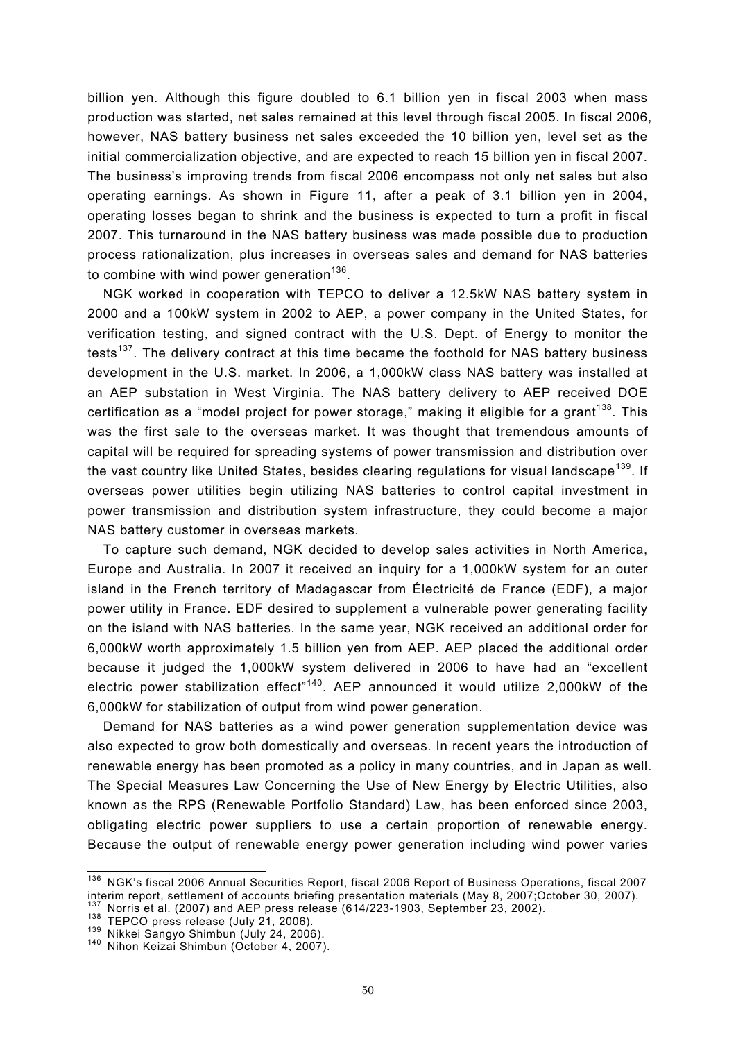billion yen. Although this figure doubled to 6.1 billion yen in fiscal 2003 when mass production was started, net sales remained at this level through fiscal 2005. In fiscal 2006, however, NAS battery business net sales exceeded the 10 billion yen, level set as the initial commercialization objective, and are expected to reach 15 billion yen in fiscal 2007. The business's improving trends from fiscal 2006 encompass not only net sales but also operating earnings. As shown in Figure 11, after a peak of 3.1 billion yen in 2004, operating losses began to shrink and the business is expected to turn a profit in fiscal 2007. This turnaround in the NAS battery business was made possible due to production process rationalization, plus increases in overseas sales and demand for NAS batteries to combine with wind power generation $136$ .

NGK worked in cooperation with TEPCO to deliver a 12.5kW NAS battery system in 2000 and a 100kW system in 2002 to AEP, a power company in the United States, for verification testing, and signed contract with the U.S. Dept. of Energy to monitor the tests<sup>137</sup>. The delivery contract at this time became the foothold for NAS battery business development in the U.S. market. In 2006, a 1,000kW class NAS battery was installed at an AEP substation in West Virginia. The NAS battery delivery to AEP received DOE certification as a "model project for power storage," making it eligible for a grant<sup>138</sup>. This was the first sale to the overseas market. It was thought that tremendous amounts of capital will be required for spreading systems of power transmission and distribution over the vast country like United States, besides clearing regulations for visual landscape<sup>139</sup>. If overseas power utilities begin utilizing NAS batteries to control capital investment in power transmission and distribution system infrastructure, they could become a major NAS battery customer in overseas markets.

To capture such demand, NGK decided to develop sales activities in North America, Europe and Australia. In 2007 it received an inquiry for a 1,000kW system for an outer island in the French territory of Madagascar from Électricité de France (EDF), a major power utility in France. EDF desired to supplement a vulnerable power generating facility on the island with NAS batteries. In the same year, NGK received an additional order for 6,000kW worth approximately 1.5 billion yen from AEP. AEP placed the additional order because it judged the 1,000kW system delivered in 2006 to have had an "excellent electric power stabilization effect<sup> $n$ 140</sup>. AEP announced it would utilize 2,000kW of the 6,000kW for stabilization of output from wind power generation.

Demand for NAS batteries as a wind power generation supplementation device was also expected to grow both domestically and overseas. In recent years the introduction of renewable energy has been promoted as a policy in many countries, and in Japan as well. The Special Measures Law Concerning the Use of New Energy by Electric Utilities, also known as the RPS (Renewable Portfolio Standard) Law, has been enforced since 2003, obligating electric power suppliers to use a certain proportion of renewable energy. Because the output of renewable energy power generation including wind power varies

 $\overline{a}$ 

<sup>&</sup>lt;sup>136</sup> NGK's fiscal 2006 Annual Securities Report, fiscal 2006 Report of Business Operations, fiscal 2007 interim report, settlement of accounts briefing presentation materials (May 8, 2007;October 30, 2007).<br>
<sup>137</sup> Norris et al. (2007) and AEP press release (614/223-1903, September 23, 2002).<br>
<sup>138</sup> TEPCO press release (July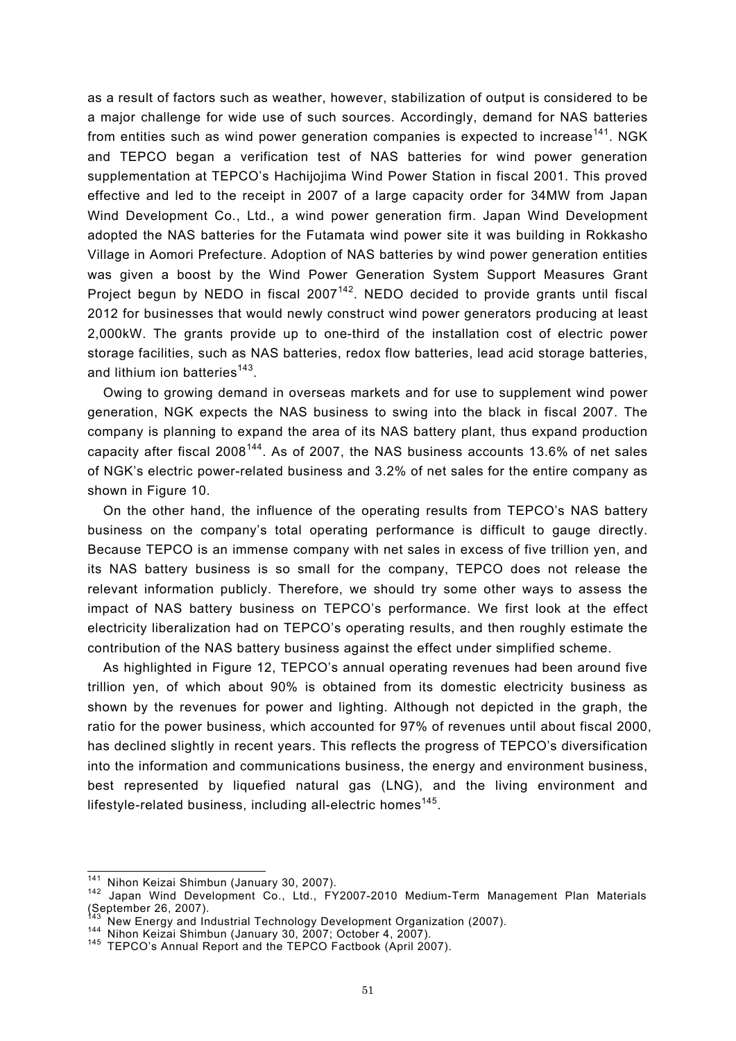as a result of factors such as weather, however, stabilization of output is considered to be a major challenge for wide use of such sources. Accordingly, demand for NAS batteries from entities such as wind power generation companies is expected to increase<sup>141</sup>. NGK and TEPCO began a verification test of NAS batteries for wind power generation supplementation at TEPCO's Hachijojima Wind Power Station in fiscal 2001. This proved effective and led to the receipt in 2007 of a large capacity order for 34MW from Japan Wind Development Co., Ltd., a wind power generation firm. Japan Wind Development adopted the NAS batteries for the Futamata wind power site it was building in Rokkasho Village in Aomori Prefecture. Adoption of NAS batteries by wind power generation entities was given a boost by the Wind Power Generation System Support Measures Grant Project begun by NEDO in fiscal  $2007^{142}$ . NEDO decided to provide grants until fiscal 2012 for businesses that would newly construct wind power generators producing at least 2,000kW. The grants provide up to one-third of the installation cost of electric power storage facilities, such as NAS batteries, redox flow batteries, lead acid storage batteries, and lithium ion batteries<sup>143</sup>.

Owing to growing demand in overseas markets and for use to supplement wind power generation, NGK expects the NAS business to swing into the black in fiscal 2007. The company is planning to expand the area of its NAS battery plant, thus expand production capacity after fiscal  $2008^{144}$ . As of 2007, the NAS business accounts 13.6% of net sales of NGK's electric power-related business and 3.2% of net sales for the entire company as shown in Figure 10.

On the other hand, the influence of the operating results from TEPCO's NAS battery business on the company's total operating performance is difficult to gauge directly. Because TEPCO is an immense company with net sales in excess of five trillion yen, and its NAS battery business is so small for the company, TEPCO does not release the relevant information publicly. Therefore, we should try some other ways to assess the impact of NAS battery business on TEPCO's performance. We first look at the effect electricity liberalization had on TEPCO's operating results, and then roughly estimate the contribution of the NAS battery business against the effect under simplified scheme.

As highlighted in Figure 12, TEPCO's annual operating revenues had been around five trillion yen, of which about 90% is obtained from its domestic electricity business as shown by the revenues for power and lighting. Although not depicted in the graph, the ratio for the power business, which accounted for 97% of revenues until about fiscal 2000, has declined slightly in recent years. This reflects the progress of TEPCO's diversification into the information and communications business, the energy and environment business, best represented by liquefied natural gas (LNG), and the living environment and lifestyle-related business, including all-electric homes<sup>145</sup>.

 $\overline{a}$ 

<sup>&</sup>lt;sup>141</sup> Nihon Keizai Shimbun (January 30, 2007).<br><sup>142</sup> Japan Wind Development Co., Ltd., FY2007-2010 Medium-Term Management Plan Materials September 26, 2007).<br><sup>143</sup> New Energy and Industrial Technology Development Organization (2007).

<sup>144</sup> Nihon Keizai Shimbun (January 30, 2007; October 4, 2007).<br><sup>145</sup> TEPCO's Annual Report and the TEPCO Factbook (April 2007).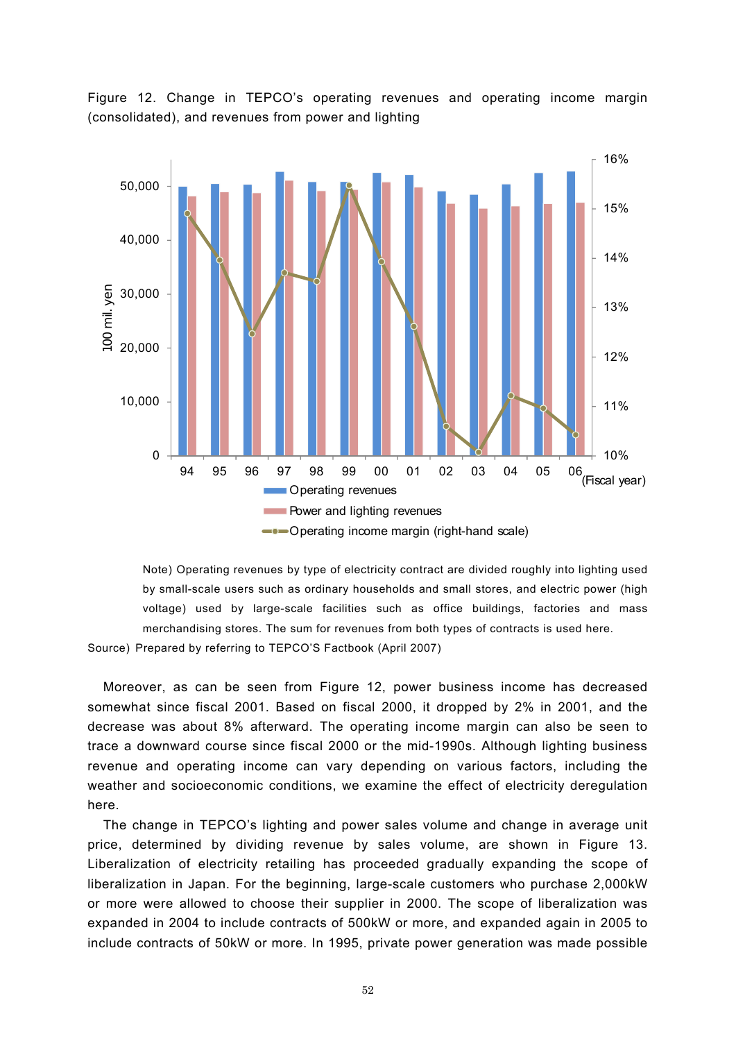

Figure 12. Change in TEPCO's operating revenues and operating income margin (consolidated), and revenues from power and lighting

Note) Operating revenues by type of electricity contract are divided roughly into lighting used by small-scale users such as ordinary households and small stores, and electric power (high voltage) used by large-scale facilities such as office buildings, factories and mass merchandising stores. The sum for revenues from both types of contracts is used here.

Source) Prepared by referring to TEPCO'S Factbook (April 2007)

Moreover, as can be seen from Figure 12, power business income has decreased somewhat since fiscal 2001. Based on fiscal 2000, it dropped by 2% in 2001, and the decrease was about 8% afterward. The operating income margin can also be seen to trace a downward course since fiscal 2000 or the mid-1990s. Although lighting business revenue and operating income can vary depending on various factors, including the weather and socioeconomic conditions, we examine the effect of electricity deregulation here.

The change in TEPCO's lighting and power sales volume and change in average unit price, determined by dividing revenue by sales volume, are shown in Figure 13. Liberalization of electricity retailing has proceeded gradually expanding the scope of liberalization in Japan. For the beginning, large-scale customers who purchase 2,000kW or more were allowed to choose their supplier in 2000. The scope of liberalization was expanded in 2004 to include contracts of 500kW or more, and expanded again in 2005 to include contracts of 50kW or more. In 1995, private power generation was made possible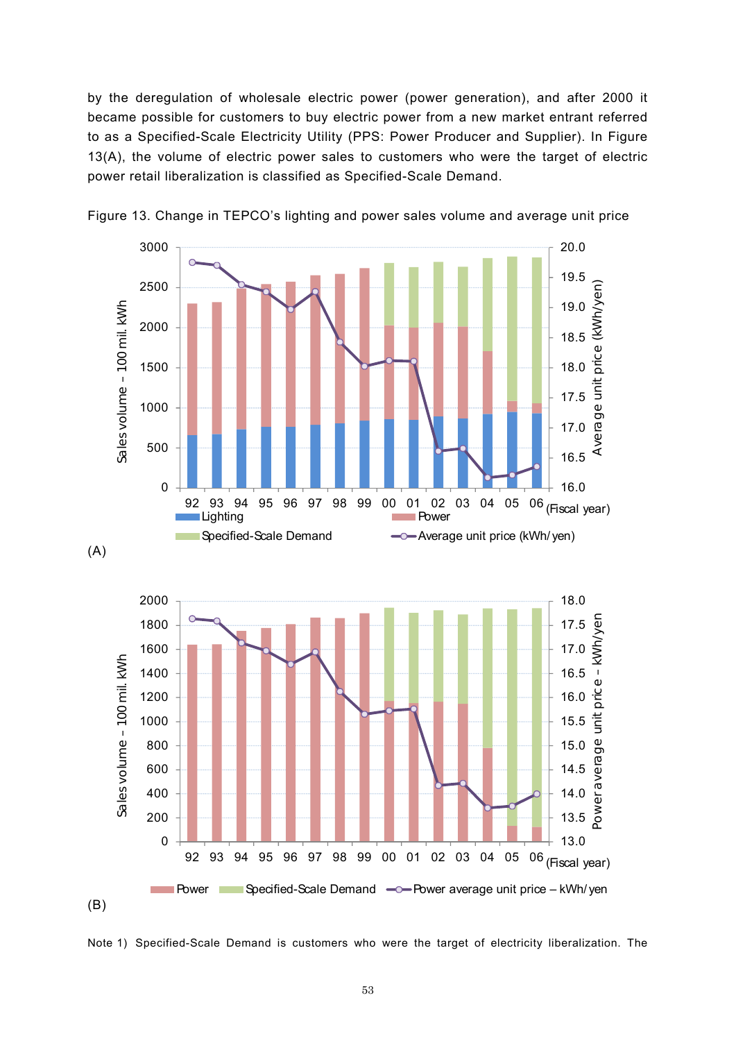by the deregulation of wholesale electric power (power generation), and after 2000 it became possible for customers to buy electric power from a new market entrant referred to as a Specified-Scale Electricity Utility (PPS: Power Producer and Supplier). In Figure 13(A), the volume of electric power sales to customers who were the target of electric power retail liberalization is classified as Specified-Scale Demand.





Note 1) Specified-Scale Demand is customers who were the target of electricity liberalization. The

(B)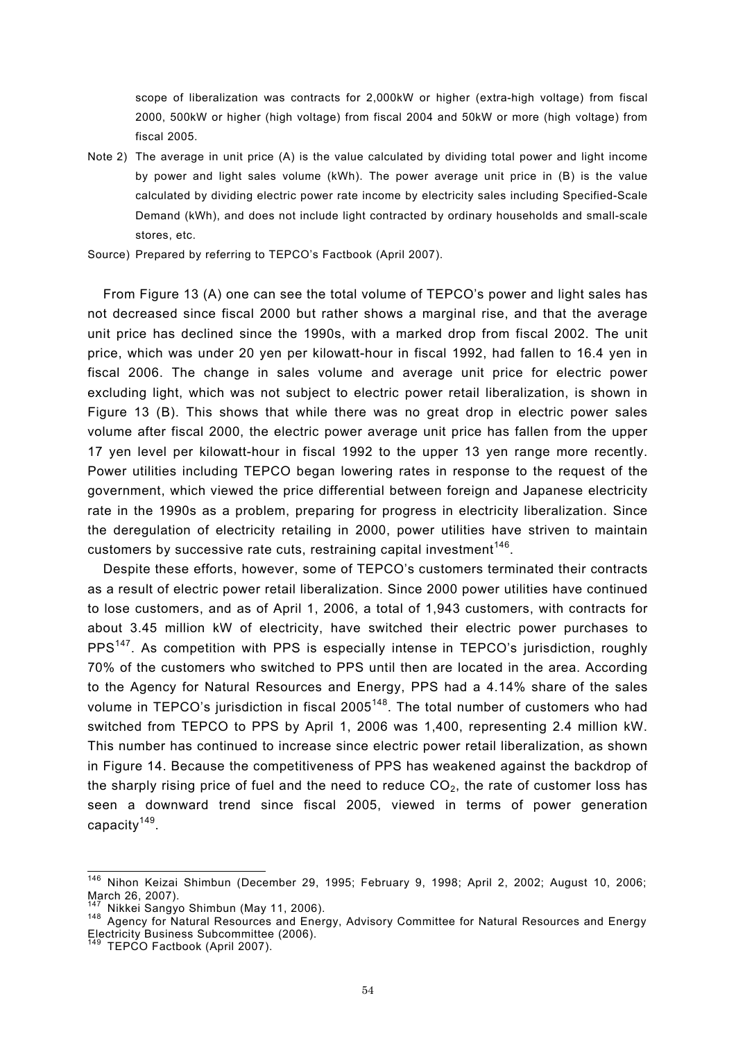scope of liberalization was contracts for 2,000kW or higher (extra-high voltage) from fiscal 2000, 500kW or higher (high voltage) from fiscal 2004 and 50kW or more (high voltage) from fiscal 2005.

- Note 2) The average in unit price (A) is the value calculated by dividing total power and light income by power and light sales volume (kWh). The power average unit price in (B) is the value calculated by dividing electric power rate income by electricity sales including Specified-Scale Demand (kWh), and does not include light contracted by ordinary households and small-scale stores, etc.
- Source) Prepared by referring to TEPCO's Factbook (April 2007).

From Figure 13 (A) one can see the total volume of TEPCO's power and light sales has not decreased since fiscal 2000 but rather shows a marginal rise, and that the average unit price has declined since the 1990s, with a marked drop from fiscal 2002. The unit price, which was under 20 yen per kilowatt-hour in fiscal 1992, had fallen to 16.4 yen in fiscal 2006. The change in sales volume and average unit price for electric power excluding light, which was not subject to electric power retail liberalization, is shown in Figure 13 (B). This shows that while there was no great drop in electric power sales volume after fiscal 2000, the electric power average unit price has fallen from the upper 17 yen level per kilowatt-hour in fiscal 1992 to the upper 13 yen range more recently. Power utilities including TEPCO began lowering rates in response to the request of the government, which viewed the price differential between foreign and Japanese electricity rate in the 1990s as a problem, preparing for progress in electricity liberalization. Since the deregulation of electricity retailing in 2000, power utilities have striven to maintain customers by successive rate cuts, restraining capital investment<sup>146</sup>.

Despite these efforts, however, some of TEPCO's customers terminated their contracts as a result of electric power retail liberalization. Since 2000 power utilities have continued to lose customers, and as of April 1, 2006, a total of 1,943 customers, with contracts for about 3.45 million kW of electricity, have switched their electric power purchases to PPS<sup>147</sup>. As competition with PPS is especially intense in TEPCO's jurisdiction, roughly 70% of the customers who switched to PPS until then are located in the area. According to the Agency for Natural Resources and Energy, PPS had a 4.14% share of the sales volume in TEPCO's jurisdiction in fiscal 2005<sup>148</sup>. The total number of customers who had switched from TEPCO to PPS by April 1, 2006 was 1,400, representing 2.4 million kW. This number has continued to increase since electric power retail liberalization, as shown in Figure 14. Because the competitiveness of PPS has weakened against the backdrop of the sharply rising price of fuel and the need to reduce  $CO<sub>2</sub>$ , the rate of customer loss has seen a downward trend since fiscal 2005, viewed in terms of power generation capacity $149$ .

 $\overline{a}$ 

 $146$  Nihon Keizai Shimbun (December 29, 1995; February 9, 1998; April 2, 2002; August 10, 2006; March 26, 2007).<br><sup>147</sup> Nikkei Sangyo Shimbun (May 11, 2006).

<sup>147</sup> Nikkei Sangyo Shimbun (May 11, 2006). 148 Agency for Natural Resources and Energy, Advisory Committee for Natural Resources and Energy Electricity Business Subcommittee (2006).

<sup>&</sup>lt;sup>149</sup> TEPCO Factbook (April 2007).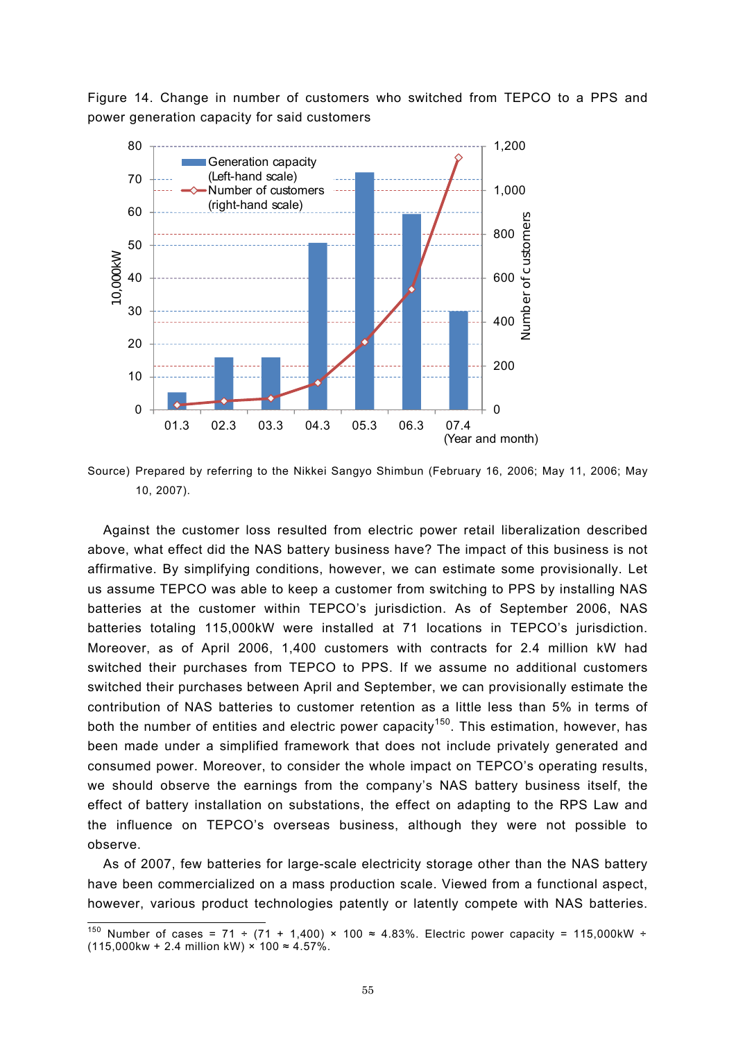Figure 14. Change in number of customers who switched from TEPCO to a PPS and power generation capacity for said customers



Source) Prepared by referring to the Nikkei Sangyo Shimbun (February 16, 2006; May 11, 2006; May 10, 2007).

Against the customer loss resulted from electric power retail liberalization described above, what effect did the NAS battery business have? The impact of this business is not affirmative. By simplifying conditions, however, we can estimate some provisionally. Let us assume TEPCO was able to keep a customer from switching to PPS by installing NAS batteries at the customer within TEPCO's jurisdiction. As of September 2006, NAS batteries totaling 115,000kW were installed at 71 locations in TEPCO's jurisdiction. Moreover, as of April 2006, 1,400 customers with contracts for 2.4 million kW had switched their purchases from TEPCO to PPS. If we assume no additional customers switched their purchases between April and September, we can provisionally estimate the contribution of NAS batteries to customer retention as a little less than 5% in terms of both the number of entities and electric power capacity<sup>150</sup>. This estimation, however, has been made under a simplified framework that does not include privately generated and consumed power. Moreover, to consider the whole impact on TEPCO's operating results, we should observe the earnings from the company's NAS battery business itself, the effect of battery installation on substations, the effect on adapting to the RPS Law and the influence on TEPCO's overseas business, although they were not possible to observe.

As of 2007, few batteries for large-scale electricity storage other than the NAS battery have been commercialized on a mass production scale. Viewed from a functional aspect, however, various product technologies patently or latently compete with NAS batteries.

 $\overline{a}$ 

<sup>&</sup>lt;sup>150</sup> Number of cases = 71 ÷ (71 + 1,400) × 100 ≈ 4.83%. Electric power capacity = 115,000kW ÷ (115,000kw + 2.4 million kW) × 100  $\approx$  4.57%.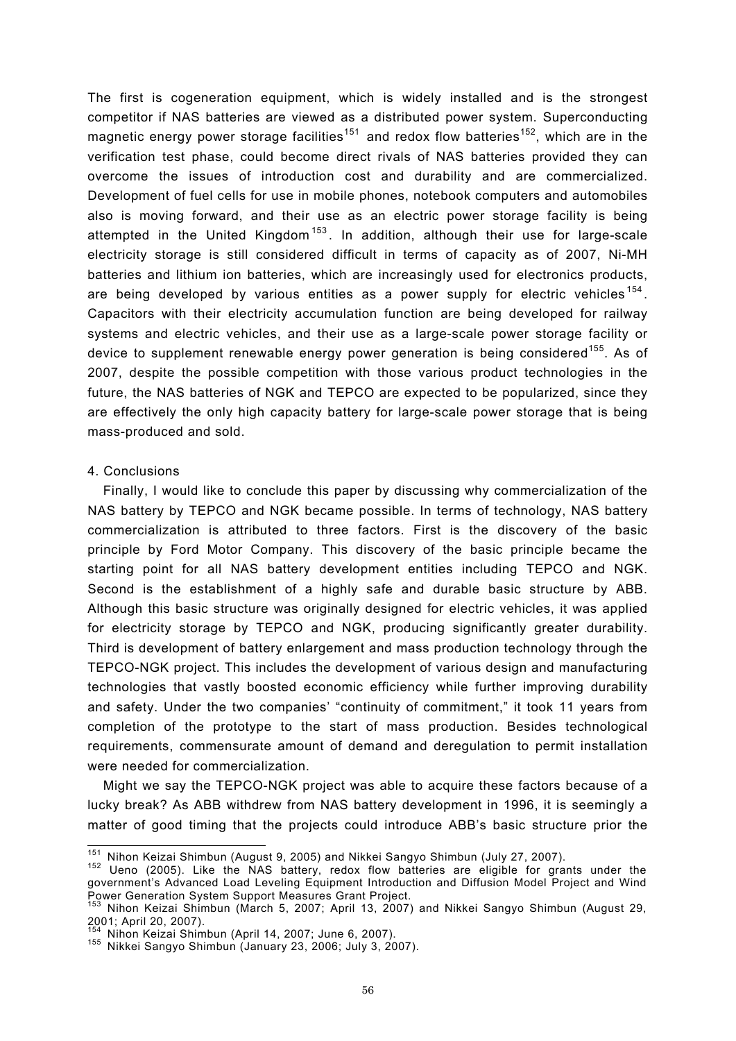The first is cogeneration equipment, which is widely installed and is the strongest competitor if NAS batteries are viewed as a distributed power system. Superconducting magnetic energy power storage facilities<sup>151</sup> and redox flow batteries<sup>152</sup>, which are in the verification test phase, could become direct rivals of NAS batteries provided they can overcome the issues of introduction cost and durability and are commercialized. Development of fuel cells for use in mobile phones, notebook computers and automobiles also is moving forward, and their use as an electric power storage facility is being attempted in the United Kingdom<sup>153</sup>. In addition, although their use for large-scale electricity storage is still considered difficult in terms of capacity as of 2007, Ni-MH batteries and lithium ion batteries, which are increasingly used for electronics products, are being developed by various entities as a power supply for electric vehicles  $154$ . Capacitors with their electricity accumulation function are being developed for railway systems and electric vehicles, and their use as a large-scale power storage facility or device to supplement renewable energy power generation is being considered<sup>155</sup>. As of 2007, despite the possible competition with those various product technologies in the future, the NAS batteries of NGK and TEPCO are expected to be popularized, since they are effectively the only high capacity battery for large-scale power storage that is being mass-produced and sold.

### 4. Conclusions

Finally, I would like to conclude this paper by discussing why commercialization of the NAS battery by TEPCO and NGK became possible. In terms of technology, NAS battery commercialization is attributed to three factors. First is the discovery of the basic principle by Ford Motor Company. This discovery of the basic principle became the starting point for all NAS battery development entities including TEPCO and NGK. Second is the establishment of a highly safe and durable basic structure by ABB. Although this basic structure was originally designed for electric vehicles, it was applied for electricity storage by TEPCO and NGK, producing significantly greater durability. Third is development of battery enlargement and mass production technology through the TEPCO-NGK project. This includes the development of various design and manufacturing technologies that vastly boosted economic efficiency while further improving durability and safety. Under the two companies' "continuity of commitment," it took 11 years from completion of the prototype to the start of mass production. Besides technological requirements, commensurate amount of demand and deregulation to permit installation were needed for commercialization.

Might we say the TEPCO-NGK project was able to acquire these factors because of a lucky break? As ABB withdrew from NAS battery development in 1996, it is seemingly a matter of good timing that the projects could introduce ABB's basic structure prior the

<sup>&</sup>lt;sup>151</sup> Nihon Keizai Shimbun (August 9, 2005) and Nikkei Sangyo Shimbun (July 27, 2007).

<sup>&</sup>lt;sup>152</sup> Ueno (2005). Like the NAS battery, redox flow batteries are eligible for grants under the government's Advanced Load Leveling Equipment Introduction and Diffusion Model Project and Wind

Power Generation System Support Measures Grant Project.<br><sup>153</sup> Nihon Keizai Shimbun (March 5, 2007; April 13, 2007) and Nikkei Sangyo Shimbun (August 29, للمحسن الله عليه المستحدة المستحدة (wiaron o, zoor, April 13, 20)<br>2001; April 20, 2007).<br><sup>154</sup> Nihon Keizai Shimbun (April 14, 2007; June 6, 2007).

<sup>154</sup> Nihon Keizai Shimbun (April 14, 2007; June 6, 2007). 155 Nikkei Sangyo Shimbun (January 23, 2006; July 3, 2007).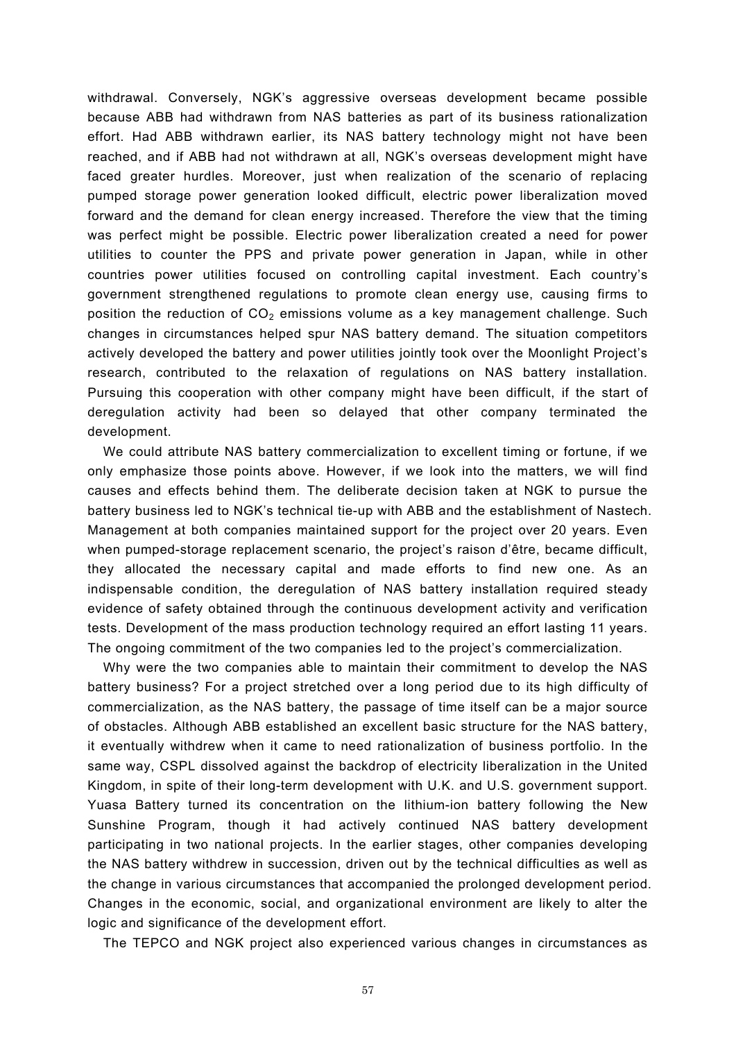withdrawal. Conversely, NGK's aggressive overseas development became possible because ABB had withdrawn from NAS batteries as part of its business rationalization effort. Had ABB withdrawn earlier, its NAS battery technology might not have been reached, and if ABB had not withdrawn at all, NGK's overseas development might have faced greater hurdles. Moreover, just when realization of the scenario of replacing pumped storage power generation looked difficult, electric power liberalization moved forward and the demand for clean energy increased. Therefore the view that the timing was perfect might be possible. Electric power liberalization created a need for power utilities to counter the PPS and private power generation in Japan, while in other countries power utilities focused on controlling capital investment. Each country's government strengthened regulations to promote clean energy use, causing firms to position the reduction of  $CO<sub>2</sub>$  emissions volume as a key management challenge. Such changes in circumstances helped spur NAS battery demand. The situation competitors actively developed the battery and power utilities jointly took over the Moonlight Project's research, contributed to the relaxation of regulations on NAS battery installation. Pursuing this cooperation with other company might have been difficult, if the start of deregulation activity had been so delayed that other company terminated the development.

We could attribute NAS battery commercialization to excellent timing or fortune, if we only emphasize those points above. However, if we look into the matters, we will find causes and effects behind them. The deliberate decision taken at NGK to pursue the battery business led to NGK's technical tie-up with ABB and the establishment of Nastech. Management at both companies maintained support for the project over 20 years. Even when pumped-storage replacement scenario, the project's raison d'être, became difficult, they allocated the necessary capital and made efforts to find new one. As an indispensable condition, the deregulation of NAS battery installation required steady evidence of safety obtained through the continuous development activity and verification tests. Development of the mass production technology required an effort lasting 11 years. The ongoing commitment of the two companies led to the project's commercialization.

Why were the two companies able to maintain their commitment to develop the NAS battery business? For a project stretched over a long period due to its high difficulty of commercialization, as the NAS battery, the passage of time itself can be a major source of obstacles. Although ABB established an excellent basic structure for the NAS battery, it eventually withdrew when it came to need rationalization of business portfolio. In the same way, CSPL dissolved against the backdrop of electricity liberalization in the United Kingdom, in spite of their long-term development with U.K. and U.S. government support. Yuasa Battery turned its concentration on the lithium-ion battery following the New Sunshine Program, though it had actively continued NAS battery development participating in two national projects. In the earlier stages, other companies developing the NAS battery withdrew in succession, driven out by the technical difficulties as well as the change in various circumstances that accompanied the prolonged development period. Changes in the economic, social, and organizational environment are likely to alter the logic and significance of the development effort.

The TEPCO and NGK project also experienced various changes in circumstances as

57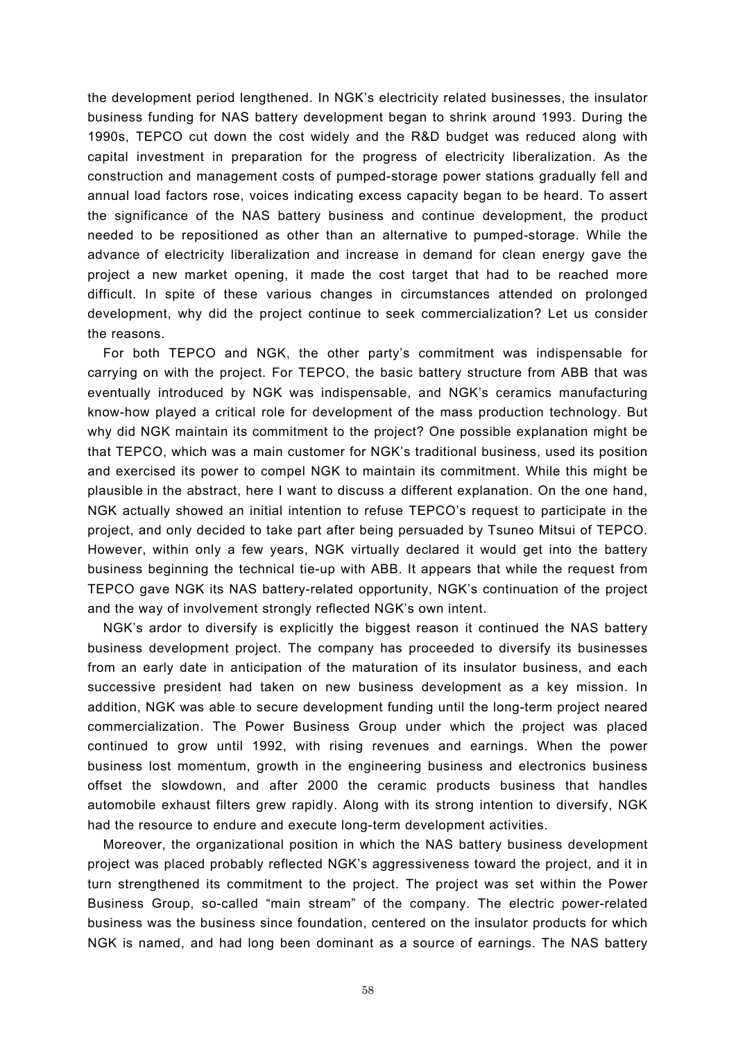the development period lengthened. In NGK's electricity related businesses, the insulator business funding for NAS battery development began to shrink around 1993. During the 1990s, TEPCO cut down the cost widely and the R&D budget was reduced along with capital investment in preparation for the progress of electricity liberalization. As the construction and management costs of pumped-storage power stations gradually fell and annual load factors rose, voices indicating excess capacity began to be heard. To assert the significance of the NAS battery business and continue development, the product needed to be repositioned as other than an alternative to pumped-storage. While the advance of electricity liberalization and increase in demand for clean energy gave the project a new market opening, it made the cost target that had to be reached more difficult. In spite of these various changes in circumstances attended on prolonged development, why did the project continue to seek commercialization? Let us consider the reasons.

For both TEPCO and NGK, the other party's commitment was indispensable for carrying on with the project. For TEPCO, the basic battery structure from ABB that was eventually introduced by NGK was indispensable, and NGK's ceramics manufacturing know-how played a critical role for development of the mass production technology. But why did NGK maintain its commitment to the project? One possible explanation might be that TEPCO, which was a main customer for NGK's traditional business, used its position and exercised its power to compel NGK to maintain its commitment. While this might be plausible in the abstract, here I want to discuss a different explanation. On the one hand, NGK actually showed an initial intention to refuse TEPCO's request to participate in the project, and only decided to take part after being persuaded by Tsuneo Mitsui of TEPCO. However, within only a few years, NGK virtually declared it would get into the battery business beginning the technical tie-up with ABB. It appears that while the request from TEPCO gave NGK its NAS battery-related opportunity, NGK's continuation of the project and the way of involvement strongly reflected NGK's own intent.

NGK's ardor to diversify is explicitly the biggest reason it continued the NAS battery business development project. The company has proceeded to diversify its businesses from an early date in anticipation of the maturation of its insulator business, and each successive president had taken on new business development as a key mission. In addition, NGK was able to secure development funding until the long-term project neared commercialization. The Power Business Group under which the project was placed continued to grow until 1992, with rising revenues and earnings. When the power business lost momentum, growth in the engineering business and electronics business offset the slowdown, and after 2000 the ceramic products business that handles automobile exhaust filters grew rapidly. Along with its strong intention to diversify, NGK had the resource to endure and execute long-term development activities.

Moreover, the organizational position in which the NAS battery business development project was placed probably reflected NGK's aggressiveness toward the project, and it in turn strengthened its commitment to the project. The project was set within the Power Business Group, so-called "main stream" of the company. The electric power-related business was the business since foundation, centered on the insulator products for which NGK is named, and had long been dominant as a source of earnings. The NAS battery

58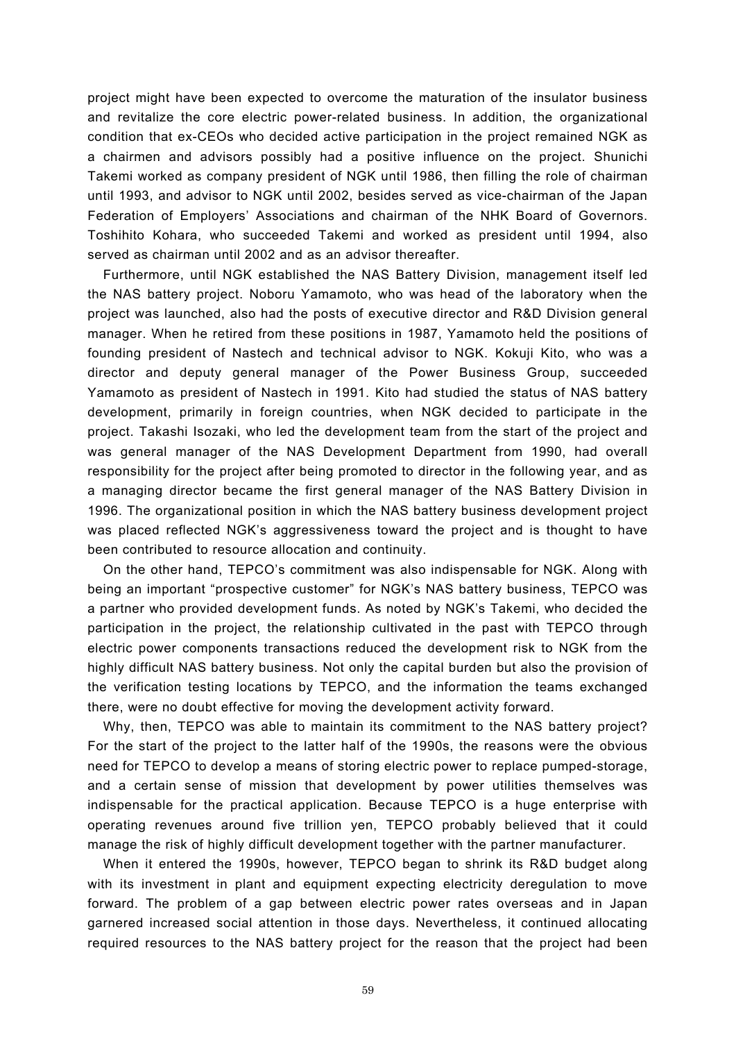project might have been expected to overcome the maturation of the insulator business and revitalize the core electric power-related business. In addition, the organizational condition that ex-CEOs who decided active participation in the project remained NGK as a chairmen and advisors possibly had a positive influence on the project. Shunichi Takemi worked as company president of NGK until 1986, then filling the role of chairman until 1993, and advisor to NGK until 2002, besides served as vice-chairman of the Japan Federation of Employers' Associations and chairman of the NHK Board of Governors. Toshihito Kohara, who succeeded Takemi and worked as president until 1994, also served as chairman until 2002 and as an advisor thereafter.

Furthermore, until NGK established the NAS Battery Division, management itself led the NAS battery project. Noboru Yamamoto, who was head of the laboratory when the project was launched, also had the posts of executive director and R&D Division general manager. When he retired from these positions in 1987, Yamamoto held the positions of founding president of Nastech and technical advisor to NGK. Kokuji Kito, who was a director and deputy general manager of the Power Business Group, succeeded Yamamoto as president of Nastech in 1991. Kito had studied the status of NAS battery development, primarily in foreign countries, when NGK decided to participate in the project. Takashi Isozaki, who led the development team from the start of the project and was general manager of the NAS Development Department from 1990, had overall responsibility for the project after being promoted to director in the following year, and as a managing director became the first general manager of the NAS Battery Division in 1996. The organizational position in which the NAS battery business development project was placed reflected NGK's aggressiveness toward the project and is thought to have been contributed to resource allocation and continuity.

On the other hand, TEPCO's commitment was also indispensable for NGK. Along with being an important "prospective customer" for NGK's NAS battery business, TEPCO was a partner who provided development funds. As noted by NGK's Takemi, who decided the participation in the project, the relationship cultivated in the past with TEPCO through electric power components transactions reduced the development risk to NGK from the highly difficult NAS battery business. Not only the capital burden but also the provision of the verification testing locations by TEPCO, and the information the teams exchanged there, were no doubt effective for moving the development activity forward.

Why, then, TEPCO was able to maintain its commitment to the NAS battery project? For the start of the project to the latter half of the 1990s, the reasons were the obvious need for TEPCO to develop a means of storing electric power to replace pumped-storage, and a certain sense of mission that development by power utilities themselves was indispensable for the practical application. Because TEPCO is a huge enterprise with operating revenues around five trillion yen, TEPCO probably believed that it could manage the risk of highly difficult development together with the partner manufacturer.

When it entered the 1990s, however, TEPCO began to shrink its R&D budget along with its investment in plant and equipment expecting electricity deregulation to move forward. The problem of a gap between electric power rates overseas and in Japan garnered increased social attention in those days. Nevertheless, it continued allocating required resources to the NAS battery project for the reason that the project had been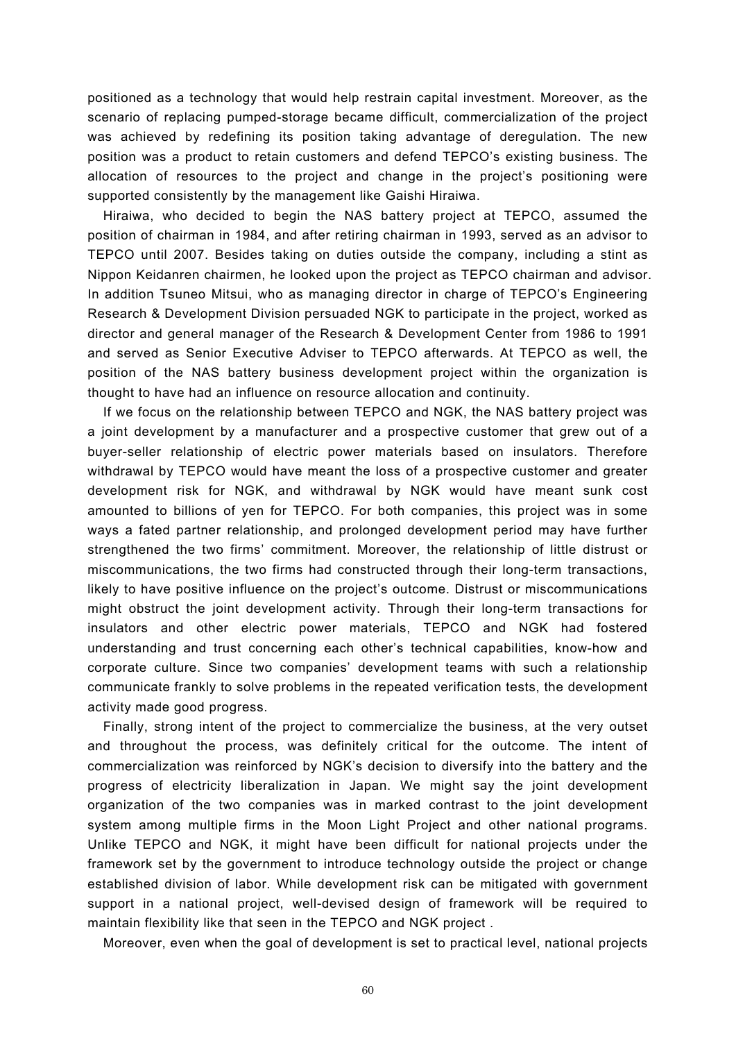positioned as a technology that would help restrain capital investment. Moreover, as the scenario of replacing pumped-storage became difficult, commercialization of the project was achieved by redefining its position taking advantage of deregulation. The new position was a product to retain customers and defend TEPCO's existing business. The allocation of resources to the project and change in the project's positioning were supported consistently by the management like Gaishi Hiraiwa.

Hiraiwa, who decided to begin the NAS battery project at TEPCO, assumed the position of chairman in 1984, and after retiring chairman in 1993, served as an advisor to TEPCO until 2007. Besides taking on duties outside the company, including a stint as Nippon Keidanren chairmen, he looked upon the project as TEPCO chairman and advisor. In addition Tsuneo Mitsui, who as managing director in charge of TEPCO's Engineering Research & Development Division persuaded NGK to participate in the project, worked as director and general manager of the Research & Development Center from 1986 to 1991 and served as Senior Executive Adviser to TEPCO afterwards. At TEPCO as well, the position of the NAS battery business development project within the organization is thought to have had an influence on resource allocation and continuity.

If we focus on the relationship between TEPCO and NGK, the NAS battery project was a joint development by a manufacturer and a prospective customer that grew out of a buyer-seller relationship of electric power materials based on insulators. Therefore withdrawal by TEPCO would have meant the loss of a prospective customer and greater development risk for NGK, and withdrawal by NGK would have meant sunk cost amounted to billions of yen for TEPCO. For both companies, this project was in some ways a fated partner relationship, and prolonged development period may have further strengthened the two firms' commitment. Moreover, the relationship of little distrust or miscommunications, the two firms had constructed through their long-term transactions, likely to have positive influence on the project's outcome. Distrust or miscommunications might obstruct the joint development activity. Through their long-term transactions for insulators and other electric power materials, TEPCO and NGK had fostered understanding and trust concerning each other's technical capabilities, know-how and corporate culture. Since two companies' development teams with such a relationship communicate frankly to solve problems in the repeated verification tests, the development activity made good progress.

Finally, strong intent of the project to commercialize the business, at the very outset and throughout the process, was definitely critical for the outcome. The intent of commercialization was reinforced by NGK's decision to diversify into the battery and the progress of electricity liberalization in Japan. We might say the joint development organization of the two companies was in marked contrast to the joint development system among multiple firms in the Moon Light Project and other national programs. Unlike TEPCO and NGK, it might have been difficult for national projects under the framework set by the government to introduce technology outside the project or change established division of labor. While development risk can be mitigated with government support in a national project, well-devised design of framework will be required to maintain flexibility like that seen in the TEPCO and NGK project .

Moreover, even when the goal of development is set to practical level, national projects

60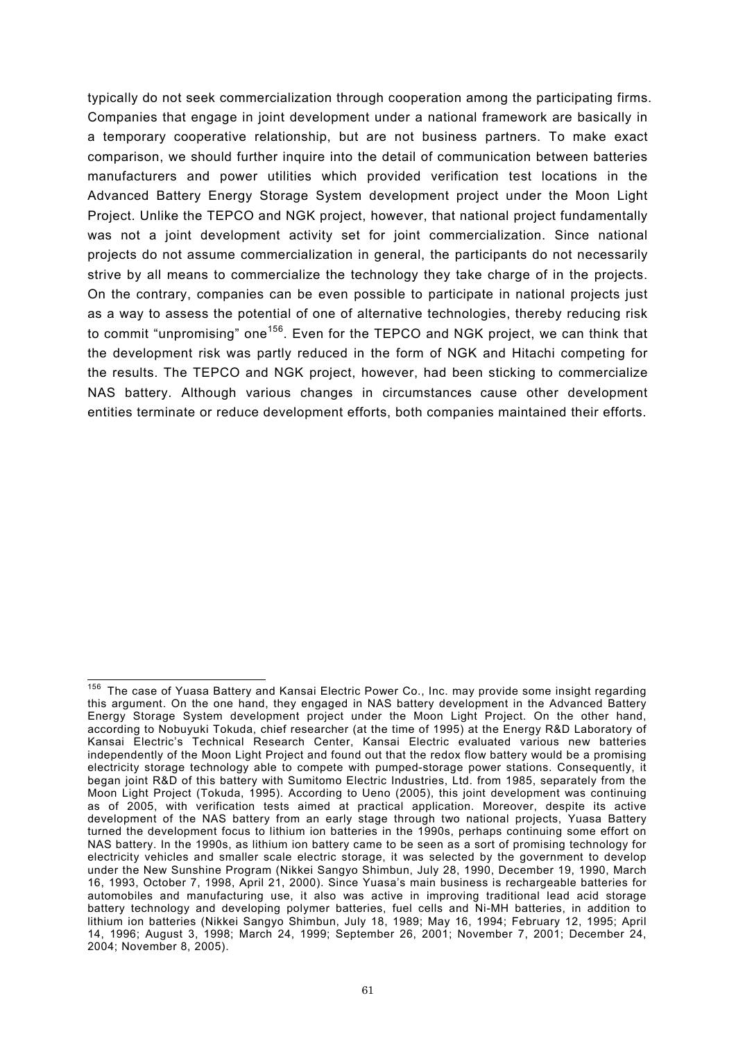typically do not seek commercialization through cooperation among the participating firms. Companies that engage in joint development under a national framework are basically in a temporary cooperative relationship, but are not business partners. To make exact comparison, we should further inquire into the detail of communication between batteries manufacturers and power utilities which provided verification test locations in the Advanced Battery Energy Storage System development project under the Moon Light Project. Unlike the TEPCO and NGK project, however, that national project fundamentally was not a joint development activity set for joint commercialization. Since national projects do not assume commercialization in general, the participants do not necessarily strive by all means to commercialize the technology they take charge of in the projects. On the contrary, companies can be even possible to participate in national projects just as a way to assess the potential of one of alternative technologies, thereby reducing risk to commit "unpromising" one<sup>156</sup>. Even for the TEPCO and NGK project, we can think that the development risk was partly reduced in the form of NGK and Hitachi competing for the results. The TEPCO and NGK project, however, had been sticking to commercialize NAS battery. Although various changes in circumstances cause other development entities terminate or reduce development efforts, both companies maintained their efforts.

 $\overline{a}$ 

<sup>&</sup>lt;sup>156</sup> The case of Yuasa Battery and Kansai Electric Power Co., Inc. may provide some insight regarding this argument. On the one hand, they engaged in NAS battery development in the Advanced Battery Energy Storage System development project under the Moon Light Project. On the other hand, according to Nobuyuki Tokuda, chief researcher (at the time of 1995) at the Energy R&D Laboratory of Kansai Electric's Technical Research Center, Kansai Electric evaluated various new batteries independently of the Moon Light Project and found out that the redox flow battery would be a promising electricity storage technology able to compete with pumped-storage power stations. Consequently, it began joint R&D of this battery with Sumitomo Electric Industries, Ltd. from 1985, separately from the Moon Light Project (Tokuda, 1995). According to Ueno (2005), this joint development was continuing as of 2005, with verification tests aimed at practical application. Moreover, despite its active development of the NAS battery from an early stage through two national projects, Yuasa Battery turned the development focus to lithium ion batteries in the 1990s, perhaps continuing some effort on NAS battery. In the 1990s, as lithium ion battery came to be seen as a sort of promising technology for electricity vehicles and smaller scale electric storage, it was selected by the government to develop under the New Sunshine Program (Nikkei Sangyo Shimbun, July 28, 1990, December 19, 1990, March 16, 1993, October 7, 1998, April 21, 2000). Since Yuasa's main business is rechargeable batteries for automobiles and manufacturing use, it also was active in improving traditional lead acid storage battery technology and developing polymer batteries, fuel cells and Ni-MH batteries, in addition to lithium ion batteries (Nikkei Sangyo Shimbun, July 18, 1989; May 16, 1994; February 12, 1995; April 14, 1996; August 3, 1998; March 24, 1999; September 26, 2001; November 7, 2001; December 24, 2004; November 8, 2005).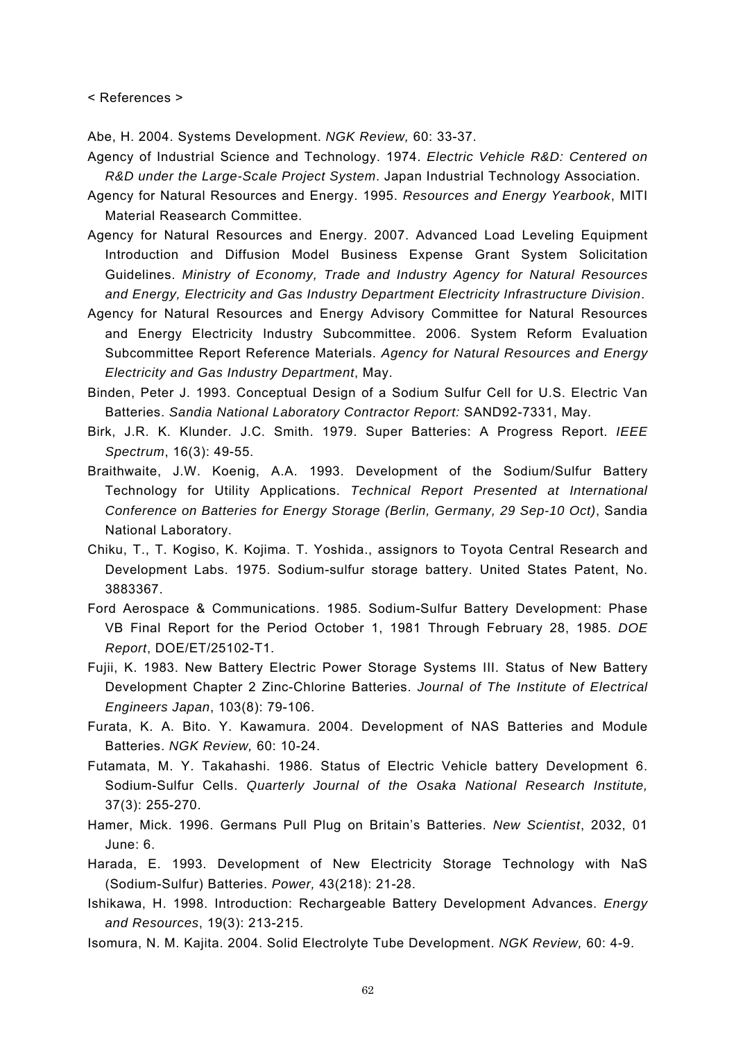< References >

Abe, H. 2004. Systems Development. *NGK Review,* 60: 33-37.

- Agency of Industrial Science and Technology. 1974. *Electric Vehicle R&D: Centered on R&D under the Large-Scale Project System*. Japan Industrial Technology Association.
- Agency for Natural Resources and Energy. 1995. *Resources and Energy Yearbook*, MITI Material Reasearch Committee.
- Agency for Natural Resources and Energy. 2007. Advanced Load Leveling Equipment Introduction and Diffusion Model Business Expense Grant System Solicitation Guidelines. *Ministry of Economy, Trade and Industry Agency for Natural Resources and Energy, Electricity and Gas Industry Department Electricity Infrastructure Division*.
- Agency for Natural Resources and Energy Advisory Committee for Natural Resources and Energy Electricity Industry Subcommittee. 2006. System Reform Evaluation Subcommittee Report Reference Materials. *Agency for Natural Resources and Energy Electricity and Gas Industry Department*, May.
- Binden, Peter J. 1993. Conceptual Design of a Sodium Sulfur Cell for U.S. Electric Van Batteries. *Sandia National Laboratory Contractor Report:* SAND92-7331, May.
- Birk, J.R. K. Klunder. J.C. Smith. 1979. Super Batteries: A Progress Report. *IEEE Spectrum*, 16(3): 49-55.
- Braithwaite, J.W. Koenig, A.A. 1993. Development of the Sodium/Sulfur Battery Technology for Utility Applications. *Technical Report Presented at International Conference on Batteries for Energy Storage (Berlin, Germany, 29 Sep-10 Oct)*, Sandia National Laboratory.
- Chiku, T., T. Kogiso, K. Kojima. T. Yoshida., assignors to Toyota Central Research and Development Labs. 1975. Sodium-sulfur storage battery. United States Patent, No. 3883367.
- Ford Aerospace & Communications. 1985. Sodium-Sulfur Battery Development: Phase VB Final Report for the Period October 1, 1981 Through February 28, 1985. *DOE Report*, DOE/ET/25102-T1.
- Fujii, K. 1983. New Battery Electric Power Storage Systems III. Status of New Battery Development Chapter 2 Zinc-Chlorine Batteries. *Journal of The Institute of Electrical Engineers Japan*, 103(8): 79-106.
- Furata, K. A. Bito. Y. Kawamura. 2004. Development of NAS Batteries and Module Batteries. *NGK Review,* 60: 10-24.
- Futamata, M. Y. Takahashi. 1986. Status of Electric Vehicle battery Development 6. Sodium-Sulfur Cells. *Quarterly Journal of the Osaka National Research Institute,* 37(3): 255-270.
- Hamer, Mick. 1996. Germans Pull Plug on Britain's Batteries. *New Scientist*, 2032, 01 June: 6.
- Harada, E. 1993. Development of New Electricity Storage Technology with NaS (Sodium-Sulfur) Batteries. *Power,* 43(218): 21-28.
- Ishikawa, H. 1998. Introduction: Rechargeable Battery Development Advances. *Energy and Resources*, 19(3): 213-215.
- Isomura, N. M. Kajita. 2004. Solid Electrolyte Tube Development. *NGK Review,* 60: 4-9.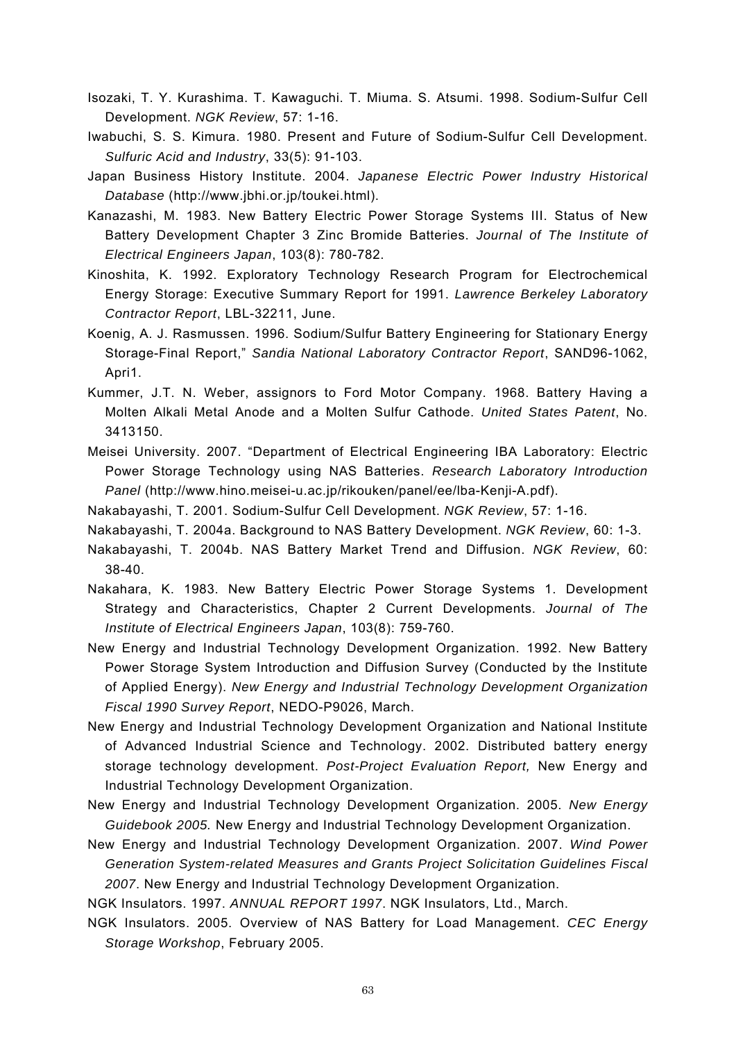- Isozaki, T. Y. Kurashima. T. Kawaguchi. T. Miuma. S. Atsumi. 1998. Sodium-Sulfur Cell Development. *NGK Review*, 57: 1-16.
- Iwabuchi, S. S. Kimura. 1980. Present and Future of Sodium-Sulfur Cell Development. *Sulfuric Acid and Industry*, 33(5): 91-103.
- Japan Business History Institute. 2004. *Japanese Electric Power Industry Historical Database* (http://www.jbhi.or.jp/toukei.html).
- Kanazashi, M. 1983. New Battery Electric Power Storage Systems III. Status of New Battery Development Chapter 3 Zinc Bromide Batteries. *Journal of The Institute of Electrical Engineers Japan*, 103(8): 780-782.
- Kinoshita, K. 1992. Exploratory Technology Research Program for Electrochemical Energy Storage: Executive Summary Report for 1991. *Lawrence Berkeley Laboratory Contractor Report*, LBL-32211, June.
- Koenig, A. J. Rasmussen. 1996. Sodium/Sulfur Battery Engineering for Stationary Energy Storage-Final Report," *Sandia National Laboratory Contractor Report*, SAND96-1062, Apri1.
- Kummer, J.T. N. Weber, assignors to Ford Motor Company. 1968. Battery Having a Molten Alkali Metal Anode and a Molten Sulfur Cathode. *United States Patent*, No. 3413150.
- Meisei University. 2007. "Department of Electrical Engineering IBA Laboratory: Electric Power Storage Technology using NAS Batteries. *Research Laboratory Introduction Panel* (http://www.hino.meisei-u.ac.jp/rikouken/panel/ee/lba-Kenji-A.pdf).
- Nakabayashi, T. 2001. Sodium-Sulfur Cell Development. *NGK Review*, 57: 1-16.
- Nakabayashi, T. 2004a. Background to NAS Battery Development. *NGK Review*, 60: 1-3.
- Nakabayashi, T. 2004b. NAS Battery Market Trend and Diffusion. *NGK Review*, 60: 38-40.
- Nakahara, K. 1983. New Battery Electric Power Storage Systems 1. Development Strategy and Characteristics, Chapter 2 Current Developments. *Journal of The Institute of Electrical Engineers Japan*, 103(8): 759-760.
- New Energy and Industrial Technology Development Organization. 1992. New Battery Power Storage System Introduction and Diffusion Survey (Conducted by the Institute of Applied Energy). *New Energy and Industrial Technology Development Organization Fiscal 1990 Survey Report*, NEDO-P9026, March.
- New Energy and Industrial Technology Development Organization and National Institute of Advanced Industrial Science and Technology. 2002. Distributed battery energy storage technology development. *Post-Project Evaluation Report,* New Energy and Industrial Technology Development Organization.
- New Energy and Industrial Technology Development Organization. 2005. *New Energy Guidebook 2005.* New Energy and Industrial Technology Development Organization.
- New Energy and Industrial Technology Development Organization. 2007. *Wind Power Generation System-related Measures and Grants Project Solicitation Guidelines Fiscal 2007*. New Energy and Industrial Technology Development Organization.

NGK Insulators. 1997. *ANNUAL REPORT 1997*. NGK Insulators, Ltd., March.

NGK Insulators. 2005. Overview of NAS Battery for Load Management. *CEC Energy Storage Workshop*, February 2005.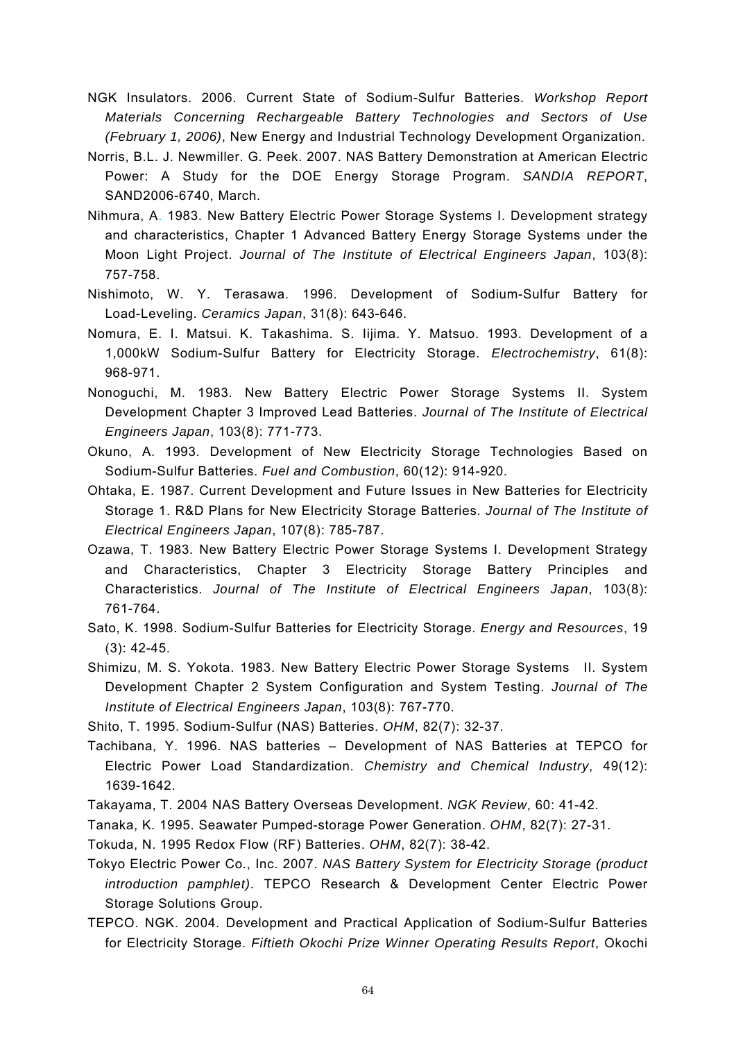NGK Insulators. 2006. Current State of Sodium-Sulfur Batteries. *Workshop Report Materials Concerning Rechargeable Battery Technologies and Sectors of Use (February 1, 2006)*, New Energy and Industrial Technology Development Organization.

- Norris, B.L. J. Newmiller. G. Peek. 2007. NAS Battery Demonstration at American Electric Power: A Study for the DOE Energy Storage Program. *SANDIA REPORT*, SAND2006-6740, March.
- Nihmura, A. 1983. New Battery Electric Power Storage Systems I. Development strategy and characteristics, Chapter 1 Advanced Battery Energy Storage Systems under the Moon Light Project. *Journal of The Institute of Electrical Engineers Japan*, 103(8): 757-758.
- Nishimoto, W. Y. Terasawa. 1996. Development of Sodium-Sulfur Battery for Load-Leveling. *Ceramics Japan*, 31(8): 643-646.
- Nomura, E. I. Matsui. K. Takashima. S. Iijima. Y. Matsuo. 1993. Development of a 1,000kW Sodium-Sulfur Battery for Electricity Storage. *Electrochemistry*, 61(8): 968-971.
- Nonoguchi, M. 1983. New Battery Electric Power Storage Systems II. System Development Chapter 3 Improved Lead Batteries. *Journal of The Institute of Electrical Engineers Japan*, 103(8): 771-773.
- Okuno, A. 1993. Development of New Electricity Storage Technologies Based on Sodium-Sulfur Batteries. *Fuel and Combustion*, 60(12): 914-920.
- Ohtaka, E. 1987. Current Development and Future Issues in New Batteries for Electricity Storage 1. R&D Plans for New Electricity Storage Batteries. *Journal of The Institute of Electrical Engineers Japan*, 107(8): 785-787.
- Ozawa, T. 1983. New Battery Electric Power Storage Systems I. Development Strategy and Characteristics, Chapter 3 Electricity Storage Battery Principles and Characteristics. *Journal of The Institute of Electrical Engineers Japan*, 103(8): 761-764.
- Sato, K. 1998. Sodium-Sulfur Batteries for Electricity Storage. *Energy and Resources*, 19 (3): 42-45.
- Shimizu, M. S. Yokota. 1983. New Battery Electric Power Storage Systems II. System Development Chapter 2 System Configuration and System Testing. *Journal of The Institute of Electrical Engineers Japan*, 103(8): 767-770.

Shito, T. 1995. Sodium-Sulfur (NAS) Batteries. *OHM*, 82(7): 32-37.

Tachibana, Y. 1996. NAS batteries – Development of NAS Batteries at TEPCO for Electric Power Load Standardization. *Chemistry and Chemical Industry*, 49(12): 1639-1642.

Takayama, T. 2004 NAS Battery Overseas Development. *NGK Review*, 60: 41-42.

Tanaka, K. 1995. Seawater Pumped-storage Power Generation. *OHM*, 82(7): 27-31.

Tokuda, N. 1995 Redox Flow (RF) Batteries. *OHM*, 82(7): 38-42.

- Tokyo Electric Power Co., Inc. 2007. *NAS Battery System for Electricity Storage (product introduction pamphlet)*. TEPCO Research & Development Center Electric Power Storage Solutions Group.
- TEPCO. NGK. 2004. Development and Practical Application of Sodium-Sulfur Batteries for Electricity Storage. *Fiftieth Okochi Prize Winner Operating Results Report*, Okochi